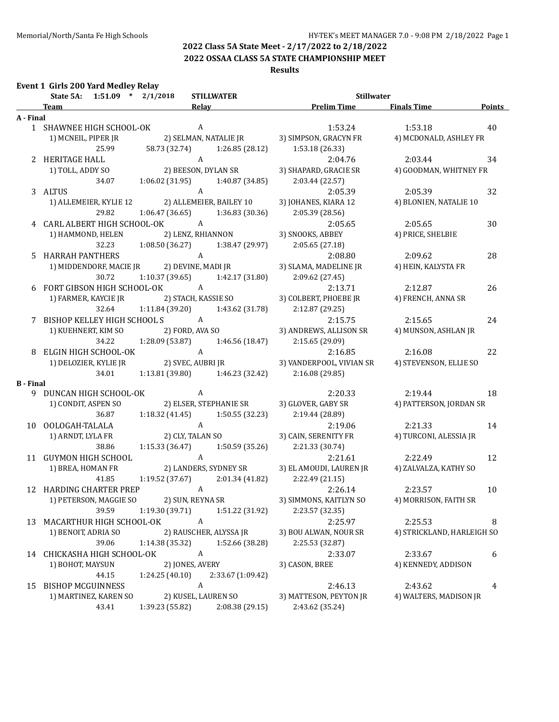**2022 OSSAA CLASS 5A STATE CHAMPIONSHIP MEET**

#### **Results**

|  | <b>Event 1 Girls 200 Yard Medley Relay</b> |  |  |  |
|--|--------------------------------------------|--|--|--|
|--|--------------------------------------------|--|--|--|

|                  | State 5A: 1:51.09 * 2/1/2018   | <b>STILLWATER</b>                                                           | <b>Stillwater</b>             |                            |               |
|------------------|--------------------------------|-----------------------------------------------------------------------------|-------------------------------|----------------------------|---------------|
|                  | <b>Team</b>                    | <b>Relay</b><br>the control of the control of the control of the control of | <b>Example 12 Prelim Time</b> | <b>Finals Time</b>         | <b>Points</b> |
| A - Final        |                                |                                                                             |                               |                            |               |
|                  | 1 SHAWNEE HIGH SCHOOL-OK       | $\overline{A}$                                                              | 1:53.24                       | 1:53.18                    | 40            |
|                  | 1) MCNEIL, PIPER JR            | 2) SELMAN, NATALIE JR                                                       | 3) SIMPSON, GRACYN FR         | 4) MCDONALD, ASHLEY FR     |               |
|                  | 25.99                          | 58.73 (32.74) 1:26.85 (28.12)                                               | 1:53.18 (26.33)               |                            |               |
|                  | 2 HERITAGE HALL                | A                                                                           | 2:04.76                       | 2:03.44                    | 34            |
|                  | 1) TOLL, ADDY SO               | A<br>2) BEESON, DYLAN SR                                                    | 3) SHAPARD, GRACIE SR         | 4) GOODMAN, WHITNEY FR     |               |
|                  | 34.07                          | 1:40.87 (34.85)<br>1:06.02 (31.95)                                          | 2:03.44 (22.57)               |                            |               |
|                  | 3 ALTUS                        | A                                                                           | 2:05.39                       | 2:05.39                    | 32            |
|                  |                                | 1) ALLEMEIER, KYLIE 12 2) ALLEMEIER, BAILEY 10                              | 3) JOHANES, KIARA 12          | 4) BLONIEN, NATALIE 10     |               |
|                  | 29.82                          | $1:06.47(36.65)$ $1:36.83(30.36)$                                           | 2:05.39 (28.56)               |                            |               |
|                  | 4 CARL ALBERT HIGH SCHOOL-OK A |                                                                             | 2:05.65                       | 2:05.65                    | 30            |
|                  | 1) HAMMOND, HELEN              | 2) LENZ, RHIANNON                                                           | 3) SNOOKS, ABBEY              | 4) PRICE, SHELBIE          |               |
|                  | 32.23                          | 1:08.50 (36.27)<br>1:38.47 (29.97)                                          | 2:05.65(27.18)                |                            |               |
|                  | 5 HARRAH PANTHERS              | $\mathbf{A}$                                                                | 2:08.80                       | 2:09.62                    | 28            |
|                  |                                | 1) MIDDENDORF, MACIE JR 2) DEVINE, MADI JR                                  | 3) SLAMA, MADELINE JR         | 4) HEIN, KALYSTA FR        |               |
|                  | 30.72                          | 1:10.37 (39.65)<br>1:42.17 (31.80)                                          | 2:09.62 (27.45)               |                            |               |
|                  | 6 FORT GIBSON HIGH SCHOOL-OK A |                                                                             | 2:13.71                       | 2:12.87                    | 26            |
|                  | 1) FARMER, KAYCIE JR           | 2) STACH, KASSIE SO                                                         | 3) COLBERT, PHOEBE JR         | 4) FRENCH, ANNA SR         |               |
|                  | 32.64                          | 1:11.84 (39.20)<br>1:43.62 (31.78)                                          | 2:12.87 (29.25)               |                            |               |
|                  | 7 BISHOP KELLEY HIGH SCHOOL SA |                                                                             | 2:15.75                       | 2:15.65                    | 24            |
|                  |                                | 2) FORD, AVA SO                                                             |                               |                            |               |
|                  | 1) KUEHNERT, KIM SO<br>34.22   |                                                                             | 3) ANDREWS, ALLISON SR        | 4) MUNSON, ASHLAN JR       |               |
|                  |                                | 1:28.09 (53.87)<br>1:46.56 (18.47)                                          | 2:15.65(29.09)                |                            |               |
|                  | 8 ELGIN HIGH SCHOOL-OK         | A                                                                           | 2:16.85                       | 2:16.08                    | 22            |
|                  | 1) DELOZIER, KYLIE JR          | 2) SVEC, AUBRI JR                                                           | 3) VANDERPOOL, VIVIAN SR      | 4) STEVENSON, ELLIE SO     |               |
|                  | 34.01                          | $1:13.81(39.80)$ $1:46.23(32.42)$                                           | 2:16.08 (29.85)               |                            |               |
| <b>B</b> - Final |                                |                                                                             |                               |                            |               |
|                  | 9 DUNCAN HIGH SCHOOL-OK        | A                                                                           | 2:20.33                       | 2:19.44                    | 18            |
|                  | 1) CONDIT, ASPEN SO            | 2) ELSER, STEPHANIE SR                                                      | 3) GLOVER, GABY SR            | 4) PATTERSON, JORDAN SR    |               |
|                  | 36.87                          | 1:18.32 (41.45)<br>1:50.55 (32.23)                                          | 2:19.44 (28.89)               |                            |               |
|                  | 10 OOLOGAH-TALALA              | $\mathbf{A}$                                                                | 2:19.06                       | 2:21.33                    | 14            |
|                  | 1) ARNDT, LYLA FR              | 2) CLY, TALAN SO                                                            | 3) CAIN, SERENITY FR          | 4) TURCONI, ALESSIA JR     |               |
|                  | 38.86                          | $1:15.33(36.47)$ $1:50.59(35.26)$                                           | 2:21.33 (30.74)               |                            |               |
|                  | 11 GUYMON HIGH SCHOOL          | $\mathbf{A}$                                                                | 2:21.61                       | 2:22.49                    | 12            |
|                  | 1) BREA, HOMAN FR              | 2) LANDERS, SYDNEY SR                                                       | 3) EL AMOUDI, LAUREN JR       | 4) ZALVALZA, KATHY SO      |               |
|                  | 41.85                          | $1:19.52(37.67)$ $2:01.34(41.82)$                                           | 2:22.49(21.15)                |                            |               |
|                  | 12 HARDING CHARTER PREP A      |                                                                             | 2:26.14                       | 2:23.57                    | 10            |
|                  |                                | 1) PETERSON, MAGGIE SO 2) SUN, REYNA SR                                     | 3) SIMMONS, KAITLYN SO        | 4) MORRISON, FAITH SR      |               |
|                  | 39.59                          | 1:19.30 (39.71)<br>1:51.22 (31.92)                                          | 2:23.57 (32.35)               |                            |               |
| 13               | MACARTHUR HIGH SCHOOL-OK       | A                                                                           | 2:25.97                       | 2:25.53                    | 8             |
|                  | 1) BENOIT, ADRIA SO            | 2) RAUSCHER, ALYSSA JR                                                      | 3) BOU ALWAN, NOUR SR         | 4) STRICKLAND, HARLEIGH SO |               |
|                  | 39.06                          | 1:52.66 (38.28)<br>1:14.38 (35.32)                                          | 2:25.53 (32.87)               |                            |               |
|                  | 14 CHICKASHA HIGH SCHOOL-OK    | A                                                                           | 2:33.07                       | 2:33.67                    | 6             |
|                  | 1) BOHOT, MAYSUN               | 2) JONES, AVERY                                                             | 3) CASON, BREE                | 4) KENNEDY, ADDISON        |               |
|                  | 44.15                          | 1:24.25(40.10)<br>2:33.67 (1:09.42)                                         |                               |                            |               |
| 15               | <b>BISHOP MCGUINNESS</b>       | A                                                                           | 2:46.13                       | 2:43.62                    | 4             |
|                  | 1) MARTINEZ, KAREN SO          | 2) KUSEL, LAUREN SO                                                         | 3) MATTESON, PEYTON JR        | 4) WALTERS, MADISON JR     |               |
|                  | 43.41                          | 1:39.23 (55.82)<br>2:08.38 (29.15)                                          | 2:43.62 (35.24)               |                            |               |
|                  |                                |                                                                             |                               |                            |               |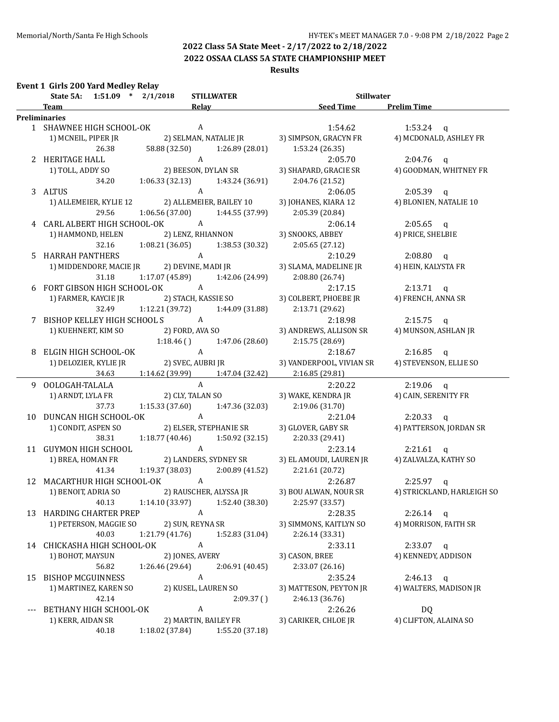**2022 OSSAA CLASS 5A STATE CHAMPIONSHIP MEET**

#### **Results**

#### **Event 1 Girls 200 Yard Medley Relay**

|    | State 5A: 1:51.09 * 2/1/2018   | <b>STILLWATER</b>                                            | Stillwater                              |                                    |
|----|--------------------------------|--------------------------------------------------------------|-----------------------------------------|------------------------------------|
|    | Team                           | <b>Relay</b><br>the control of the control of the control of | <b>Example 15 Seed Time</b> Prelim Time |                                    |
|    | <b>Preliminaries</b>           |                                                              |                                         |                                    |
|    | 1 SHAWNEE HIGH SCHOOL-OK       | $\overline{A}$                                               | 1:54.62                                 | 1:53.24 $q$                        |
|    | 1) MCNEIL, PIPER JR            | 2) SELMAN, NATALIE JR                                        | 3) SIMPSON, GRACYN FR                   | 4) MCDONALD, ASHLEY FR             |
|    | 26.38                          | 58.88 (32.50)<br>1:26.89 (28.01)                             | 1:53.24(26.35)                          |                                    |
|    | 2 HERITAGE HALL                | A                                                            | 2:05.70                                 | $2:04.76$ q                        |
|    | 1) TOLL, ADDY SO               | 2) BEESON, DYLAN SR                                          | 3) SHAPARD, GRACIE SR                   | 4) GOODMAN, WHITNEY FR             |
|    | 34.20                          | $1:06.33(32.13)$ $1:43.24(36.91)$                            | 2:04.76 (21.52)                         |                                    |
|    | 3 ALTUS                        | A                                                            | 2:06.05                                 | $2:05.39$ q                        |
|    |                                | 1) ALLEMEIER, KYLIE 12 2) ALLEMEIER, BAILEY 10               | 3) JOHANES, KIARA 12                    | 4) BLONIEN, NATALIE 10             |
|    | 29.56                          | $1:06.56(37.00)$ $1:44.55(37.99)$                            | 2:05.39 (20.84)                         |                                    |
|    |                                | 4 CARL ALBERT HIGH SCHOOL-OK A                               | 2:06.14                                 | $2:05.65$ q                        |
|    |                                | 1) HAMMOND, HELEN 2) LENZ, RHIANNON                          | 3) SNOOKS, ABBEY                        | 4) PRICE, SHELBIE                  |
|    | 32.16                          | $1:08.21(36.05)$ $1:38.53(30.32)$                            | 2:05.65 (27.12)                         |                                    |
|    | 5 HARRAH PANTHERS              |                                                              | 2:10.29                                 | $2:08.80$ q                        |
|    |                                |                                                              | 3) SLAMA, MADELINE JR                   | 4) HEIN, KALYSTA FR                |
|    |                                | 31.18 1:17.07 (45.89) 1:42.06 (24.99)                        | 2:08.80(26.74)                          |                                    |
|    |                                |                                                              | 2:17.15                                 | $2:13.71$ q                        |
|    |                                |                                                              | 3) COLBERT, PHOEBE JR                   | 4) FRENCH, ANNA SR                 |
|    | 32.49                          | $1:12.21(39.72)$ $1:44.09(31.88)$                            | 2:13.71 (29.62)                         |                                    |
|    | 7 BISHOP KELLEY HIGH SCHOOL SA |                                                              | 2:18.98                                 | $2:15.75$ q                        |
|    | 1) KUEHNERT, KIM SO            | $A$<br>2) FORD, AVA SO                                       | 3) ANDREWS, ALLISON SR                  | 4) MUNSON, ASHLAN JR               |
|    |                                | $1:18.46$ () $1:47.06$ (28.60)                               | 2:15.75(28.69)                          |                                    |
|    | 8 ELGIN HIGH SCHOOL-OK         | $\mathbf{A}$                                                 | 2:18.67                                 | $2:16.85$ q                        |
|    | 1) DELOZIER, KYLIE JR          | 2) SVEC, AUBRI JR                                            | 3) VANDERPOOL, VIVIAN SR                | 4) STEVENSON, ELLIE SO             |
|    | 34.63                          | $1:14.62$ (39.99) $1:47.04$ (32.42)                          | 2:16.85 (29.81)                         |                                    |
|    | 9 OOLOGAH-TALALA               | $\mathbf{A}$                                                 | 2:20.22                                 | $2:19.06$ q                        |
|    | 1) ARNDT, LYLA FR              | 2) CLY, TALAN SO                                             | 3) WAKE, KENDRA JR                      | 4) CAIN, SERENITY FR               |
|    | 37.73                          | 1:15.33 (37.60)<br>1:47.36 (32.03)                           | 2:19.06(31.70)                          |                                    |
|    | 10 DUNCAN HIGH SCHOOL-OK       | A <sub>1</sub>                                               | 2:21.04                                 | $2:20.33$ q                        |
|    | 1) CONDIT, ASPEN SO            | 2) ELSER, STEPHANIE SR                                       | 3) GLOVER, GABY SR                      | 4) PATTERSON, JORDAN SR            |
|    | 38.31                          | 1:18.77 (40.46)<br>1:50.92 (32.15)                           | 2:20.33 (29.41)                         |                                    |
|    | 11 GUYMON HIGH SCHOOL          | $\overline{A}$                                               | 2:23.14                                 | $2:21.61$ q                        |
|    | 1) BREA, HOMAN FR              | 2) LANDERS, SYDNEY SR                                        | 3) EL AMOUDI, LAUREN JR                 | 4) ZALVALZA, KATHY SO              |
|    | 41.34                          | 1:19.37 (38.03)<br>2:00.89 (41.52)                           | 2:21.61 (20.72)                         |                                    |
|    |                                | 12 MACARTHUR HIGH SCHOOL-OK A                                | 2:26.87                                 | $2:25.97$ q                        |
|    |                                | 1) BENOIT, ADRIA SO 2) RAUSCHER, ALYSSA JR                   | 3) BOU ALWAN, NOUR SR                   | 4) STRICKLAND, HARLEIGH SO         |
|    |                                | 40.13 1:14.10 (33.97) 1:52.40 (38.30) 2:25.97 (33.57)        |                                         |                                    |
|    | 13 HARDING CHARTER PREP        | A                                                            | 2:28.35                                 | $2:26.14$ q                        |
|    | 1) PETERSON, MAGGIE SO         | 2) SUN, REYNA SR                                             | 3) SIMMONS, KAITLYN SO                  | 4) MORRISON, FAITH SR              |
|    | 40.03                          | 1:21.79(41.76)<br>1:52.83 (31.04)                            | 2:26.14 (33.31)                         |                                    |
|    | 14 CHICKASHA HIGH SCHOOL-OK    | $\boldsymbol{A}$                                             | 2:33.11                                 |                                    |
|    |                                | 2) JONES, AVERY                                              |                                         | $2:33.07$ q<br>4) KENNEDY, ADDISON |
|    | 1) BOHOT, MAYSUN               |                                                              | 3) CASON, BREE<br>2:33.07 (26.16)       |                                    |
|    | 56.82                          | 1:26.46 (29.64)<br>2:06.91 (40.45)                           |                                         |                                    |
| 15 | <b>BISHOP MCGUINNESS</b>       | A                                                            | 2:35.24                                 | $2:46.13$ q                        |
|    | 1) MARTINEZ, KAREN SO          | 2) KUSEL, LAUREN SO                                          | 3) MATTESON, PEYTON JR                  | 4) WALTERS, MADISON JR             |
|    | 42.14                          | 2:09.37()                                                    | 2:46.13 (36.76)                         |                                    |
|    | BETHANY HIGH SCHOOL-OK         | A                                                            | 2:26.26                                 | <b>DQ</b>                          |
|    | 1) KERR, AIDAN SR              | 2) MARTIN, BAILEY FR                                         | 3) CARIKER, CHLOE JR                    | 4) CLIFTON, ALAINA SO              |
|    | 40.18                          | 1:18.02 (37.84)<br>1:55.20 (37.18)                           |                                         |                                    |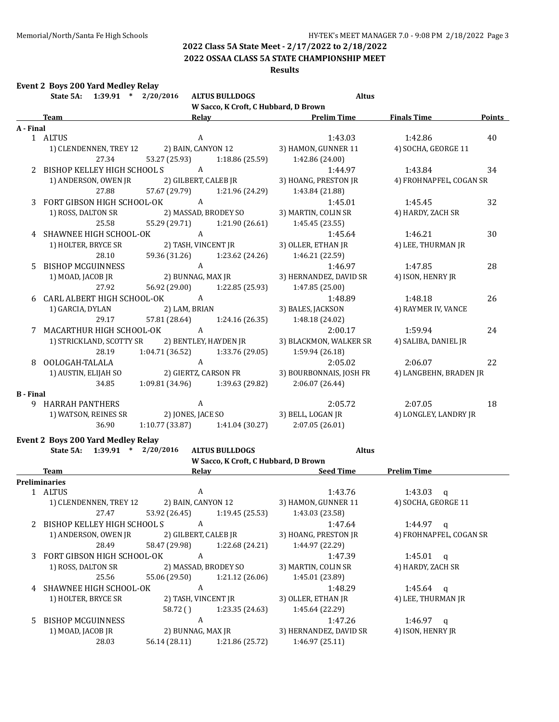#### **2022 OSSAA CLASS 5A STATE CHAMPIONSHIP MEET**

#### **Results**

#### **Event 2 Boys 200 Yard Medley Relay**

|                  | $1:39.91$ * $2/20/2016$<br>State 5A:    |                 | <b>ALTUS BULLDOGS</b>                | <b>Altus</b>                                                          |                         |               |
|------------------|-----------------------------------------|-----------------|--------------------------------------|-----------------------------------------------------------------------|-------------------------|---------------|
|                  |                                         |                 | W Sacco, K Croft, C Hubbard, D Brown |                                                                       |                         |               |
|                  | <b>Team</b>                             |                 |                                      | Relay Prelim Time                                                     | <b>Finals Time</b>      | <b>Points</b> |
| A - Final        |                                         |                 |                                      |                                                                       |                         |               |
|                  | 1 ALTUS                                 |                 | $\mathbf{A}$                         | 1:43.03                                                               | 1:42.86                 | 40            |
|                  | 1) CLENDENNEN, TREY 12                  |                 | 2) BAIN, CANYON 12                   | 3) HAMON, GUNNER 11                                                   | 4) SOCHA, GEORGE 11     |               |
|                  | 27.34                                   |                 |                                      | 53.27 (25.93) 1:18.86 (25.59) 1:42.86 (24.00)                         |                         |               |
|                  | 2 BISHOP KELLEY HIGH SCHOOL S           | A               |                                      | 1:44.97                                                               | 1:43.84                 | 34            |
|                  | 1) ANDERSON, OWEN JR                    |                 | 2) GILBERT, CALEB JR                 | 3) HOANG, PRESTON JR                                                  | 4) FROHNAPFEL, COGAN SR |               |
|                  | 27.88                                   |                 |                                      | 57.67 (29.79) 1:21.96 (24.29) 1:43.84 (21.88)                         |                         |               |
|                  | 3 FORT GIBSON HIGH SCHOOL-OK            | $\overline{A}$  |                                      | 1:45.01                                                               | 1:45.45                 | 32            |
|                  | 1) ROSS, DALTON SR 2) MASSAD, BRODEY SO |                 |                                      | 3) MARTIN, COLIN SR                                                   | 4) HARDY, ZACH SR       |               |
|                  | 25.58                                   |                 |                                      | 55.29 (29.71) 1:21.90 (26.61) 1:45.45 (23.55)                         |                         |               |
| 4                | SHAWNEE HIGH SCHOOL-OK A                |                 |                                      | 1:45.64                                                               | 1:46.21                 | 30            |
|                  | 1) HOLTER, BRYCE SR 2) TASH, VINCENT JR |                 |                                      | 3) OLLER, ETHAN JR                                                    | 4) LEE, THURMAN JR      |               |
|                  | 28.10                                   |                 |                                      | 59.36 (31.26) 1:23.62 (24.26) 1:46.21 (22.59)                         |                         |               |
| $5^{\circ}$      | <b>BISHOP MCGUINNESS</b>                |                 | $\mathbf{A}$                         | 1:46.97                                                               | 1:47.85                 | 28            |
|                  | 1) MOAD, JACOB JR                       |                 |                                      |                                                                       | 4) ISON, HENRY JR       |               |
|                  | 27.92                                   |                 |                                      | 56.92 (29.00) 1:22.85 (25.93) 1:47.85 (25.00)                         |                         |               |
|                  | 6 CARL ALBERT HIGH SCHOOL-OK A          |                 |                                      | 1:48.89                                                               | 1:48.18                 | 26            |
|                  | 1) GARCIA, DYLAN                        | 2) LAM, BRIAN   |                                      | 3) BALES, JACKSON                                                     | 4) RAYMER IV, VANCE     |               |
|                  | 29.17                                   |                 |                                      | 57.81 (28.64) 1:24.16 (26.35) 1:48.18 (24.02)                         |                         |               |
|                  | 7 MACARTHUR HIGH SCHOOL-OK A            |                 |                                      | 2:00.17                                                               | 1:59.94                 | 24            |
|                  |                                         |                 |                                      | 1) STRICKLAND, SCOTTY SR 2) BENTLEY, HAYDEN JR 3) BLACKMON, WALKER SR | 4) SALIBA, DANIEL JR    |               |
|                  | 28.19                                   |                 |                                      | $1:04.71(36.52)$ $1:33.76(29.05)$ $1:59.94(26.18)$                    |                         |               |
| 8                | OOLOGAH-TALALA                          | $\overline{A}$  |                                      | 2:05.02                                                               | 2:06.07                 | 22            |
|                  | 1) AUSTIN, ELIJAH SO                    |                 | 2) GIERTZ, CARSON FR                 | 3) BOURBONNAIS, JOSH FR                                               | 4) LANGBEHN, BRADEN JR  |               |
|                  | 34.85                                   |                 | $1:09.81(34.96)$ $1:39.63(29.82)$    | 2:06.07(26.44)                                                        |                         |               |
| <b>B</b> - Final |                                         |                 |                                      |                                                                       |                         |               |
|                  | 9 HARRAH PANTHERS                       |                 | A                                    | 2:05.72                                                               | 2:07.05                 | 18            |
|                  | 1) WATSON, REINES SR                    |                 |                                      | 2) JONES, JACE SO 3) BELL, LOGAN JR                                   | 4) LONGLEY, LANDRY JR   |               |
|                  | 36.90                                   | 1:10.77 (33.87) | 1:41.04(30.27)                       | 2:07.05(26.01)                                                        |                         |               |

#### **Event 2 Boys 200 Yard Medley Relay**

|    | $\ast$<br>State 5A:<br>1:39.91 | 2/20/2016            | <b>ALTUS BULLDOGS</b>                | <b>Altus</b>           |                         |
|----|--------------------------------|----------------------|--------------------------------------|------------------------|-------------------------|
|    |                                |                      | W Sacco, K Croft, C Hubbard, D Brown |                        |                         |
|    | Team                           | Relav                |                                      | <b>Seed Time</b>       | <b>Prelim Time</b>      |
|    | Preliminaries                  |                      |                                      |                        |                         |
|    | 1 ALTUS                        | A                    |                                      | 1:43.76                | 1:43.03<br>q            |
|    | 1) CLENDENNEN, TREY 12         | 2) BAIN, CANYON 12   |                                      | 3) HAMON, GUNNER 11    | 4) SOCHA, GEORGE 11     |
|    | 27.47                          | 53.92 (26.45)        | 1:19.45(25.53)                       | 1:43.03 (23.58)        |                         |
|    | BISHOP KELLEY HIGH SCHOOL S    | A                    |                                      | 1:47.64                | 1:44.97<br>$\mathbf{q}$ |
|    | 1) ANDERSON, OWEN JR           | 2) GILBERT, CALEB JR |                                      | 3) HOANG, PRESTON JR   | 4) FROHNAPFEL, COGAN SR |
|    | 28.49                          | 58.47 (29.98)        | 1:22.68 (24.21)                      | 1:44.97 (22.29)        |                         |
| 3  | FORT GIBSON HIGH SCHOOL-OK     | A                    |                                      | 1:47.39                | 1:45.01<br>$\alpha$     |
|    | 1) ROSS, DALTON SR             |                      | 2) MASSAD, BRODEY SO                 | 3) MARTIN, COLIN SR    | 4) HARDY, ZACH SR       |
|    | 25.56                          | 55.06 (29.50)        | 1:21.12(26.06)                       | 1:45.01 (23.89)        |                         |
| 4  | SHAWNEE HIGH SCHOOL-OK         | A                    |                                      | 1:48.29                | 1:45.64<br>$\alpha$     |
|    | 1) HOLTER, BRYCE SR            | 2) TASH, VINCENT JR  |                                      | 3) OLLER, ETHAN JR     | 4) LEE, THURMAN JR      |
|    |                                | 58.72()              | 1:23.35 (24.63)                      | 1:45.64 (22.29)        |                         |
| 5. | <b>BISHOP MCGUINNESS</b>       | A                    |                                      | 1:47.26                | 1:46.97<br>a            |
|    | 1) MOAD, JACOB JR              | 2) BUNNAG, MAX JR    |                                      | 3) HERNANDEZ, DAVID SR | 4) ISON, HENRY JR       |
|    | 28.03                          | 56.14 (28.11)        | 1:21.86 (25.72)                      | 1:46.97(25.11)         |                         |
|    |                                |                      |                                      |                        |                         |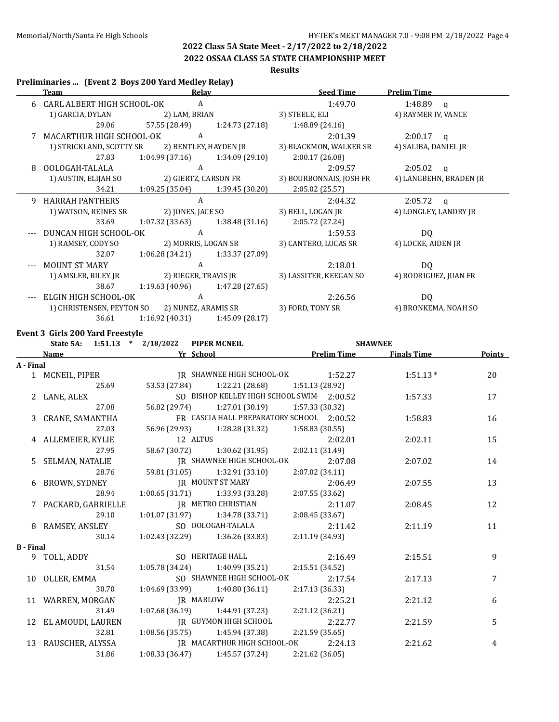# **2022 OSSAA CLASS 5A STATE CHAMPIONSHIP MEET**

### **Results**

#### **Preliminaries ... (Event 2 Boys 200 Yard Medley Relay)**

|   | <b>Team</b>                                   | Relay                                 | <b>Seed Time</b>                                                                           | <b>Prelim Time</b>                                                                       |
|---|-----------------------------------------------|---------------------------------------|--------------------------------------------------------------------------------------------|------------------------------------------------------------------------------------------|
|   | 6 CARL ALBERT HIGH SCHOOL-OK                  | A                                     | 1:49.70                                                                                    | 1:48.89 g                                                                                |
|   | 1) GARCIA, DYLAN 2) LAM, BRIAN                |                                       | 3) STEELE, ELI                                                                             | 4) RAYMER IV, VANCE                                                                      |
|   | 29.06                                         |                                       | 57.55 (28.49) 1:24.73 (27.18) 1:48.89 (24.16)                                              |                                                                                          |
|   | MACARTHUR HIGH SCHOOL-OK A                    |                                       | 2:01.39                                                                                    | $2:00.17$ q                                                                              |
|   |                                               |                                       | 1) STRICKLAND, SCOTTY SR 2) BENTLEY, HAYDEN JR 3) BLACKMON, WALKER SR 4) SALIBA, DANIEL JR |                                                                                          |
|   | 27.83                                         | $1:04.99(37.16)$ $1:34.09(29.10)$     | 2:00.17(26.08)                                                                             |                                                                                          |
| 8 | OOLOGAH-TALALA A                              |                                       | 2:09.57                                                                                    | $2:05.02$ q                                                                              |
|   |                                               |                                       |                                                                                            | 1) AUSTIN, ELIJAH SO 2) GIERTZ, CARSON FR 3) BOURBONNAIS, JOSH FR 4) LANGBEHN, BRADEN JR |
|   |                                               | 34.21 1:09.25 (35.04) 1:39.45 (30.20) | 2:05.02 (25.57)                                                                            |                                                                                          |
| 9 | <b>HARRAH PANTHERS</b>                        | $\mathbf{A}$                          | 2:04.32                                                                                    | $2:05.72$ q                                                                              |
|   | 1) WATSON, REINES SR                          | 2) JONES, JACE SO                     | 3) BELL, LOGAN JR                                                                          | 4) LONGLEY, LANDRY JR                                                                    |
|   | 33.69                                         | $1:07.32(33.63)$ $1:38.48(31.16)$     | 2:05.72 (27.24)                                                                            |                                                                                          |
|   | DUNCAN HIGH SCHOOL-OK                         | A                                     | 1:59.53                                                                                    | DQ                                                                                       |
|   | 1) RAMSEY, CODY SO 2) MORRIS, LOGAN SR        |                                       | 3) CANTERO, LUCAS SR                                                                       | 4) LOCKE, AIDEN JR                                                                       |
|   | 32.07                                         | $1:06.28(34.21)$ $1:33.37(27.09)$     |                                                                                            |                                                                                          |
|   | MOUNT ST MARY                                 | A                                     | 2:18.01                                                                                    | DQ                                                                                       |
|   | 1) AMSLER, RILEY JR 2) RIEGER, TRAVIS JR      |                                       | 3) LASSITER, KEEGAN SO 4) RODRIGUEZ, JUAN FR                                               |                                                                                          |
|   | 38.67                                         | $1:19.63(40.96)$ $1:47.28(27.65)$     |                                                                                            |                                                                                          |
|   | ELGIN HIGH SCHOOL-OK                          | A                                     | 2:26.56                                                                                    | DQ                                                                                       |
|   | 1) CHRISTENSEN, PEYTON SO 2) NUNEZ, ARAMIS SR |                                       | 3) FORD, TONY SR                                                                           | 4) BRONKEMA, NOAH SO                                                                     |
|   | 36.61                                         | $1:16.92(40.31)$ $1:45.09(28.17)$     |                                                                                            |                                                                                          |

#### **Event 3 Girls 200 Yard Freestyle**

|                  |                      | State 5A: 1:51.13 * 2/18/2022 PIPER MCNEIL              |                                                       | <b>SHAWNEE</b>     |                    |               |
|------------------|----------------------|---------------------------------------------------------|-------------------------------------------------------|--------------------|--------------------|---------------|
|                  | Name                 | <b>Example 21 School</b> Press, 2016. The School        |                                                       | <b>Prelim Time</b> | <b>Finals Time</b> | <b>Points</b> |
| A - Final        |                      |                                                         |                                                       |                    |                    |               |
|                  |                      | 1 MCNEIL, PIPER JR SHAWNEE HIGH SCHOOL-OK 1:52.27       |                                                       |                    | $1:51.13*$         | 20            |
|                  | 25.69                |                                                         | 53.53 (27.84) 1:22.21 (28.68) 1:51.13 (28.92)         |                    |                    |               |
|                  | 2 LANE, ALEX         |                                                         | SO BISHOP KELLEY HIGH SCHOOL SWIM 2:00.52             |                    | 1:57.33            | 17            |
|                  | 27.08                |                                                         | 56.82 (29.74) 1:27.01 (30.19) 1:57.33 (30.32)         |                    |                    |               |
|                  | 3 CRANE, SAMANTHA    |                                                         | FR CASCIA HALL PREPARATORY SCHOOL 2:00.52             |                    | 1:58.83            | 16            |
|                  | 27.03                |                                                         | 56.96 (29.93) 1:28.28 (31.32) 1:58.83 (30.55)         |                    |                    |               |
|                  | 4 ALLEMEIER, KYLIE   | 12 ALTUS                                                |                                                       | 2:02.01            | 2:02.11            | 15            |
|                  | 27.95                |                                                         | 58.67 (30.72) 1:30.62 (31.95) 2:02.11 (31.49)         |                    |                    |               |
|                  |                      | 5 SELMAN, NATALIE JR SHAWNEE HIGH SCHOOL-OK 2:07.08     |                                                       |                    | 2:07.02            | 14            |
|                  | 28.76                |                                                         | 59.81 (31.05) 1:32.91 (33.10) 2:07.02 (34.11)         |                    |                    |               |
|                  |                      | 6 BROWN, SYDNEY JR MOUNT ST MARY 2:06.49                |                                                       |                    | 2:07.55            | 13            |
|                  | 28.94                | $1:00.65(31.71)$ $1:33.93(33.28)$                       | 2:07.55(33.62)                                        |                    |                    |               |
|                  | 7 PACKARD, GABRIELLE |                                                         | JR METRO CHRISTIAN 2:11.07                            |                    | 2:08.45            | 12            |
|                  | 29.10                |                                                         | $1:01.07(31.97)$ $1:34.78(33.71)$ $2:08.45(33.67)$    |                    |                    |               |
|                  | 8 RAMSEY, ANSLEY     | SO OOLOGAH-TALALA                                       | 2:11.42                                               |                    | 2:11.19            | 11            |
|                  | 30.14                | $1:02.43$ (32.29) $1:36.26$ (33.83)                     | 2:11.19(34.93)                                        |                    |                    |               |
| <b>B</b> - Final |                      |                                                         |                                                       |                    |                    |               |
|                  | 9 TOLL, ADDY         |                                                         | SO HERITAGE HALL 2:16.49                              |                    | 2:15.51            | 9             |
|                  | 31.54                |                                                         | $1:05.78(34.24)$ $1:40.99(35.21)$ $2:15.51(34.52)$    |                    |                    |               |
|                  | 10 OLLER, EMMA       |                                                         | SO SHAWNEE HIGH SCHOOL-OK                             | 2:17.54            | 2:17.13            | 7             |
|                  | 30.70                |                                                         | $1:04.69$ (33.99) $1:40.80$ (36.11) $2:17.13$ (36.33) |                    |                    |               |
|                  | 11 WARREN, MORGAN    | <b>IR MARLOW</b>                                        |                                                       | 2:25.21            | 2:21.12            | 6             |
|                  | 31.49                |                                                         | $1:07.68(36.19)$ $1:44.91(37.23)$ $2:21.12(36.21)$    |                    |                    |               |
|                  | 12 EL AMOUDI, LAUREN |                                                         | IR GUYMON HIGH SCHOOL 2:22.77                         |                    | 2:21.59            | 5             |
|                  | 32.81                |                                                         | $1:08.56(35.75)$ $1:45.94(37.38)$ $2:21.59(35.65)$    |                    |                    |               |
|                  |                      | 13 RAUSCHER, ALYSSA JR MACARTHUR HIGH SCHOOL-OK 2:24.13 |                                                       |                    | 2:21.62            | 4             |
|                  | 31.86                | $1:08.33(36.47)$ $1:45.57(37.24)$                       | 2:21.62 (36.05)                                       |                    |                    |               |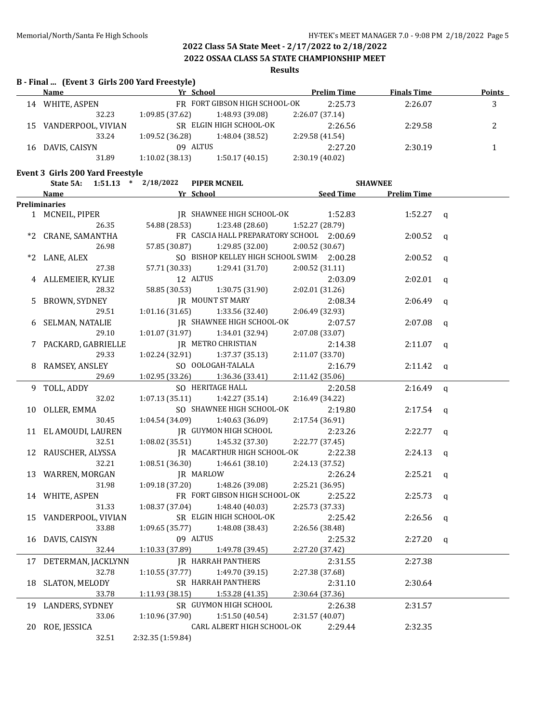**2022 OSSAA CLASS 5A STATE CHAMPIONSHIP MEET**

**Results**

# **B - Final ... (Event 3 Girls 200 Yard Freestyle)**

| Name               |                |                 | <b>Prelim Time</b>                               | <b>Finals Time</b>            | Points |
|--------------------|----------------|-----------------|--------------------------------------------------|-------------------------------|--------|
| WHITE, ASPEN       |                |                 | 2:25.73                                          | 2:26.07                       | 3      |
| 32.23              | 1:09.85(37.62) | 1:48.93 (39.08) | 2:26.07(37.14)                                   |                               |        |
| VANDERPOOL, VIVIAN |                |                 | 2:26.56                                          | 2:29.58                       | ∸      |
| 33.24              | 1:09.52(36.28) | 1:48.04 (38.52) | 2:29.58 (41.54)                                  |                               |        |
| DAVIS, CAISYN      |                |                 | 2:27.20                                          | 2:30.19                       |        |
| 31.89              | 1:10.02(38.13) | 1:50.17(40.15)  | 2:30.19 (40.02)                                  |                               |        |
|                    |                |                 | Yr School<br>SR ELGIN HIGH SCHOOL-OK<br>09 ALTUS | FR FORT GIBSON HIGH SCHOOL-OK |        |

#### **Event 3 Girls 200 Yard Freestyle**

|    | State 5A:             | $1:51.13$ * $2/18/2022$ | <b>PIPER MCNEIL</b>                       |                  | <b>SHAWNEE</b>     |              |
|----|-----------------------|-------------------------|-------------------------------------------|------------------|--------------------|--------------|
|    | Name                  |                         | Yr School                                 | <b>Seed Time</b> | <b>Prelim Time</b> |              |
|    | <b>Preliminaries</b>  |                         |                                           |                  |                    |              |
|    | 1 MCNEIL, PIPER       |                         | IR SHAWNEE HIGH SCHOOL-OK                 | 1:52.83          | 1:52.27            | $\mathbf q$  |
|    | 26.35                 | 54.88 (28.53)           | 1:23.48 (28.60)                           | 1:52.27 (28.79)  |                    |              |
| *2 | CRANE, SAMANTHA       |                         | FR CASCIA HALL PREPARATORY SCHOOL 2:00.69 |                  | 2:00.52            | q            |
|    | 26.98                 | 57.85 (30.87)           | 1:29.85(32.00)                            | 2:00.52 (30.67)  |                    |              |
| *2 | LANE, ALEX            |                         | SO BISHOP KELLEY HIGH SCHOOL SWIM 2:00.28 |                  | 2:00.52            | $\alpha$     |
|    | 27.38                 | 57.71 (30.33)           | 1:29.41 (31.70)                           | 2:00.52 (31.11)  |                    |              |
|    | 4 ALLEMEIER, KYLIE    |                         | 12 ALTUS                                  | 2:03.09          | 2:02.01            | q            |
|    | 28.32                 | 58.85 (30.53)           | 1:30.75 (31.90)                           | 2:02.01 (31.26)  |                    |              |
| 5  | BROWN, SYDNEY         |                         | <b>IR MOUNT ST MARY</b>                   | 2:08.34          | 2:06.49            | $\mathbf{q}$ |
|    | 29.51                 | 1:01.16 (31.65)         | 1:33.56 (32.40)                           | 2:06.49 (32.93)  |                    |              |
| 6  | SELMAN, NATALIE       |                         | <b>JR SHAWNEE HIGH SCHOOL-OK</b>          | 2:07.57          | 2:07.08            | $\mathbf q$  |
|    | 29.10                 | 1:01.07(31.97)          | 1:34.01 (32.94)                           | 2:07.08 (33.07)  |                    |              |
|    | 7 PACKARD, GABRIELLE  |                         | <b>JR METRO CHRISTIAN</b>                 | 2:14.38          | 2:11.07            | $\mathbf q$  |
|    | 29.33                 | 1:02.24(32.91)          | 1:37.37 (35.13)                           | 2:11.07 (33.70)  |                    |              |
|    | 8 RAMSEY, ANSLEY      |                         | SO OOLOGAH-TALALA                         | 2:16.79          | 2:11.42            | q            |
|    | 29.69                 | 1:02.95(33.26)          | 1:36.36 (33.41)                           | 2:11.42 (35.06)  |                    |              |
|    | 9 TOLL, ADDY          |                         | SO HERITAGE HALL                          | 2:20.58          | 2:16.49            | $\mathbf{q}$ |
|    | 32.02                 | 1:07.13(35.11)          | 1:42.27 (35.14)                           | 2:16.49 (34.22)  |                    |              |
| 10 | OLLER, EMMA           |                         | SO SHAWNEE HIGH SCHOOL-OK                 | 2:19.80          | 2:17.54            | $\mathbf q$  |
|    | 30.45                 | 1:04.54(34.09)          | 1:40.63 (36.09)                           | 2:17.54 (36.91)  |                    |              |
|    | 11 EL AMOUDI, LAUREN  |                         | <b>IR GUYMON HIGH SCHOOL</b>              | 2:23.26          | 2:22.77            | $\mathbf q$  |
|    | 32.51                 | 1:08.02 (35.51)         | 1:45.32 (37.30)                           | 2:22.77 (37.45)  |                    |              |
|    | 12 RAUSCHER, ALYSSA   |                         | IR MACARTHUR HIGH SCHOOL-OK               | 2:22.38          | 2:24.13            | $\mathbf q$  |
|    | 32.21                 | 1:08.51(36.30)          | 1:46.61(38.10)                            | 2:24.13 (37.52)  |                    |              |
|    | 13 WARREN, MORGAN     |                         | JR MARLOW                                 | 2:26.24          | 2:25.21            | $\mathbf q$  |
|    | 31.98                 | 1:09.18(37.20)          | 1:48.26 (39.08)                           | 2:25.21 (36.95)  |                    |              |
| 14 | WHITE, ASPEN          |                         | FR FORT GIBSON HIGH SCHOOL-OK             | 2:25.22          | 2:25.73            | $\mathbf q$  |
|    | 31.33                 | 1:08.37(37.04)          | 1:48.40 (40.03)                           | 2:25.73 (37.33)  |                    |              |
| 15 | VANDERPOOL, VIVIAN    |                         | SR ELGIN HIGH SCHOOL-OK                   | 2:25.42          | 2:26.56            | $\mathsf{q}$ |
|    | 33.88                 | 1:09.65(35.77)          | 1:48.08 (38.43)                           | 2:26.56 (38.48)  |                    |              |
|    | 16 DAVIS, CAISYN      |                         | 09 ALTUS                                  | 2:25.32          | 2:27.20            | $\mathsf{q}$ |
|    | 32.44                 | 1:10.33 (37.89)         | 1:49.78 (39.45)                           | 2:27.20 (37.42)  |                    |              |
|    | 17 DETERMAN, JACKLYNN |                         | <b>JR HARRAH PANTHERS</b>                 | 2:31.55          | 2:27.38            |              |
|    | 32.78                 | 1:10.55(37.77)          | 1:49.70 (39.15)                           | 2:27.38 (37.68)  |                    |              |
| 18 | SLATON, MELODY        |                         | SR HARRAH PANTHERS                        | 2:31.10          | 2:30.64            |              |
|    | 33.78                 | 1:11.93(38.15)          | 1:53.28 (41.35)                           | 2:30.64 (37.36)  |                    |              |
|    | 19 LANDERS, SYDNEY    |                         | SR GUYMON HIGH SCHOOL                     | 2:26.38          | 2:31.57            |              |
|    | 33.06                 | 1:10.96 (37.90)         | 1:51.50 (40.54)                           | 2:31.57 (40.07)  |                    |              |
|    | 20 ROE, JESSICA       |                         | CARL ALBERT HIGH SCHOOL-OK                | 2:29.44          | 2:32.35            |              |
|    | 32.51                 | 2:32.35 (1:59.84)       |                                           |                  |                    |              |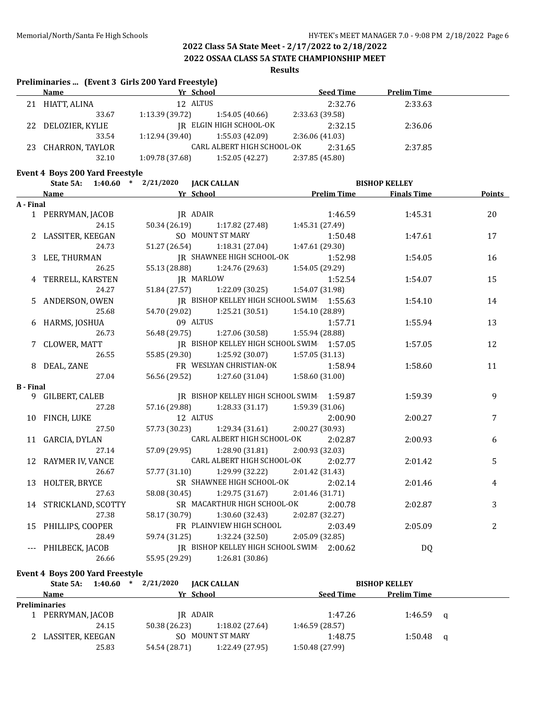#### **2022 OSSAA CLASS 5A STATE CHAMPIONSHIP MEET**

#### **Results**

#### **Preliminaries ... (Event 3 Girls 200 Yard Freestyle)**

|    | <b>Name</b>     | Yr School       |                            | <b>Seed Time</b> | <b>Prelim Time</b> |  |
|----|-----------------|-----------------|----------------------------|------------------|--------------------|--|
| 21 | HIATT, ALINA    | 12 ALTUS        |                            | 2:32.76          | 2:33.63            |  |
|    | 33.67           | 1:13.39 (39.72) | 1:54.05 (40.66)            | 2:33.63 (39.58)  |                    |  |
| 22 | DELOZIER, KYLIE |                 | IR ELGIN HIGH SCHOOL-OK    | 2:32.15          | 2:36.06            |  |
|    | 33.54           | 1:12.94 (39.40) | 1:55.03 (42.09)            | 2:36.06 (41.03)  |                    |  |
| 23 | CHARRON, TAYLOR |                 | CARL ALBERT HIGH SCHOOL-OK | 2:31.65          | 2:37.85            |  |
|    | 32.10           | 1:09.78(37.68)  | 1:52.05(42.27)             | 2:37.85 (45.80)  |                    |  |

#### **Event 4 Boys 200 Yard Freestyle**

|                  | State 5A: 1:40.60 * 2/21/2020 JACK CALLAN  |               |                                               |                                   | <b>BISHOP KELLEY</b> |               |
|------------------|--------------------------------------------|---------------|-----------------------------------------------|-----------------------------------|----------------------|---------------|
|                  | <b>Example 20 Yr School</b><br><b>Name</b> |               |                                               | <b>Example 12 Prelim Time</b>     | <b>Finals Time</b>   | <b>Points</b> |
| A - Final        |                                            |               |                                               |                                   |                      |               |
|                  | 1 PERRYMAN, JACOB                          | JR ADAIR      |                                               | 1:46.59                           | 1:45.31              | 20            |
|                  | 24.15                                      |               | 50.34 (26.19) 1:17.82 (27.48)                 | 1:45.31 (27.49)                   |                      |               |
|                  | 2 LASSITER, KEEGAN                         |               | SO MOUNT ST MARY                              | 1:50.48                           | 1:47.61              | 17            |
|                  | 24.73                                      |               | 51.27 (26.54) 1:18.31 (27.04)                 | 1:47.61 (29.30)                   |                      |               |
|                  | 3 LEE, THURMAN                             |               | IR SHAWNEE HIGH SCHOOL-OK                     | 1:52.98                           | 1:54.05              | 16            |
|                  | 26.25                                      | 55.13 (28.88) |                                               | $1:24.76(29.63)$ $1:54.05(29.29)$ |                      |               |
|                  | 4 TERRELL, KARSTEN                         |               | JR MARLOW                                     | 1:52.54                           | 1:54.07              | 15            |
|                  | 24.27                                      |               | 51.84 (27.57) 1:22.09 (30.25)                 | 1:54.07 (31.98)                   |                      |               |
|                  | 5 ANDERSON, OWEN                           |               | IR BISHOP KELLEY HIGH SCHOOL SWIM 1:55.63     |                                   | 1:54.10              | 14            |
|                  | 25.68                                      |               | 54.70 (29.02) 1:25.21 (30.51)                 | 1:54.10 (28.89)                   |                      |               |
|                  | 6 HARMS, JOSHUA                            |               | 09 ALTUS                                      | 1:57.71                           | 1:55.94              | 13            |
|                  | 26.73                                      |               | 56.48 (29.75) 1:27.06 (30.58) 1:55.94 (28.88) |                                   |                      |               |
|                  | 7 CLOWER, MATT                             |               | IR BISHOP KELLEY HIGH SCHOOL SWIM 1:57.05     |                                   | 1:57.05              | 12            |
|                  | 26.55                                      |               | 55.85 (29.30) 1:25.92 (30.07) 1:57.05 (31.13) |                                   |                      |               |
|                  | 8 DEAL, ZANE                               |               | FR WESLYAN CHRISTIAN-OK                       | 1:58.94                           | 1:58.60              | 11            |
|                  | 27.04                                      |               | 56.56 (29.52) 1:27.60 (31.04)                 | 1:58.60 (31.00)                   |                      |               |
| <b>B</b> - Final |                                            |               |                                               |                                   |                      |               |
|                  | 9 GILBERT, CALEB                           |               | IR BISHOP KELLEY HIGH SCHOOL SWIM 1:59.87     |                                   | 1:59.39              | 9             |
|                  | 27.28                                      |               | 57.16 (29.88) 1:28.33 (31.17) 1:59.39 (31.06) |                                   |                      |               |
|                  | 10 FINCH, LUKE                             |               | 12 ALTUS                                      | 2:00.90                           | 2:00.27              | 7             |
|                  | 27.50                                      |               | 57.73 (30.23) 1:29.34 (31.61)                 | 2:00.27 (30.93)                   |                      |               |
|                  | 11 GARCIA, DYLAN                           |               | CARL ALBERT HIGH SCHOOL-OK                    | 2:02.87                           | 2:00.93              | 6             |
|                  | 27.14                                      |               | 57.09 (29.95) 1:28.90 (31.81) 2:00.93 (32.03) |                                   |                      |               |
|                  | 12 RAYMER IV, VANCE                        |               | CARL ALBERT HIGH SCHOOL-OK                    | 2:02.77                           | 2:01.42              | 5             |
|                  | 26.67                                      | 57.77 (31.10) |                                               | 1:29.99 (32.22) 2:01.42 (31.43)   |                      |               |
|                  | 13 HOLTER, BRYCE                           |               | SR SHAWNEE HIGH SCHOOL-OK                     | 2:02.14                           | 2:01.46              | 4             |
|                  | 27.63                                      |               | 58.08 (30.45) 1:29.75 (31.67) 2:01.46 (31.71) |                                   |                      |               |
|                  | 14 STRICKLAND, SCOTTY                      |               | SR MACARTHUR HIGH SCHOOL-OK                   | 2:00.78                           | 2:02.87              | 3             |
|                  | 27.38                                      |               | 58.17 (30.79) 1:30.60 (32.43) 2:02.87 (32.27) |                                   |                      |               |
|                  | 15 PHILLIPS, COOPER                        |               | FR PLAINVIEW HIGH SCHOOL 2:03.49              |                                   | 2:05.09              | 2             |
|                  | 28.49                                      |               | 59.74 (31.25) 1:32.24 (32.50) 2:05.09 (32.85) |                                   |                      |               |
|                  | --- PHILBECK, JACOB                        |               | IR BISHOP KELLEY HIGH SCHOOL SWIM 2:00.62     |                                   | DQ                   |               |
|                  | 26.66                                      |               | 55.95 (29.29) 1:26.81 (30.86)                 |                                   |                      |               |

#### **Event 4 Boys 200 Yard Freestyle**

| 1:40.60<br>State 5A:<br>$\ast$ | 2/21/2020<br><b>JACK CALLAN</b>  | <b>BISHOP KELLEY</b>                   |  |
|--------------------------------|----------------------------------|----------------------------------------|--|
| Name                           | Yr School                        | <b>Prelim Time</b><br><b>Seed Time</b> |  |
| <b>Preliminaries</b>           |                                  |                                        |  |
| PERRYMAN, JACOB                | IR ADAIR                         | 1:47.26<br>$1:46.59$ q                 |  |
| 24.15                          | 50.38 (26.23)<br>1:18.02(27.64)  | 1:46.59(28.57)                         |  |
| 2 LASSITER, KEEGAN             | SO MOUNT ST MARY                 | 1:48.75<br>$1:50.48$ q                 |  |
| 25.83                          | 54.54 (28.71)<br>1:22.49 (27.95) | 1:50.48 (27.99)                        |  |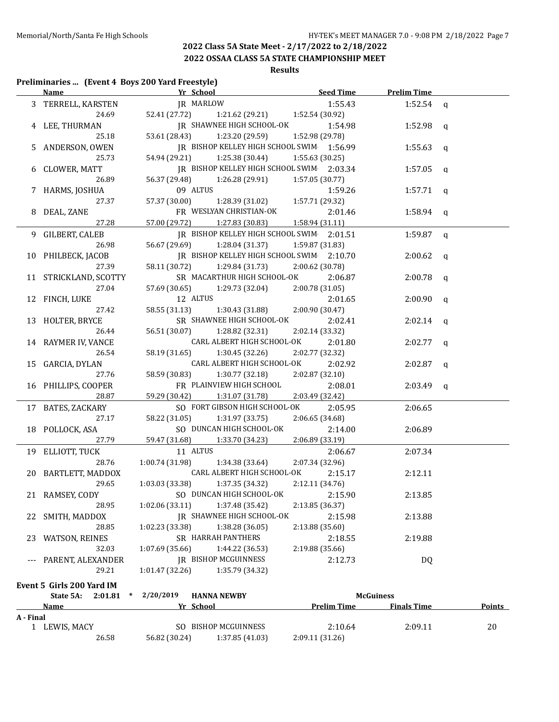**2022 OSSAA CLASS 5A STATE CHAMPIONSHIP MEET**

# **Results**

#### **Preliminaries ... (Event 4 Boys 200 Yard Freestyle)**

|           |                                | Name The Prelim Time Seed Time Prelim Time    |                                   |                    |               |
|-----------|--------------------------------|-----------------------------------------------|-----------------------------------|--------------------|---------------|
|           | 3 TERRELL, KARSTEN             | JR MARLOW                                     | 1:55.43                           | 1:52.54 $q$        |               |
|           | 24.69                          | 52.41 (27.72) 1:21.62 (29.21) 1:52.54 (30.92) |                                   |                    |               |
|           | 4 LEE, THURMAN                 | JR SHAWNEE HIGH SCHOOL-OK                     | 1:54.98                           | 1:52.98 $q$        |               |
|           | 25.18                          | 53.61 (28.43)<br>1:23.20 (29.59)              | 1:52.98 (29.78)                   |                    |               |
|           | ANDERSON, OWEN                 | JR BISHOP KELLEY HIGH SCHOOL SWIM 1:56.99     |                                   | 1:55.63 q          |               |
|           | 25.73                          | 54.94 (29.21)                                 | 1:25.38 (30.44)   1:55.63 (30.25) |                    |               |
| 6         | CLOWER, MATT                   | IR BISHOP KELLEY HIGH SCHOOL SWIM 2:03.34     |                                   | 1:57.05            | $\mathbf{q}$  |
|           | 26.89                          | 56.37 (29.48)<br>1:26.28 (29.91)              | 1:57.05(30.77)                    |                    |               |
|           | 7 HARMS, JOSHUA                | 09 ALTUS                                      | 1:59.26                           | 1:57.71 $q$        |               |
|           | 27.37                          | 57.37 (30.00)                                 | $1:28.39(31.02)$ $1:57.71(29.32)$ |                    |               |
| 8         | DEAL, ZANE                     | FR WESLYAN CHRISTIAN-OK                       | 2:01.46                           | $1:58.94$ q        |               |
|           | 27.28                          | 57.00 (29.72) 1:27.83 (30.83)                 | 1:58.94 (31.11)                   |                    |               |
| 9.        | GILBERT, CALEB                 | IR BISHOP KELLEY HIGH SCHOOL SWIM 2:01.51     |                                   | 1:59.87            | q             |
|           | 26.98                          | 56.67 (29.69) 1:28.04 (31.37)                 | 1:59.87 (31.83)                   |                    |               |
|           | 10 PHILBECK, JACOB             | JR BISHOP KELLEY HIGH SCHOOL SWIM 2:10.70     |                                   | $2:00.62$ q        |               |
|           | 27.39                          | 58.11 (30.72) 1:29.84 (31.73)                 | 2:00.62 (30.78)                   |                    |               |
|           | 11 STRICKLAND, SCOTTY          | SR MACARTHUR HIGH SCHOOL-OK                   | 2:06.87                           | $2:00.78$ q        |               |
|           | 27.04                          | 57.69 (30.65)<br>1:29.73 (32.04)              | 2:00.78 (31.05)                   |                    |               |
|           | 12 FINCH, LUKE                 | 12 ALTUS                                      | 2:01.65                           | $2:00.90$ q        |               |
|           | 27.42                          | 58.55 (31.13)<br>1:30.43 (31.88)              | 2:00.90 (30.47)                   |                    |               |
|           | 13 HOLTER, BRYCE               | SR SHAWNEE HIGH SCHOOL-OK                     | 2:02.41                           |                    |               |
|           | 26.44                          | 56.51 (30.07)                                 | 2:02.14 (33.32)                   | $2:02.14$ q        |               |
|           |                                | 1:28.82 (32.31)<br>CARL ALBERT HIGH SCHOOL-OK | 2:01.80                           |                    |               |
|           | 14 RAYMER IV, VANCE<br>26.54   |                                               |                                   | $2:02.77$ q        |               |
|           |                                | 58.19 (31.65)<br>1:30.45 (32.26)              | 2:02.77 (32.32)                   |                    |               |
|           | 15 GARCIA, DYLAN               | CARL ALBERT HIGH SCHOOL-OK                    | 2:02.92                           | $2:02.87$ q        |               |
|           | 27.76                          | 58.59 (30.83)<br>1:30.77 (32.18)              | 2:02.87 (32.10)                   |                    |               |
|           | 16 PHILLIPS, COOPER            | FR PLAINVIEW HIGH SCHOOL                      | 2:08.01                           | $2:03.49$ q        |               |
|           | 28.87                          | 59.29 (30.42) 1:31.07 (31.78)                 | 2:03.49 (32.42)                   |                    |               |
|           | 17 BATES, ZACKARY              | SO FORT GIBSON HIGH SCHOOL-OK                 | 2:05.95                           | 2:06.65            |               |
|           | 27.17                          | 58.22 (31.05)<br>1:31.97 (33.75)              | 2:06.65 (34.68)                   |                    |               |
|           | 18 POLLOCK, ASA                | SO DUNCAN HIGH SCHOOL-OK                      | 2:14.00                           | 2:06.89            |               |
|           | 27.79                          | 59.47 (31.68) 1:33.70 (34.23)                 | 2:06.89 (33.19)                   |                    |               |
|           | 19 ELLIOTT, TUCK               | 11 ALTUS                                      | 2:06.67                           | 2:07.34            |               |
|           | 28.76                          | 1:00.74(31.98)<br>1:34.38 (33.64)             | 2:07.34 (32.96)                   |                    |               |
|           | 20 BARTLETT, MADDOX            | CARL ALBERT HIGH SCHOOL-OK                    | 2:15.17                           | 2:12.11            |               |
|           | 29.65                          | 1:03.03 (33.38)<br>1:37.35 (34.32)            | 2:12.11 (34.76)                   |                    |               |
|           | 21 RAMSEY, CODY                | SO DUNCAN HIGH SCHOOL-OK 2:15.90              |                                   | 2:13.85            |               |
|           | 28.95                          | 1:02.06 (33.11)<br>1:37.48 (35.42)            | 2:13.85 (36.37)                   |                    |               |
| 22        | SMITH, MADDOX                  | <b>IR SHAWNEE HIGH SCHOOL-OK</b>              | 2:15.98                           | 2:13.88            |               |
|           | 28.85                          | 1:02.23(33.38)<br>1:38.28 (36.05)             | 2:13.88 (35.60)                   |                    |               |
|           | 23 WATSON, REINES              | SR HARRAH PANTHERS                            | 2:18.55                           | 2:19.88            |               |
|           | 32.03                          | 1:07.69(35.66)<br>1:44.22 (36.53)             | 2:19.88 (35.66)                   |                    |               |
|           | PARENT, ALEXANDER              | <b>JR BISHOP MCGUINNESS</b>                   | 2:12.73                           | DQ                 |               |
|           | 29.21                          | 1:35.79 (34.32)<br>1:01.47 (32.26)            |                                   |                    |               |
|           | Event 5 Girls 200 Yard IM      |                                               |                                   |                    |               |
|           | State 5A:<br>2:01.81<br>$\ast$ | 2/20/2019<br><b>HANNA NEWBY</b>               |                                   | <b>McGuiness</b>   |               |
|           | Name                           | Yr School                                     | <b>Prelim Time</b>                | <b>Finals Time</b> | <b>Points</b> |
| A - Final |                                |                                               |                                   |                    |               |
|           | 1 LEWIS, MACY                  | SO BISHOP MCGUINNESS                          | 2:10.64                           | 2:09.11            | 20            |
|           | 26.58                          | 56.82 (30.24)<br>1:37.85 (41.03)              | 2:09.11 (31.26)                   |                    |               |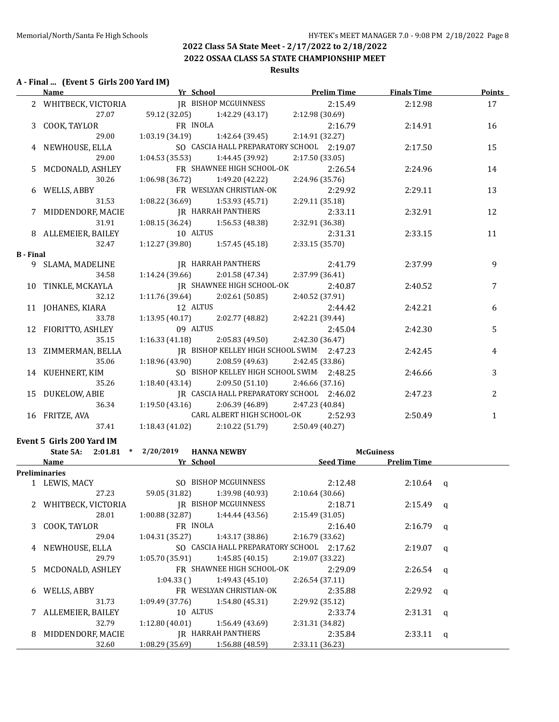**2022 OSSAA CLASS 5A STATE CHAMPIONSHIP MEET**

#### **Results**

#### **A - Final ... (Event 5 Girls 200 Yard IM)**

|                  | <b>Name</b>                               |                                                     | <b>The School Prelim Time</b>                 |                 |         | <b>Finals Time</b>    | Points       |
|------------------|-------------------------------------------|-----------------------------------------------------|-----------------------------------------------|-----------------|---------|-----------------------|--------------|
|                  | 2 WHITBECK, VICTORIA                      |                                                     | <b>IR BISHOP MCGUINNESS</b>                   |                 | 2:15.49 | 2:12.98               | 17           |
|                  | 27.07                                     |                                                     | 59.12 (32.05) 1:42.29 (43.17) 2:12.98 (30.69) |                 |         |                       |              |
|                  | 3 COOK, TAYLOR                            | FR INOLA                                            |                                               |                 | 2:16.79 | 2:14.91               | 16           |
|                  | 29.00                                     | $1:03.19(34.19)$ $1:42.64(39.45)$                   |                                               | 2:14.91 (32.27) |         |                       |              |
|                  | 4 NEWHOUSE, ELLA                          |                                                     | SO CASCIA HALL PREPARATORY SCHOOL 2:19.07     |                 |         | 2:17.50               | 15           |
|                  | 29.00                                     | 1:04.53 (35.53)                                     | 1:44.45 (39.92)                               | 2:17.50 (33.05) |         |                       |              |
|                  | 5 MCDONALD, ASHLEY                        |                                                     | FR SHAWNEE HIGH SCHOOL-OK                     |                 | 2:26.54 | 2:24.96               | 14           |
|                  | 30.26                                     | 1:06.98 (36.72)                                     | 1:49.20 (42.22)                               | 2:24.96 (35.76) |         |                       |              |
|                  | 6 WELLS, ABBY                             |                                                     | FR WESLYAN CHRISTIAN-OK                       |                 | 2:29.92 | 2:29.11               | 13           |
|                  | 31.53                                     | $1:08.22(36.69)$ $1:53.93(45.71)$                   |                                               | 2:29.11(35.18)  |         |                       |              |
|                  | 7 MIDDENDORF, MACIE                       | IR HARRAH PANTHERS                                  |                                               |                 | 2:33.11 | 2:32.91               | 12           |
|                  | 31.91                                     | $1:08.15(36.24)$ $1:56.53(48.38)$                   |                                               | 2:32.91 (36.38) |         |                       |              |
|                  | 8 ALLEMEIER, BAILEY                       | 10 ALTUS                                            |                                               |                 | 2:31.31 | 2:33.15               | 11           |
|                  | 32.47                                     | $1:12.27(39.80)$ $1:57.45(45.18)$                   |                                               | 2:33.15 (35.70) |         |                       |              |
| <b>B</b> - Final |                                           |                                                     |                                               |                 |         |                       |              |
|                  | 9 SLAMA, MADELINE                         | IR HARRAH PANTHERS                                  |                                               |                 | 2:41.79 | 2:37.99               | 9            |
|                  | 34.58                                     | $1:14.24(39.66)$ $2:01.58(47.34)$                   |                                               | 2:37.99 (36.41) |         |                       |              |
|                  | 10 TINKLE, MCKAYLA                        | <b>IR SHAWNEE HIGH SCHOOL-OK</b>                    |                                               |                 | 2:40.87 | 2:40.52               | 7            |
|                  | 32.12                                     | $1:11.76(39.64)$ $2:02.61(50.85)$                   |                                               | 2:40.52 (37.91) |         |                       |              |
|                  | 11 JOHANES, KIARA                         | 12 ALTUS                                            |                                               |                 | 2:44.42 | 2:42.21               | 6            |
|                  | 33.78                                     | 1:13.95 (40.17) $2:02.77$ (48.82) $2:42.21$ (39.44) |                                               |                 |         |                       |              |
|                  | 12 FIORITTO, ASHLEY                       |                                                     | 09 ALTUS                                      |                 | 2:45.04 | 2:42.30               | 5            |
|                  | 35.15                                     | $1:16.33(41.18)$ $2:05.83(49.50)$ $2:42.30(36.47)$  |                                               |                 |         |                       |              |
|                  | 13 ZIMMERMAN, BELLA                       | IR BISHOP KELLEY HIGH SCHOOL SWIM 2:47.23           |                                               |                 |         | 2:42.45               | 4            |
|                  | 35.06                                     | $1:18.96(43.90)$ $2:08.59(49.63)$ $2:42.45(33.86)$  |                                               |                 |         |                       |              |
|                  | 14 KUEHNERT, KIM                          |                                                     | SO BISHOP KELLEY HIGH SCHOOL SWIM 2:48.25     |                 |         | 2:46.66               | 3            |
|                  | 35.26                                     | 1:18.40 (43.14) 2:09.50 (51.10) 2:46.66 (37.16)     |                                               |                 |         |                       |              |
|                  | 15 DUKELOW, ABIE                          |                                                     | JR CASCIA HALL PREPARATORY SCHOOL 2:46.02     |                 |         | 2:47.23               | 2            |
|                  | 36.34                                     | 1:19.50 (43.16) $2:06.39$ (46.89) $2:47.23$ (40.84) |                                               |                 |         |                       |              |
|                  | 16 FRITZE, AVA                            |                                                     | CARL ALBERT HIGH SCHOOL-OK 2:52.93            |                 |         | 2:50.49               | $\mathbf{1}$ |
|                  | 37.41                                     | 1:18.43 (41.02) 2:10.22 (51.79) 2:50.49 (40.27)     |                                               |                 |         |                       |              |
|                  | Event 5 Girls 200 Yard IM                 |                                                     |                                               |                 |         |                       |              |
|                  | State 5A: 2:01.81 * 2/20/2019 HANNA NEWBY |                                                     |                                               |                 |         | <b>McGuiness</b>      |              |
|                  | Name                                      | Yr School                                           |                                               |                 |         | Seed Time Prelim Time |              |
|                  | Preliminaries                             |                                                     |                                               |                 |         |                       |              |
|                  |                                           |                                                     |                                               |                 |         |                       |              |

|   | 'reliminaries        |                 |                                           |                 |             |          |
|---|----------------------|-----------------|-------------------------------------------|-----------------|-------------|----------|
|   | 1 LEWIS, MACY        |                 | SO BISHOP MCGUINNESS                      | 2:12.48         | $2:10.64$ q |          |
|   | 27.23                |                 | 59.05 (31.82) 1:39.98 (40.93)             | 2:10.64(30.66)  |             |          |
|   | 2 WHITBECK, VICTORIA |                 | IR BISHOP MCGUINNESS                      | 2:18.71         | $2:15.49$ q |          |
|   | 28.01                | 1:00.88 (32.87) | 1:44.44 (43.56)                           | 2:15.49(31.05)  |             |          |
|   | 3 COOK, TAYLOR       | FR INOLA        |                                           | 2:16.40         | $2:16.79$ q |          |
|   | 29.04                | 1:04.31 (35.27) | 1:43.17 (38.86)                           | 2:16.79(33.62)  |             |          |
|   | 4 NEWHOUSE, ELLA     |                 | SO CASCIA HALL PREPARATORY SCHOOL 2:17.62 |                 | $2:19.07$ q |          |
|   | 29.79                | 1:05.70 (35.91) | 1:45.85 (40.15)                           | 2:19.07 (33.22) |             |          |
|   | 5 MCDONALD, ASHLEY   |                 | FR SHAWNEE HIGH SCHOOL-OK                 | 2:29.09         | $2:26.54$ q |          |
|   |                      | $1:04.33$ ()    | 1:49.43 (45.10)                           | 2:26.54(37.11)  |             |          |
| 6 | WELLS, ABBY          |                 | FR WESLYAN CHRISTIAN-OK                   | 2:35.88         | $2:29.92$ q |          |
|   | 31.73                | 1:09.49 (37.76) | 1:54.80 (45.31)                           | 2:29.92 (35.12) |             |          |
|   | 7 ALLEMEIER, BAILEY  | 10 ALTUS        |                                           | 2:33.74         | $2:31.31$ q |          |
|   | 32.79                | 1:12.80 (40.01) | 1:56.49 (43.69)                           | 2:31.31 (34.82) |             |          |
| 8 | MIDDENDORF, MACIE    |                 | IR HARRAH PANTHERS                        | 2:35.84         | 2:33.11     | $\alpha$ |
|   | 32.60                | 1:08.29(35.69)  | 1:56.88 (48.59)                           | 2:33.11 (36.23) |             |          |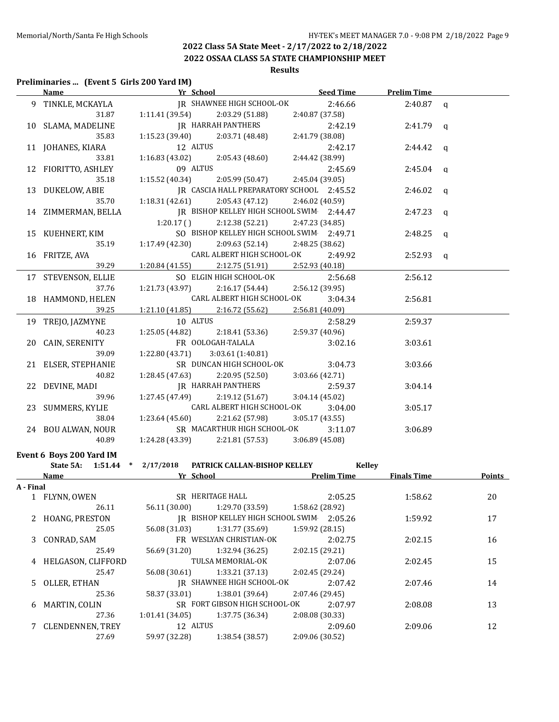**2022 OSSAA CLASS 5A STATE CHAMPIONSHIP MEET**

# **Results**

#### **Preliminaries ... (Event 5 Girls 200 Yard IM)**

|           | Name Seed Time Prelim Time                                                     |                 |                                                                                                                                                                                                                          |                 |         |             |              |
|-----------|--------------------------------------------------------------------------------|-----------------|--------------------------------------------------------------------------------------------------------------------------------------------------------------------------------------------------------------------------|-----------------|---------|-------------|--------------|
|           | 9 TINKLE, MCKAYLA                                                              |                 | JR SHAWNEE HIGH SCHOOL-OK 2:46.66                                                                                                                                                                                        |                 |         | $2:40.87$ q |              |
|           |                                                                                |                 |                                                                                                                                                                                                                          | 2:40.87 (37.58) |         |             |              |
|           | 10 SLAMA, MADELINE                                                             |                 |                                                                                                                                                                                                                          |                 | 2:42.19 | 2:41.79 $q$ |              |
|           |                                                                                |                 |                                                                                                                                                                                                                          | 2:41.79 (38.08) |         |             |              |
|           | 11 JOHANES, KIARA                                                              |                 |                                                                                                                                                                                                                          |                 | 2:42.17 | 2:44.42 $q$ |              |
|           |                                                                                |                 | AYLA JN<br>31.87 1:11.41 (39.54) 2:03.29 (51.88) 2:03.00<br>ELINE JR HARRAH PANTHERS<br>35.83 1:15.23 (39.40) 2:03.71 (48.48) 2:41.79 (3<br>ARA 12 ALTUS<br>33.81 1:16.83 (43.02) 2:05.43 (48.60) 2:44.42 (3<br>09 ALTUS | 2:44.42 (38.99) |         |             |              |
|           | 12 FIORITTO, ASHLEY                                                            |                 |                                                                                                                                                                                                                          |                 | 2:45.69 | $2:45.04$ q |              |
|           | 35.18                                                                          |                 | 1:15.52 (40.34) 2:05.99 (50.47)                                                                                                                                                                                          | 2:45.04(39.05)  |         |             |              |
|           | 13 DUKELOW, ABIE                                                               |                 | JR CASCIA HALL PREPARATORY SCHOOL 2:45.52                                                                                                                                                                                |                 |         | 2:46.02 q   |              |
|           | 35.70                                                                          |                 | $1:18.31(42.61)$ $2:05.43(47.12)$                                                                                                                                                                                        | 2:46.02 (40.59) |         |             |              |
|           | 14 ZIMMERMAN, BELLA                                                            |                 | IR BISHOP KELLEY HIGH SCHOOL SWIM 2:44.47                                                                                                                                                                                |                 |         | 2:47.23 q   |              |
|           |                                                                                |                 | $1:20.17$ () $2:12.38$ (52.21)                                                                                                                                                                                           |                 |         |             |              |
|           |                                                                                |                 |                                                                                                                                                                                                                          | 2:47.23 (34.85) |         |             |              |
|           | 15 KUEHNERT, KIM<br>35.19                                                      |                 | SO BISHOP KELLEY HIGH SCHOOL SWIM 2:49.71                                                                                                                                                                                |                 |         | 2:48.25     | $\mathsf{q}$ |
|           |                                                                                |                 | $1:17.49$ (42.30) $2:09.63$ (52.14) $2:48.25$ (38.62)                                                                                                                                                                    |                 |         |             |              |
|           | 16 FRITZE, AVA                                                                 |                 | CARL ALBERT HIGH SCHOOL-OK 2:49.92                                                                                                                                                                                       |                 |         | $2:52.93$ q |              |
|           | 39.29                                                                          |                 | $1:20.84(41.55)$ $2:12.75(51.91)$ $2:52.93(40.18)$                                                                                                                                                                       |                 |         |             |              |
|           | 17 STEVENSON, ELLIE                                                            |                 | SO ELGIN HIGH SCHOOL-OK                                                                                                                                                                                                  |                 | 2:56.68 | 2:56.12     |              |
|           | 37.76                                                                          |                 | 1:21.73 (43.97) 2:16.17 (54.44)                                                                                                                                                                                          | 2:56.12 (39.95) |         |             |              |
|           | 18 HAMMOND, HELEN                                                              |                 | CARL ALBERT HIGH SCHOOL-OK                                                                                                                                                                                               |                 | 3:04.34 | 2:56.81     |              |
|           | 39.25                                                                          |                 | $1:21.10(41.85)$ $2:16.72(55.62)$ $2:56.81(40.09)$                                                                                                                                                                       |                 |         |             |              |
|           | 19 TREJO, JAZMYNE                                                              | 10 ALTUS        |                                                                                                                                                                                                                          |                 | 2:58.29 | 2:59.37     |              |
|           | 40.23                                                                          |                 | 1:25.05 (44.82) 2:18.41 (53.36) 2:59.37 (40.96)                                                                                                                                                                          |                 |         |             |              |
|           | 20 CAIN, SERENITY                                                              |                 | FR OOLOGAH-TALALA 3:02.16                                                                                                                                                                                                |                 |         | 3:03.61     |              |
|           | 39.09                                                                          | 1:22.80 (43.71) | 3:03.61(1:40.81)                                                                                                                                                                                                         |                 |         |             |              |
|           | 21 ELSER, STEPHANIE                                                            |                 | SR DUNCAN HIGH SCHOOL-OK                                                                                                                                                                                                 |                 | 3:04.73 | 3:03.66     |              |
|           | 40.82                                                                          |                 | $1:28.45(47.63)$ $2:20.95(52.50)$                                                                                                                                                                                        | 3:03.66 (42.71) |         |             |              |
|           | 22 DEVINE, MADI                                                                |                 | JR HARRAH PANTHERS                                                                                                                                                                                                       |                 | 2:59.37 | 3:04.14     |              |
|           | 39.96                                                                          |                 | $1:27.45(47.49)$ $2:19.12(51.67)$                                                                                                                                                                                        | 3:04.14(45.02)  |         |             |              |
|           | 23 SUMMERS, KYLIE                                                              |                 | <b>CARL ALBERT HIGH SCHOOL-OK</b>                                                                                                                                                                                        |                 | 3:04.00 | 3:05.17     |              |
|           | 38.04                                                                          |                 | $1:23.64(45.60)$ $2:21.62(57.98)$                                                                                                                                                                                        | 3:05.17(43.55)  |         |             |              |
|           |                                                                                |                 | SR MACARTHUR HIGH SCHOOL-OK                                                                                                                                                                                              |                 |         |             |              |
|           | 24 BOU ALWAN, NOUR                                                             |                 |                                                                                                                                                                                                                          |                 | 3:11.07 | 3:06.89     |              |
|           | 40.89                                                                          |                 | $1:24.28(43.39)$ $2:21.81(57.53)$ $3:06.89(45.08)$                                                                                                                                                                       |                 |         |             |              |
|           | Event 6 Boys 200 Yard IM                                                       |                 |                                                                                                                                                                                                                          |                 |         |             |              |
|           | State 5A: 1:51.44 * 2/17/2018 PATRICK CALLAN-BISHOP KELLEY                     |                 |                                                                                                                                                                                                                          |                 | Kelley  |             |              |
|           | <b>Name Solution Property Property Pressure Prelim Time Finals Time Points</b> |                 |                                                                                                                                                                                                                          |                 |         |             |              |
| A - Final |                                                                                |                 |                                                                                                                                                                                                                          |                 |         |             |              |
|           | 1 FLYNN, OWEN SR HERITAGE HALL                                                 |                 |                                                                                                                                                                                                                          |                 | 2:05.25 | 1:58.62     | 20           |
|           | 26.11                                                                          | 56.11 (30.00)   | 1:29.70 (33.59)                                                                                                                                                                                                          | 1:58.62 (28.92) |         |             |              |
|           | HOANG, PRESTON                                                                 |                 | IR BISHOP KELLEY HIGH SCHOOL SWIM 2:05.26                                                                                                                                                                                |                 |         | 1:59.92     | 17           |
|           | 25.05                                                                          | 56.08 (31.03)   | 1:31.77 (35.69)                                                                                                                                                                                                          | 1:59.92 (28.15) |         |             |              |
| 3         | CONRAD, SAM                                                                    |                 | FR WESLYAN CHRISTIAN-OK                                                                                                                                                                                                  |                 | 2:02.75 | 2:02.15     | 16           |
|           | 25.49                                                                          | 56.69 (31.20)   | 1:32.94 (36.25)                                                                                                                                                                                                          | 2:02.15 (29.21) |         |             |              |
|           | HELGASON, CLIFFORD                                                             |                 | TULSA MEMORIAL-OK                                                                                                                                                                                                        |                 | 2:07.06 | 2:02.45     | 15           |
|           | 25.47                                                                          | 56.08 (30.61)   | 1:33.21 (37.13)                                                                                                                                                                                                          | 2:02.45 (29.24) |         |             |              |
| 5.        | OLLER, ETHAN                                                                   |                 | JR SHAWNEE HIGH SCHOOL-OK                                                                                                                                                                                                |                 | 2:07.42 | 2:07.46     | 14           |
|           | 25.36                                                                          | 58.37 (33.01)   | 1:38.01 (39.64)                                                                                                                                                                                                          | 2:07.46 (29.45) |         |             |              |
| 6         | MARTIN, COLIN                                                                  |                 | SR FORT GIBSON HIGH SCHOOL-OK                                                                                                                                                                                            |                 | 2:07.97 | 2:08.08     | 13           |
|           | 27.36                                                                          | 1:01.41 (34.05) | 1:37.75 (36.34)                                                                                                                                                                                                          | 2:08.08 (30.33) |         |             |              |
|           | 7 CLENDENNEN, TREY                                                             | 12 ALTUS        |                                                                                                                                                                                                                          |                 | 2:09.60 |             | 12           |
|           |                                                                                |                 |                                                                                                                                                                                                                          |                 |         | 2:09.06     |              |
|           | 27.69                                                                          | 59.97 (32.28)   | 1:38.54 (38.57)                                                                                                                                                                                                          | 2:09.06 (30.52) |         |             |              |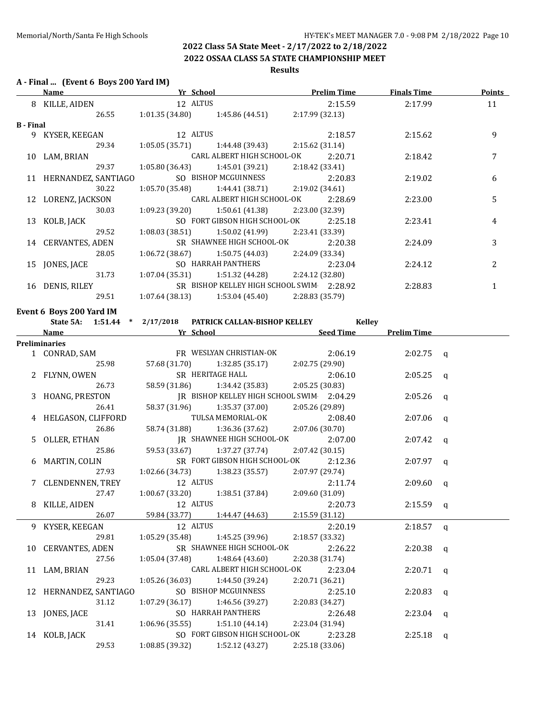#### **2022 OSSAA CLASS 5A STATE CHAMPIONSHIP MEET**

#### **Results**

#### **A - Final ... (Event 6 Boys 200 Yard IM)**

|                  | Name                |                 | Yr School                                 | <b>Prelim Time</b> | <b>Finals Time</b> | <b>Points</b>  |
|------------------|---------------------|-----------------|-------------------------------------------|--------------------|--------------------|----------------|
| 8                | KILLE, AIDEN        | 12 ALTUS        |                                           | 2:15.59            | 2:17.99            | 11             |
|                  | 26.55               | 1:01.35(34.80)  | 1:45.86 (44.51)                           | 2:17.99(32.13)     |                    |                |
| <b>B</b> - Final |                     |                 |                                           |                    |                    |                |
| 9                | KYSER, KEEGAN       |                 | 12 ALTUS                                  | 2:18.57            | 2:15.62            | 9              |
|                  | 29.34               | 1:05.05(35.71)  | 1:44.48 (39.43)                           | 2:15.62(31.14)     |                    |                |
| 10               | LAM, BRIAN          |                 | CARL ALBERT HIGH SCHOOL-OK                | 2:20.71            | 2:18.42            | 7              |
|                  | 29.37               | 1:05.80 (36.43) | 1:45.01 (39.21)                           | 2:18.42 (33.41)    |                    |                |
| 11               | HERNANDEZ, SANTIAGO |                 | SO BISHOP MCGUINNESS                      | 2:20.83            | 2:19.02            | 6              |
|                  | 30.22               | 1:05.70 (35.48) | $1:44.41(38.71)$ $2:19.02(34.61)$         |                    |                    |                |
| 12               | LORENZ, JACKSON     |                 | CARL ALBERT HIGH SCHOOL-OK                | 2:28.69            | 2:23.00            | 5              |
|                  | 30.03               | 1:09.23 (39.20) | 1:50.61 (41.38)                           | 2:23.00 (32.39)    |                    |                |
| 13               | KOLB, JACK          |                 | SO FORT GIBSON HIGH SCHOOL-OK             | 2:25.18            | 2:23.41            | 4              |
|                  | 29.52               | 1:08.03 (38.51) | 1:50.02 (41.99)                           | 2:23.41 (33.39)    |                    |                |
|                  | 14 CERVANTES, ADEN  |                 | SR SHAWNEE HIGH SCHOOL-OK                 | 2:20.38            | 2:24.09            | 3              |
|                  | 28.05               | 1:06.72 (38.67) | 1:50.75 (44.03)                           | 2:24.09 (33.34)    |                    |                |
| 15               | JONES, JACE         |                 | SO HARRAH PANTHERS                        | 2:23.04            | 2:24.12            | $\overline{2}$ |
|                  | 31.73               | 1:07.04(35.31)  | 1:51.32 (44.28)                           | 2:24.12 (32.80)    |                    |                |
| 16               | DENIS, RILEY        |                 | SR BISHOP KELLEY HIGH SCHOOL SWIM 2:28.92 |                    | 2:28.83            |                |
|                  | 29.51               | 1:07.64 (38.13) | 1:53.04 (45.40)                           | 2:28.83 (35.79)    |                    |                |
|                  |                     |                 |                                           |                    |                    |                |

#### **Event 6 Boys 200 Yard IM**

| Name Seed Time Prelim Time<br><b>Preliminaries</b><br>FR WESLYAN CHRISTIAN-OK 2:06.19<br>1 CONRAD, SAM<br>$2:02.75$ a<br>25.98<br>57.68 (31.70) 1:32.85 (35.17)<br>2:02.75 (29.90)<br>SR HERITAGE HALL<br>2 FLYNN, OWEN<br>2:06.10<br>$2:05.25$ q<br>26.73<br>58.59 (31.86) 1:34.42 (35.83) 2:05.25 (30.83)<br>3 HOANG, PRESTON JR BISHOP KELLEY HIGH SCHOOL SWIM 2:04.29<br>$2:05.26$ a<br>26.41<br>58.37 (31.96) 1:35.37 (37.00) 2:05.26 (29.89)<br>TULSA MEMORIAL-OK 2:08.40<br>4 HELGASON, CLIFFORD<br>$2:07.06$ q<br>58.74 (31.88) 1:36.36 (37.62) 2:07.06 (30.70)<br>26.86<br>N JR SHAWNEE HIGH SCHOOL-OK<br>25.86 59.53 (33.67) 1:37.27 (37.74) 2:07.42 (3<br>2:07.00<br>5 OLLER, ETHAN<br>$2:07.42$ q<br>59.53 (33.67) 1:37.27 (37.74) 2:07.42 (30.15)<br>SR FORT GIBSON HIGH SCHOOL-OK 2:12.36<br>6 MARTIN, COLIN<br>$2:07.97$ a<br>27.93<br>$1:02.66(34.73)$ $1:38.23(35.57)$<br>2:07.97 (29.74)<br>12 ALTUS<br>7 CLENDENNEN, TREY<br>2:11.74<br>$2:09.60$ q<br>$1:00.67(33.20)$ $1:38.51(37.84)$ $2:09.60(31.09)$<br>27.47<br>12 ALTUS<br>8 KILLE, AIDEN<br>2:20.73<br>$2:15.59$ q<br>26.07 59.84 (33.77) 1:44.47 (44.63)<br>2:15.59 (31.12)<br>9 KYSER, KEEGAN 12 ALTUS<br>2:20.19<br>$2:18.57$ q<br>29.81 1:05.29 (35.48) 1:45.25 (39.96)<br>2:18.57 (33.32)<br>10 CERVANTES, ADEN SR SHAWNEE HIGH SCHOOL-OK<br>2:26.22<br>$2:20.38$ q<br>27.56 1:05.04 (37.48) 1:48.64 (43.60)<br>2:20.38 (31.74)<br>CARL ALBERT HIGH SCHOOL-OK 2:23.04<br>11 LAM, BRIAN<br>$2:20.71$ q |
|---------------------------------------------------------------------------------------------------------------------------------------------------------------------------------------------------------------------------------------------------------------------------------------------------------------------------------------------------------------------------------------------------------------------------------------------------------------------------------------------------------------------------------------------------------------------------------------------------------------------------------------------------------------------------------------------------------------------------------------------------------------------------------------------------------------------------------------------------------------------------------------------------------------------------------------------------------------------------------------------------------------------------------------------------------------------------------------------------------------------------------------------------------------------------------------------------------------------------------------------------------------------------------------------------------------------------------------------------------------------------------------------------------------------------------------------------------------------------------------|
|                                                                                                                                                                                                                                                                                                                                                                                                                                                                                                                                                                                                                                                                                                                                                                                                                                                                                                                                                                                                                                                                                                                                                                                                                                                                                                                                                                                                                                                                                       |
|                                                                                                                                                                                                                                                                                                                                                                                                                                                                                                                                                                                                                                                                                                                                                                                                                                                                                                                                                                                                                                                                                                                                                                                                                                                                                                                                                                                                                                                                                       |
|                                                                                                                                                                                                                                                                                                                                                                                                                                                                                                                                                                                                                                                                                                                                                                                                                                                                                                                                                                                                                                                                                                                                                                                                                                                                                                                                                                                                                                                                                       |
|                                                                                                                                                                                                                                                                                                                                                                                                                                                                                                                                                                                                                                                                                                                                                                                                                                                                                                                                                                                                                                                                                                                                                                                                                                                                                                                                                                                                                                                                                       |
|                                                                                                                                                                                                                                                                                                                                                                                                                                                                                                                                                                                                                                                                                                                                                                                                                                                                                                                                                                                                                                                                                                                                                                                                                                                                                                                                                                                                                                                                                       |
|                                                                                                                                                                                                                                                                                                                                                                                                                                                                                                                                                                                                                                                                                                                                                                                                                                                                                                                                                                                                                                                                                                                                                                                                                                                                                                                                                                                                                                                                                       |
|                                                                                                                                                                                                                                                                                                                                                                                                                                                                                                                                                                                                                                                                                                                                                                                                                                                                                                                                                                                                                                                                                                                                                                                                                                                                                                                                                                                                                                                                                       |
|                                                                                                                                                                                                                                                                                                                                                                                                                                                                                                                                                                                                                                                                                                                                                                                                                                                                                                                                                                                                                                                                                                                                                                                                                                                                                                                                                                                                                                                                                       |
|                                                                                                                                                                                                                                                                                                                                                                                                                                                                                                                                                                                                                                                                                                                                                                                                                                                                                                                                                                                                                                                                                                                                                                                                                                                                                                                                                                                                                                                                                       |
|                                                                                                                                                                                                                                                                                                                                                                                                                                                                                                                                                                                                                                                                                                                                                                                                                                                                                                                                                                                                                                                                                                                                                                                                                                                                                                                                                                                                                                                                                       |
|                                                                                                                                                                                                                                                                                                                                                                                                                                                                                                                                                                                                                                                                                                                                                                                                                                                                                                                                                                                                                                                                                                                                                                                                                                                                                                                                                                                                                                                                                       |
|                                                                                                                                                                                                                                                                                                                                                                                                                                                                                                                                                                                                                                                                                                                                                                                                                                                                                                                                                                                                                                                                                                                                                                                                                                                                                                                                                                                                                                                                                       |
|                                                                                                                                                                                                                                                                                                                                                                                                                                                                                                                                                                                                                                                                                                                                                                                                                                                                                                                                                                                                                                                                                                                                                                                                                                                                                                                                                                                                                                                                                       |
|                                                                                                                                                                                                                                                                                                                                                                                                                                                                                                                                                                                                                                                                                                                                                                                                                                                                                                                                                                                                                                                                                                                                                                                                                                                                                                                                                                                                                                                                                       |
|                                                                                                                                                                                                                                                                                                                                                                                                                                                                                                                                                                                                                                                                                                                                                                                                                                                                                                                                                                                                                                                                                                                                                                                                                                                                                                                                                                                                                                                                                       |
|                                                                                                                                                                                                                                                                                                                                                                                                                                                                                                                                                                                                                                                                                                                                                                                                                                                                                                                                                                                                                                                                                                                                                                                                                                                                                                                                                                                                                                                                                       |
|                                                                                                                                                                                                                                                                                                                                                                                                                                                                                                                                                                                                                                                                                                                                                                                                                                                                                                                                                                                                                                                                                                                                                                                                                                                                                                                                                                                                                                                                                       |
|                                                                                                                                                                                                                                                                                                                                                                                                                                                                                                                                                                                                                                                                                                                                                                                                                                                                                                                                                                                                                                                                                                                                                                                                                                                                                                                                                                                                                                                                                       |
|                                                                                                                                                                                                                                                                                                                                                                                                                                                                                                                                                                                                                                                                                                                                                                                                                                                                                                                                                                                                                                                                                                                                                                                                                                                                                                                                                                                                                                                                                       |
|                                                                                                                                                                                                                                                                                                                                                                                                                                                                                                                                                                                                                                                                                                                                                                                                                                                                                                                                                                                                                                                                                                                                                                                                                                                                                                                                                                                                                                                                                       |
|                                                                                                                                                                                                                                                                                                                                                                                                                                                                                                                                                                                                                                                                                                                                                                                                                                                                                                                                                                                                                                                                                                                                                                                                                                                                                                                                                                                                                                                                                       |
|                                                                                                                                                                                                                                                                                                                                                                                                                                                                                                                                                                                                                                                                                                                                                                                                                                                                                                                                                                                                                                                                                                                                                                                                                                                                                                                                                                                                                                                                                       |
|                                                                                                                                                                                                                                                                                                                                                                                                                                                                                                                                                                                                                                                                                                                                                                                                                                                                                                                                                                                                                                                                                                                                                                                                                                                                                                                                                                                                                                                                                       |
| $1:05.26(36.03)$ $1:44.50(39.24)$<br>29.23<br>2:20.71 (36.21)                                                                                                                                                                                                                                                                                                                                                                                                                                                                                                                                                                                                                                                                                                                                                                                                                                                                                                                                                                                                                                                                                                                                                                                                                                                                                                                                                                                                                         |
| 12 HERNANDEZ, SANTIAGO<br>SO BISHOP MCGUINNESS<br>2:25.10<br>$2:20.83$ q                                                                                                                                                                                                                                                                                                                                                                                                                                                                                                                                                                                                                                                                                                                                                                                                                                                                                                                                                                                                                                                                                                                                                                                                                                                                                                                                                                                                              |
| $1:07.29$ (36.17) $1:46.56$ (39.27) $2:20.83$ (34.27)<br>31.12                                                                                                                                                                                                                                                                                                                                                                                                                                                                                                                                                                                                                                                                                                                                                                                                                                                                                                                                                                                                                                                                                                                                                                                                                                                                                                                                                                                                                        |
| SO HARRAH PANTHERS 2:26.48<br>13 JONES, JACE<br>$2:23.04$ q                                                                                                                                                                                                                                                                                                                                                                                                                                                                                                                                                                                                                                                                                                                                                                                                                                                                                                                                                                                                                                                                                                                                                                                                                                                                                                                                                                                                                           |
| $31.41$ $1:06.96(35.55)$ $1:51.10(44.14)$<br>2:23.04 (31.94)                                                                                                                                                                                                                                                                                                                                                                                                                                                                                                                                                                                                                                                                                                                                                                                                                                                                                                                                                                                                                                                                                                                                                                                                                                                                                                                                                                                                                          |
| SO FORT GIBSON HIGH SCHOOL-OK 2:23.28<br>14 KOLB, JACK<br>$2:25.18$ q                                                                                                                                                                                                                                                                                                                                                                                                                                                                                                                                                                                                                                                                                                                                                                                                                                                                                                                                                                                                                                                                                                                                                                                                                                                                                                                                                                                                                 |
| $1:08.85(39.32)$ $1:52.12(43.27)$ $2:25.18(33.06)$<br>29.53                                                                                                                                                                                                                                                                                                                                                                                                                                                                                                                                                                                                                                                                                                                                                                                                                                                                                                                                                                                                                                                                                                                                                                                                                                                                                                                                                                                                                           |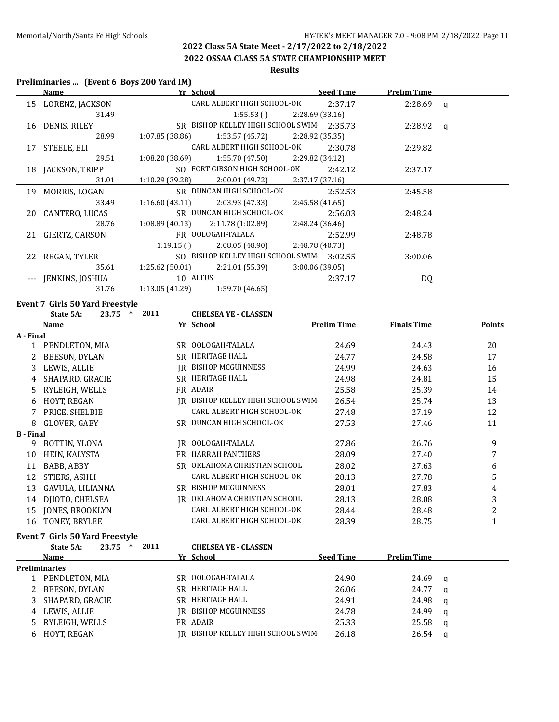**2022 OSSAA CLASS 5A STATE CHAMPIONSHIP MEET**

#### **Results**

#### **Preliminaries ... (Event 6 Boys 200 Yard IM)**

|    | <b>Name</b>        | Yr School                                            | <b>Seed Time</b> | <b>Prelim Time</b> |  |
|----|--------------------|------------------------------------------------------|------------------|--------------------|--|
|    | 15 LORENZ, JACKSON | CARL ALBERT HIGH SCHOOL-OK                           | 2:37.17          | $2:28.69$ q        |  |
|    | 31.49              | 1:55.53()                                            | 2:28.69 (33.16)  |                    |  |
|    | 16 DENIS, RILEY    | SR BISHOP KELLEY HIGH SCHOOL SWIM 2:35.73            |                  | $2:28.92$ q        |  |
|    | 28.99              | 1:07.85 (38.86)<br>1:53.57 (45.72)                   | 2:28.92 (35.35)  |                    |  |
|    | 17 STEELE, ELI     | CARL ALBERT HIGH SCHOOL-OK                           | 2:30.78          | 2:29.82            |  |
|    | 29.51              | $1:55.70(47.50)$ $2:29.82(34.12)$<br>1:08.20 (38.69) |                  |                    |  |
|    | 18 JACKSON, TRIPP  | SO FORT GIBSON HIGH SCHOOL-OK                        | 2:42.12          | 2:37.17            |  |
|    | 31.01              | 2:00.01 (49.72)<br>1:10.29 (39.28)                   | 2:37.17 (37.16)  |                    |  |
|    | 19 MORRIS, LOGAN   | SR DUNCAN HIGH SCHOOL-OK                             | 2:52.53          | 2:45.58            |  |
|    | 33.49              | 2:03.93 (47.33)<br>1:16.60(43.11)                    | 2:45.58 (41.65)  |                    |  |
|    | 20 CANTERO, LUCAS  | SR DUNCAN HIGH SCHOOL-OK                             | 2:56.03          | 2:48.24            |  |
|    | 28.76              | $1:08.89(40.13)$ $2:11.78(1:02.89)$                  | 2:48.24 (36.46)  |                    |  |
| 21 | GIERTZ, CARSON     | FR OOLOGAH-TALALA                                    | 2:52.99          | 2:48.78            |  |
|    |                    | 1:19.15(<br>2:08.05 (48.90)                          | 2:48.78 (40.73)  |                    |  |
| 22 | REGAN, TYLER       | SO BISHOP KELLEY HIGH SCHOOL SWIM                    | 3:02.55          | 3:00.06            |  |
|    | 35.61              | $1:25.62(50.01)$ $2:21.01(55.39)$                    | 3:00.06(39.05)   |                    |  |
|    | JENKINS, JOSHUA    | 10 ALTUS                                             | 2:37.17          | DQ                 |  |
|    | 31.76              | 1:13.05 (41.29)<br>1:59.70(46.65)                    |                  |                    |  |
|    |                    |                                                      |                  |                    |  |

# **Event 7 Girls 50 Yard Freestyle<br>State 54: 23.75**  $*$  **2011**

|                  | 2011<br>23.75<br>$\ast$<br>State 5A:   |     | <b>CHELSEA YE - CLASSEN</b>    |                    |                    |              |
|------------------|----------------------------------------|-----|--------------------------------|--------------------|--------------------|--------------|
|                  | Name                                   |     | Yr School                      | <b>Prelim Time</b> | <b>Finals Time</b> | Points       |
| A - Final        |                                        |     |                                |                    |                    |              |
|                  | 1 PENDLETON, MIA                       |     | SR OOLOGAH-TALALA              | 24.69              | 24.43              | 20           |
|                  | <b>BEESON, DYLAN</b>                   | SR. | HERITAGE HALL                  | 24.77              | 24.58              | 17           |
| 3                | LEWIS, ALLIE                           | IR  | <b>BISHOP MCGUINNESS</b>       | 24.99              | 24.63              | 16           |
| 4                | SHAPARD, GRACIE                        |     | SR HERITAGE HALL               | 24.98              | 24.81              | 15           |
| 5.               | RYLEIGH, WELLS                         |     | FR ADAIR                       | 25.58              | 25.39              | 14           |
| 6                | HOYT, REGAN                            | IR  | BISHOP KELLEY HIGH SCHOOL SWIM | 26.54              | 25.74              | 13           |
|                  | PRICE, SHELBIE                         |     | CARL ALBERT HIGH SCHOOL-OK     | 27.48              | 27.19              | 12           |
| 8                | GLOVER, GABY                           |     | SR DUNCAN HIGH SCHOOL-OK       | 27.53              | 27.46              | 11           |
| <b>B</b> - Final |                                        |     |                                |                    |                    |              |
| 9                | BOTTIN, YLONA                          | IR  | OOLOGAH-TALALA                 | 27.86              | 26.76              | 9            |
| 10               | HEIN, KALYSTA                          | FR. | HARRAH PANTHERS                | 28.09              | 27.40              | 7            |
| 11               | BABB, ABBY                             |     | SR OKLAHOMA CHRISTIAN SCHOOL   | 28.02              | 27.63              | 6            |
| 12               | STIERS, ASHLI                          |     | CARL ALBERT HIGH SCHOOL-OK     | 28.13              | 27.78              | 5            |
| 13               | GAVULA, LILIANNA                       | SR. | <b>BISHOP MCGUINNESS</b>       | 28.01              | 27.83              | 4            |
| 14               | DJIOTO, CHELSEA                        | IR  | OKLAHOMA CHRISTIAN SCHOOL      | 28.13              | 28.08              | 3            |
| 15               | JONES, BROOKLYN                        |     | CARL ALBERT HIGH SCHOOL-OK     | 28.44              | 28.48              | 2            |
| 16               | TONEY, BRYLEE                          |     | CARL ALBERT HIGH SCHOOL-OK     | 28.39              | 28.75              | $\mathbf{1}$ |
|                  | <b>Event 7 Girls 50 Yard Freestyle</b> |     |                                |                    |                    |              |
|                  | 2011<br>23.75<br>∗<br>State 5A:        |     | <b>CHELSEA YE - CLASSEN</b>    |                    |                    |              |

|    | State 5A:<br>23.75<br>∗ | 2011 | <b>CHELSEA YE - CLASSEN</b>    |                  |                    |   |
|----|-------------------------|------|--------------------------------|------------------|--------------------|---|
|    | Name                    |      | Yr School                      | <b>Seed Time</b> | <b>Prelim Time</b> |   |
|    | Preliminaries           |      |                                |                  |                    |   |
|    | PENDLETON, MIA          |      | SR OOLOGAH-TALALA              | 24.90            | 24.69              | q |
|    | BEESON, DYLAN           |      | SR HERITAGE HALL               | 26.06            | 24.77              | a |
|    | SHAPARD, GRACIE         | SR.  | HERITAGE HALL                  | 24.91            | 24.98              | a |
| 4  | LEWIS, ALLIE            | IR - | BISHOP MCGUINNESS              | 24.78            | 24.99              | a |
| 5. | RYLEIGH, WELLS          |      | FR ADAIR                       | 25.33            | 25.58              | a |
|    | HOYT, REGAN             | IR - | BISHOP KELLEY HIGH SCHOOL SWIM | 26.18            | 26.54              | a |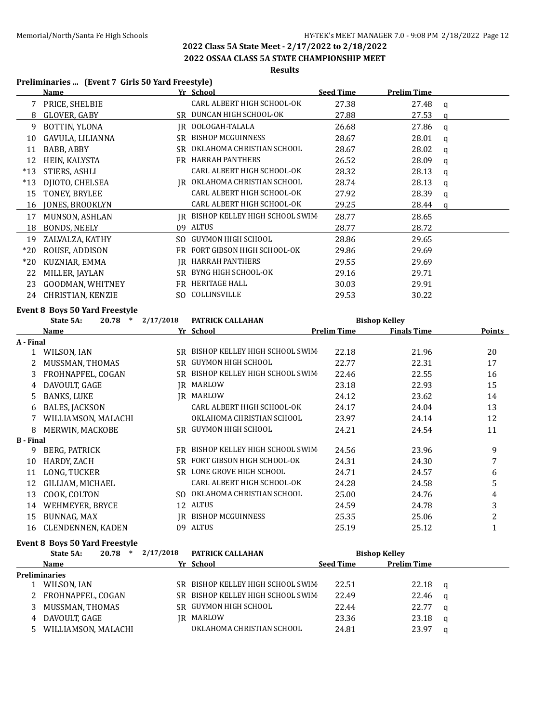**2022 OSSAA CLASS 5A STATE CHAMPIONSHIP MEET**

# **Results**

#### **Preliminaries ... (Event 7 Girls 50 Yard Freestyle)**

|                  | <b>Name</b>                           |                       | Yr School                                                         | <b>Seed Time</b>   | <b>Prelim Time</b>                                                |              |                |
|------------------|---------------------------------------|-----------------------|-------------------------------------------------------------------|--------------------|-------------------------------------------------------------------|--------------|----------------|
|                  | 7 PRICE, SHELBIE                      |                       | CARL ALBERT HIGH SCHOOL-OK                                        | 27.38              | 27.48                                                             | $\mathbf q$  |                |
|                  | 8 GLOVER, GABY                        |                       | SR DUNCAN HIGH SCHOOL-OK                                          | 27.88              | 27.53                                                             | $\mathsf{q}$ |                |
| 9                | BOTTIN, YLONA                         |                       | IR OOLOGAH-TALALA                                                 | 26.68              | 27.86                                                             | $\mathbf q$  |                |
|                  | 10 GAVULA, LILIANNA                   |                       | SR BISHOP MCGUINNESS                                              | 28.67              | 28.01                                                             | $\alpha$     |                |
|                  | 11 BABB, ABBY                         |                       | SR OKLAHOMA CHRISTIAN SCHOOL                                      | 28.67              | 28.02                                                             | q            |                |
|                  | 12 HEIN, KALYSTA                      |                       | FR HARRAH PANTHERS                                                | 26.52              | 28.09                                                             | q            |                |
|                  | *13 STIERS, ASHLI                     |                       | CARL ALBERT HIGH SCHOOL-OK                                        | 28.32              | 28.13                                                             | q            |                |
|                  | *13 DJIOTO, CHELSEA                   |                       | IR OKLAHOMA CHRISTIAN SCHOOL                                      | 28.74              | 28.13                                                             | q            |                |
|                  | 15 TONEY, BRYLEE                      |                       | CARL ALBERT HIGH SCHOOL-OK                                        | 27.92              | 28.39                                                             | q            |                |
|                  | 16 JONES, BROOKLYN                    |                       | CARL ALBERT HIGH SCHOOL-OK                                        | 29.25              | 28.44                                                             | $\mathsf{q}$ |                |
|                  | 17 MUNSON, ASHLAN                     |                       | IR BISHOP KELLEY HIGH SCHOOL SWIM                                 | 28.77              | 28.65                                                             |              |                |
|                  | 18 BONDS, NEELY                       |                       | 09 ALTUS                                                          | 28.77              | 28.72                                                             |              |                |
|                  | 19 ZALVALZA, KATHY                    |                       | SO GUYMON HIGH SCHOOL                                             | 28.86              | 29.65                                                             |              |                |
|                  | *20 ROUSE, ADDISON                    |                       | FR FORT GIBSON HIGH SCHOOL-OK                                     | 29.86              | 29.69                                                             |              |                |
|                  | *20 KUZNIAR, EMMA                     |                       | <b>IR HARRAH PANTHERS</b>                                         | 29.55              | 29.69                                                             |              |                |
|                  | 22 MILLER, JAYLAN                     |                       | SR BYNG HIGH SCHOOL-OK                                            | 29.16              | 29.71                                                             |              |                |
|                  | 23 GOODMAN, WHITNEY                   |                       | FR HERITAGE HALL                                                  | 30.03              | 29.91                                                             |              |                |
|                  | 24 CHRISTIAN, KENZIE                  |                       | SO COLLINSVILLE                                                   | 29.53              | 30.22                                                             |              |                |
|                  | <b>Event 8 Boys 50 Yard Freestyle</b> |                       |                                                                   |                    |                                                                   |              |                |
|                  | State 5A:                             | $20.78$ * $2/17/2018$ | PATRICK CALLAHAN                                                  |                    | <b>Bishop Kelley</b>                                              |              |                |
|                  | <b>Name</b>                           |                       | Yr School                                                         | <b>Prelim Time</b> | <b>Finals Time</b>                                                |              | <b>Points</b>  |
| A - Final        |                                       |                       |                                                                   |                    |                                                                   |              |                |
|                  | 1 WILSON, IAN                         |                       | SR BISHOP KELLEY HIGH SCHOOL SWIM                                 | 22.18              | 21.96                                                             |              | 20             |
|                  | 2 MUSSMAN, THOMAS                     |                       | SR GUYMON HIGH SCHOOL                                             | 22.77              | 22.31                                                             |              | 17             |
| 3                | FROHNAPFEL, COGAN                     |                       | SR BISHOP KELLEY HIGH SCHOOL SWIM                                 | 22.46              | 22.55                                                             |              | 16             |
| 4                | DAVOULT, GAGE                         |                       | <b>IR MARLOW</b>                                                  | 23.18              | 22.93                                                             |              | 15             |
| 5                | <b>BANKS, LUKE</b>                    |                       | <b>IR MARLOW</b>                                                  | 24.12              | 23.62                                                             |              | 14             |
| 6                | BALES, JACKSON                        |                       | CARL ALBERT HIGH SCHOOL-OK                                        | 24.17              | 24.04                                                             |              | 13             |
|                  | 7 WILLIAMSON, MALACHI                 |                       |                                                                   |                    |                                                                   |              | 12             |
|                  |                                       |                       | OKLAHOMA CHRISTIAN SCHOOL                                         | 23.97              | 24.14                                                             |              |                |
| <b>B</b> - Final | 8 MERWIN, MACKOBE                     |                       | SR GUYMON HIGH SCHOOL                                             | 24.21              | 24.54                                                             |              | 11             |
|                  |                                       |                       |                                                                   |                    |                                                                   |              |                |
|                  | 9 BERG, PATRICK                       |                       | FR BISHOP KELLEY HIGH SCHOOL SWIM                                 | 24.56              | 23.96                                                             |              | 9              |
| 10               | HARDY, ZACH                           |                       | SR FORT GIBSON HIGH SCHOOL-OK                                     | 24.31              | 24.30                                                             |              | 7              |
|                  | 11 LONG, TUCKER                       |                       | SR LONE GROVE HIGH SCHOOL                                         | 24.71              | 24.57                                                             |              | 6              |
|                  | 12 GILLIAM, MICHAEL                   |                       | CARL ALBERT HIGH SCHOOL-OK                                        | 24.28              | 24.58                                                             |              | 5              |
|                  | 13 COOK, COLTON                       |                       | SO OKLAHOMA CHRISTIAN SCHOOL                                      | 25.00              | 24.76                                                             |              | $\overline{4}$ |
|                  | 14 WEHMEYER, BRYCE                    |                       | 12 ALTUS                                                          | 24.59              | 24.78                                                             |              | 3              |
|                  | 15 BUNNAG, MAX                        |                       | <b>IR BISHOP MCGUINNESS</b>                                       | 25.35              | 25.06                                                             |              | $\overline{2}$ |
|                  | 16 CLENDENNEN, KADEN                  |                       | 09 ALTUS                                                          | 25.19              | 25.12                                                             |              | $\mathbf{1}$   |
|                  | <b>Event 8 Boys 50 Yard Freestyle</b> |                       |                                                                   |                    |                                                                   |              |                |
|                  | State 5A:<br>$\mathbf{M}$             | $20.78$ * $2/17/2018$ | PATRICK CALLAHAN<br>$V_{\text{eff}}$ $C_{\text{eff}}$ $\approx 1$ | Carola Minera      | <b>Bishop Kelley</b><br><b>Contract Contract District Only 19</b> |              |                |

|   | Name                | Yr School                         | <b>Seed Time</b> | <b>Prelim Time</b> |   |
|---|---------------------|-----------------------------------|------------------|--------------------|---|
|   | Preliminaries       |                                   |                  |                    |   |
|   | WILSON, IAN         | SR BISHOP KELLEY HIGH SCHOOL SWIM | 22.51            | 22.18              | a |
|   | 2 FROHNAPFEL, COGAN | SR BISHOP KELLEY HIGH SCHOOL SWIM | 22.49            | 22.46              |   |
|   | MUSSMAN, THOMAS     | SR GUYMON HIGH SCHOOL             | 22.44            | 22.77              |   |
| 4 | DAVOULT, GAGE       | IR MARLOW                         | 23.36            | 23.18              |   |
|   | WILLIAMSON, MALACHI | OKLAHOMA CHRISTIAN SCHOOL         | 24.81            | 23.97              |   |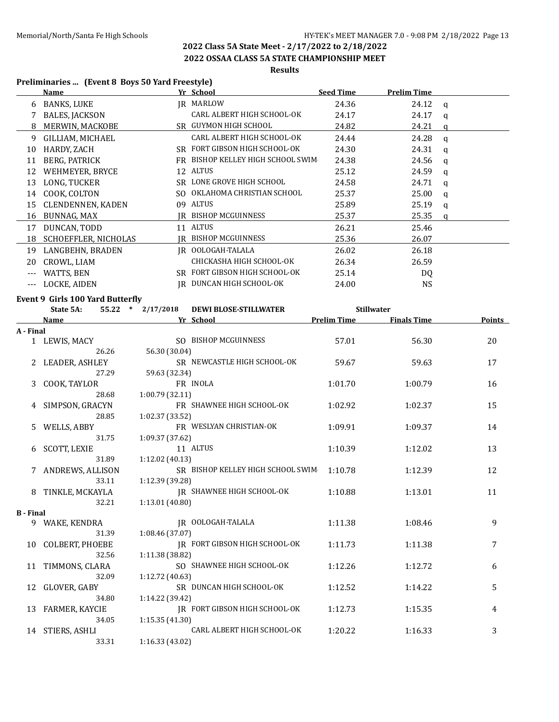**2022 OSSAA CLASS 5A STATE CHAMPIONSHIP MEET**

# **Results**

#### **Preliminaries ... (Event 8 Boys 50 Yard Freestyle)**

|                      | <b>Name</b>                                                      |                 | Yr School                         | <b>Seed Time</b>   | <b>Prelim Time</b> |              |        |
|----------------------|------------------------------------------------------------------|-----------------|-----------------------------------|--------------------|--------------------|--------------|--------|
| 6                    | BANKS, LUKE                                                      |                 | <b>IR MARLOW</b>                  | 24.36              | 24.12              | $\mathsf{q}$ |        |
| 7                    | <b>BALES, JACKSON</b>                                            |                 | CARL ALBERT HIGH SCHOOL-OK        | 24.17              | 24.17              | q            |        |
| 8                    | MERWIN, MACKOBE                                                  |                 | SR GUYMON HIGH SCHOOL             | 24.82              | 24.21              | q            |        |
| 9                    | GILLIAM, MICHAEL                                                 |                 | CARL ALBERT HIGH SCHOOL-OK        | 24.44              | 24.28              | $\mathbf q$  |        |
| 10                   | HARDY, ZACH                                                      |                 | SR FORT GIBSON HIGH SCHOOL-OK     | 24.30              | 24.31              | $\mathsf{q}$ |        |
| 11                   | BERG, PATRICK                                                    |                 | FR BISHOP KELLEY HIGH SCHOOL SWIM | 24.38              | 24.56              | $\mathbf q$  |        |
| 12                   | WEHMEYER, BRYCE                                                  |                 | 12 ALTUS                          | 25.12              | 24.59              | q            |        |
|                      | 13 LONG, TUCKER                                                  |                 | SR LONE GROVE HIGH SCHOOL         | 24.58              | 24.71              | q            |        |
|                      | 14 COOK, COLTON                                                  |                 | SO OKLAHOMA CHRISTIAN SCHOOL      | 25.37              | 25.00              | q            |        |
|                      | 15 CLENDENNEN, KADEN                                             |                 | 09 ALTUS                          | 25.89              | 25.19              | q            |        |
|                      | 16 BUNNAG, MAX                                                   |                 | JR BISHOP MCGUINNESS              | 25.37              | 25.35              | q            |        |
|                      | 17 DUNCAN, TODD                                                  |                 | 11 ALTUS                          | 26.21              | 25.46              |              |        |
|                      | 18 SCHOEFFLER, NICHOLAS                                          |                 | JR BISHOP MCGUINNESS              | 25.36              | 26.07              |              |        |
|                      | 19 LANGBEHN, BRADEN                                              |                 | IR OOLOGAH-TALALA                 | 26.02              | 26.18              |              |        |
|                      | 20 CROWL, LIAM                                                   |                 | CHICKASHA HIGH SCHOOL-OK          | 26.34              | 26.59              |              |        |
| $\scriptstyle\cdots$ | WATTS, BEN                                                       |                 | SR FORT GIBSON HIGH SCHOOL-OK     | 25.14              | DQ                 |              |        |
|                      | --- LOCKE, AIDEN                                                 |                 | IR DUNCAN HIGH SCHOOL-OK          | 24.00              | <b>NS</b>          |              |        |
|                      |                                                                  |                 |                                   |                    |                    |              |        |
|                      | Event 9 Girls 100 Yard Butterfly<br>State 5A:<br>55.22<br>$\ast$ | 2/17/2018       | <b>DEWI BLOSE-STILLWATER</b>      |                    | <b>Stillwater</b>  |              |        |
|                      | Name                                                             |                 | Yr School                         | <b>Prelim Time</b> | <b>Finals Time</b> |              | Points |
| A - Final            |                                                                  |                 |                                   |                    |                    |              |        |
|                      | 1 LEWIS, MACY                                                    |                 | SO BISHOP MCGUINNESS              | 57.01              | 56.30              |              | 20     |
|                      | 26.26                                                            | 56.30 (30.04)   |                                   |                    |                    |              |        |
|                      | 2 LEADER, ASHLEY                                                 |                 | SR NEWCASTLE HIGH SCHOOL-OK       | 59.67              | 59.63              |              | 17     |
|                      | 27.29                                                            | 59.63 (32.34)   |                                   |                    |                    |              |        |
| 3                    | COOK, TAYLOR                                                     |                 | FR INOLA                          | 1:01.70            | 1:00.79            |              | 16     |
|                      | 28.68                                                            | 1:00.79 (32.11) |                                   |                    |                    |              |        |
| 4                    | SIMPSON, GRACYN                                                  |                 | FR SHAWNEE HIGH SCHOOL-OK         | 1:02.92            | 1:02.37            |              | 15     |
|                      | 28.85                                                            | 1:02.37 (33.52) |                                   |                    |                    |              |        |
| 5.                   | WELLS, ABBY                                                      |                 | FR WESLYAN CHRISTIAN-OK           | 1:09.91            | 1:09.37            |              | 14     |
|                      | 31.75                                                            | 1:09.37 (37.62) |                                   |                    |                    |              |        |
| 6                    | <b>SCOTT, LEXIE</b>                                              |                 | 11 ALTUS                          | 1:10.39            | 1:12.02            |              | 13     |
|                      | 31.89                                                            | 1:12.02 (40.13) |                                   |                    |                    |              |        |
| 7                    | ANDREWS, ALLISON                                                 |                 | SR BISHOP KELLEY HIGH SCHOOL SWIM | 1:10.78            | 1:12.39            |              | 12     |
|                      | 33.11                                                            | 1:12.39 (39.28) |                                   |                    |                    |              |        |
| 8                    | TINKLE, MCKAYLA                                                  |                 | IR SHAWNEE HIGH SCHOOL-OK         | 1:10.88            | 1:13.01            |              | 11     |
|                      | 32.21                                                            | 1:13.01 (40.80) |                                   |                    |                    |              |        |
| <b>B</b> - Final     |                                                                  |                 | IR OOLOGAH-TALALA                 |                    |                    |              |        |
|                      | 9 WAKE, KENDRA<br>31.39                                          | 1:08.46 (37.07) |                                   | 1:11.38            | 1:08.46            |              | 9      |
| 10                   | <b>COLBERT, PHOEBE</b>                                           |                 | JR FORT GIBSON HIGH SCHOOL-OK     | 1:11.73            | 1:11.38            |              | 7      |
|                      | 32.56                                                            | 1:11.38 (38.82) |                                   |                    |                    |              |        |
| 11                   | TIMMONS, CLARA                                                   |                 | SO SHAWNEE HIGH SCHOOL-OK         | 1:12.26            | 1:12.72            |              | 6      |
|                      | 32.09                                                            | 1:12.72 (40.63) |                                   |                    |                    |              |        |
| 12                   | GLOVER, GABY                                                     |                 | SR DUNCAN HIGH SCHOOL-OK          | 1:12.52            | 1:14.22            |              | 5      |
|                      | 34.80                                                            | 1:14.22 (39.42) |                                   |                    |                    |              |        |
|                      | 13 FARMER, KAYCIE                                                |                 | IR FORT GIBSON HIGH SCHOOL-OK     | 1:12.73            | 1:15.35            |              | 4      |
|                      | 34.05                                                            | 1:15.35 (41.30) |                                   |                    |                    |              |        |
|                      | 14 STIERS, ASHLI                                                 |                 | CARL ALBERT HIGH SCHOOL-OK        | 1:20.22            | 1:16.33            |              | 3      |
|                      | 33.31                                                            | 1:16.33 (43.02) |                                   |                    |                    |              |        |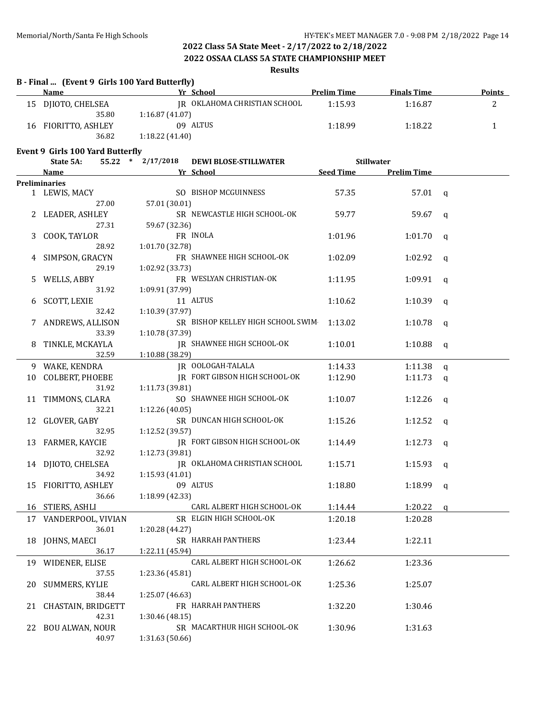#### **2022 OSSAA CLASS 5A STATE CHAMPIONSHIP MEET**

#### **Results**

|    | B - Final  (Event 9 Girls 100 Yard Butterfly)<br><b>Name</b> |                   | Yr School                         | <b>Prelim Time</b> | <b>Finals Time</b> |   | <b>Points</b> |
|----|--------------------------------------------------------------|-------------------|-----------------------------------|--------------------|--------------------|---|---------------|
|    | 15 DJIOTO, CHELSEA                                           |                   | JR OKLAHOMA CHRISTIAN SCHOOL      | 1:15.93            | 1:16.87            |   | 2             |
|    | 35.80                                                        | 1:16.87(41.07)    |                                   |                    |                    |   |               |
|    | 16 FIORITTO, ASHLEY                                          |                   | 09 ALTUS                          | 1:18.99            | 1:18.22            |   | 1             |
|    | 36.82                                                        | 1:18.22 (41.40)   |                                   |                    |                    |   |               |
|    | <b>Event 9 Girls 100 Yard Butterfly</b>                      |                   |                                   |                    |                    |   |               |
|    | State 5A:                                                    | 55.22 * 2/17/2018 | <b>DEWI BLOSE-STILLWATER</b>      |                    | <b>Stillwater</b>  |   |               |
|    | <u>Name</u>                                                  |                   | Yr School                         | Seed Time          | <b>Prelim Time</b> |   |               |
|    | <b>Preliminaries</b>                                         |                   |                                   |                    |                    |   |               |
|    | 1 LEWIS, MACY                                                |                   | SO BISHOP MCGUINNESS              | 57.35              | $57.01 \quad q$    |   |               |
|    | 27.00                                                        | 57.01 (30.01)     |                                   |                    |                    |   |               |
|    | LEADER, ASHLEY                                               |                   | SR NEWCASTLE HIGH SCHOOL-OK       | 59.77              | 59.67              | q |               |
|    | 27.31                                                        | 59.67 (32.36)     |                                   |                    |                    |   |               |
|    | COOK, TAYLOR                                                 |                   | FR INOLA                          | 1:01.96            | 1:01.70            | q |               |
|    | 28.92                                                        | 1:01.70 (32.78)   |                                   |                    |                    |   |               |
|    | SIMPSON, GRACYN                                              |                   | FR SHAWNEE HIGH SCHOOL-OK         | 1:02.09            | 1:02.92            | q |               |
|    | 29.19                                                        | 1:02.92 (33.73)   |                                   |                    |                    |   |               |
|    | WELLS, ABBY                                                  |                   | FR WESLYAN CHRISTIAN-OK           | 1:11.95            | 1:09.91            | q |               |
|    | 31.92                                                        | 1:09.91 (37.99)   |                                   |                    |                    |   |               |
|    | SCOTT, LEXIE                                                 |                   | 11 ALTUS                          | 1:10.62            | 1:10.39            | q |               |
|    | 32.42                                                        | 1:10.39 (37.97)   |                                   |                    |                    |   |               |
|    | ANDREWS, ALLISON                                             |                   | SR BISHOP KELLEY HIGH SCHOOL SWIM | 1:13.02            | 1:10.78            | q |               |
|    | 33.39                                                        | 1:10.78 (37.39)   |                                   |                    |                    |   |               |
|    | TINKLE, MCKAYLA                                              |                   | JR SHAWNEE HIGH SCHOOL-OK         | 1:10.01            | 1:10.88            | q |               |
|    | 32.59                                                        | 1:10.88 (38.29)   |                                   |                    |                    |   |               |
|    | 9 WAKE, KENDRA                                               |                   | JR OOLOGAH-TALALA                 | 1:14.33            | 1:11.38            | q |               |
| 10 | COLBERT, PHOEBE                                              |                   | JR FORT GIBSON HIGH SCHOOL-OK     | 1:12.90            | 1:11.73            | q |               |
|    | 31.92                                                        | 1:11.73 (39.81)   |                                   |                    |                    |   |               |
| 11 | TIMMONS, CLARA                                               |                   | SO SHAWNEE HIGH SCHOOL-OK         | 1:10.07            | 1:12.26            | q |               |
|    | 32.21                                                        | 1:12.26 (40.05)   |                                   |                    |                    |   |               |
| 12 | GLOVER, GABY                                                 |                   | SR DUNCAN HIGH SCHOOL-OK          | 1:15.26            | 1:12.52            | q |               |
|    | 32.95                                                        | 1:12.52 (39.57)   |                                   |                    |                    |   |               |
| 13 | FARMER, KAYCIE                                               |                   | JR FORT GIBSON HIGH SCHOOL-OK     | 1:14.49            | 1:12.73            | q |               |
|    | 32.92                                                        | 1:12.73 (39.81)   |                                   |                    |                    |   |               |
| 14 | DJIOTO, CHELSEA                                              |                   | IR OKLAHOMA CHRISTIAN SCHOOL      | 1:15.71            | 1:15.93            | q |               |
|    | 34.92                                                        | 1:15.93(41.01)    |                                   |                    |                    |   |               |
|    | 15 FIORITTO, ASHLEY                                          | 09 ALTUS          |                                   | 1:18.80            | $1:18.99$ q        |   |               |
|    | 36.66                                                        | 1:18.99 (42.33)   |                                   |                    |                    |   |               |
| 16 | STIERS, ASHLI                                                |                   | CARL ALBERT HIGH SCHOOL-OK        | 1:14.44            | 1:20.22            | a |               |
| 17 | VANDERPOOL, VIVIAN                                           |                   | SR ELGIN HIGH SCHOOL-OK           | 1:20.18            | 1:20.28            |   |               |
|    | 36.01                                                        | 1:20.28 (44.27)   |                                   |                    |                    |   |               |
| 18 | JOHNS, MAECI                                                 |                   | SR HARRAH PANTHERS                | 1:23.44            | 1:22.11            |   |               |
|    | 36.17                                                        | 1:22.11 (45.94)   |                                   |                    |                    |   |               |
|    | 19 WIDENER, ELISE                                            |                   | CARL ALBERT HIGH SCHOOL-OK        | 1:26.62            | 1:23.36            |   |               |
|    | 37.55                                                        | 1:23.36 (45.81)   |                                   |                    |                    |   |               |
| 20 | SUMMERS, KYLIE                                               |                   | CARL ALBERT HIGH SCHOOL-OK        | 1:25.36            | 1:25.07            |   |               |
|    | 38.44                                                        | 1:25.07 (46.63)   |                                   |                    |                    |   |               |
| 21 | CHASTAIN, BRIDGETT                                           |                   | FR HARRAH PANTHERS                | 1:32.20            | 1:30.46            |   |               |
|    | 42.31                                                        | 1:30.46 (48.15)   |                                   |                    |                    |   |               |
| 22 | <b>BOU ALWAN, NOUR</b>                                       |                   | SR MACARTHUR HIGH SCHOOL-OK       | 1:30.96            | 1:31.63            |   |               |
|    | 40.97                                                        | 1:31.63 (50.66)   |                                   |                    |                    |   |               |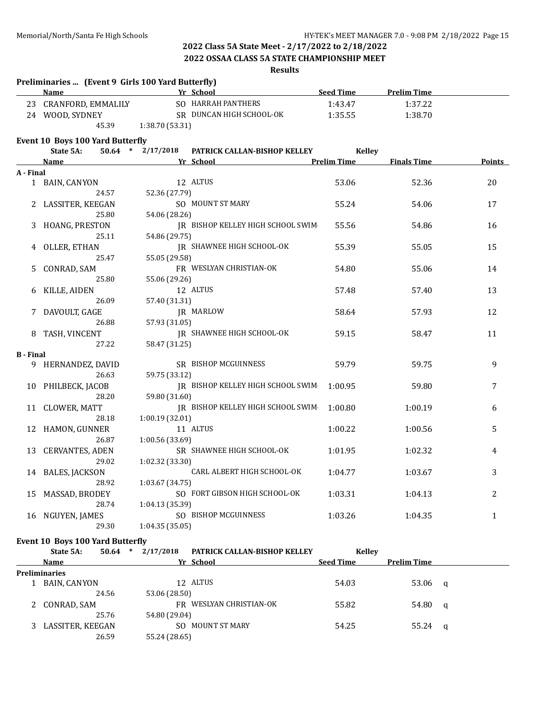**Preliminaries ... (Event 9 Girls 100 Yard Butterfly)**

# **2022 Class 5A State Meet - 2/17/2022 to 2/18/2022**

#### **2022 OSSAA CLASS 5A STATE CHAMPIONSHIP MEET**

### **Results**

|                  | Name                             |                        | Yr School                         | <b>Seed Time</b>   | <b>Prelim Time</b> |               |
|------------------|----------------------------------|------------------------|-----------------------------------|--------------------|--------------------|---------------|
|                  | 23 CRANFORD, EMMALILY            |                        | SO HARRAH PANTHERS                | 1:43.47            | 1:37.22            |               |
|                  | 24 WOOD, SYDNEY                  |                        | SR DUNCAN HIGH SCHOOL-OK          | 1:35.55            | 1:38.70            |               |
|                  | 45.39                            | 1:38.70 (53.31)        |                                   |                    |                    |               |
|                  | Event 10 Boys 100 Yard Butterfly |                        |                                   |                    |                    |               |
|                  | State 5A:                        | $50.64$ *<br>2/17/2018 | PATRICK CALLAN-BISHOP KELLEY      | <b>Kelley</b>      |                    |               |
|                  | <b>Name</b>                      |                        | Yr School                         | <b>Prelim Time</b> | <b>Finals Time</b> | <b>Points</b> |
| A - Final        |                                  |                        |                                   |                    |                    |               |
|                  | 1 BAIN, CANYON                   |                        | 12 ALTUS                          | 53.06              | 52.36              | 20            |
|                  | 24.57                            | 52.36 (27.79)          |                                   |                    |                    |               |
|                  | 2 LASSITER, KEEGAN               |                        | SO MOUNT ST MARY                  | 55.24              | 54.06              | 17            |
|                  | 25.80                            | 54.06 (28.26)          |                                   |                    |                    |               |
| 3                | HOANG, PRESTON                   |                        | IR BISHOP KELLEY HIGH SCHOOL SWIM | 55.56              | 54.86              | 16            |
|                  | 25.11                            | 54.86 (29.75)          |                                   |                    |                    |               |
| 4                | OLLER, ETHAN                     |                        | JR SHAWNEE HIGH SCHOOL-OK         | 55.39              | 55.05              | 15            |
|                  | 25.47                            | 55.05 (29.58)          |                                   |                    |                    |               |
| 5                | CONRAD, SAM                      |                        | FR WESLYAN CHRISTIAN-OK           | 54.80              | 55.06              | 14            |
|                  | 25.80                            | 55.06 (29.26)          |                                   |                    |                    |               |
|                  | KILLE, AIDEN                     |                        | 12 ALTUS                          | 57.48              | 57.40              | 13            |
|                  | 26.09                            | 57.40 (31.31)          |                                   |                    |                    |               |
| 7                | DAVOULT, GAGE                    |                        | JR MARLOW                         | 58.64              | 57.93              | 12            |
|                  | 26.88                            | 57.93 (31.05)          |                                   |                    |                    |               |
| 8.               | TASH, VINCENT                    |                        | <b>JR SHAWNEE HIGH SCHOOL-OK</b>  | 59.15              | 58.47              | 11            |
|                  | 27.22                            | 58.47 (31.25)          |                                   |                    |                    |               |
| <b>B</b> - Final |                                  |                        |                                   |                    |                    |               |
|                  | 9 HERNANDEZ, DAVID               |                        | SR BISHOP MCGUINNESS              | 59.79              | 59.75              | 9             |
|                  | 26.63                            | 59.75 (33.12)          |                                   |                    |                    |               |
|                  | 10 PHILBECK, JACOB               |                        | IR BISHOP KELLEY HIGH SCHOOL SWIM | 1:00.95            | 59.80              | 7             |
|                  | 28.20                            | 59.80 (31.60)          |                                   |                    |                    |               |
| 11               | CLOWER, MATT                     |                        | JR BISHOP KELLEY HIGH SCHOOL SWIM | 1:00.80            | 1:00.19            | 6             |
|                  | 28.18                            | 1:00.19 (32.01)        |                                   |                    |                    |               |
| 12               | HAMON, GUNNER                    |                        | 11 ALTUS                          | 1:00.22            | 1:00.56            | 5             |
|                  | 26.87                            | 1:00.56 (33.69)        |                                   |                    |                    |               |
| 13               | CERVANTES, ADEN                  |                        | SR SHAWNEE HIGH SCHOOL-OK         | 1:01.95            | 1:02.32            | 4             |
|                  | 29.02                            | 1:02.32 (33.30)        |                                   |                    |                    |               |
|                  | 14 BALES, JACKSON                |                        | CARL ALBERT HIGH SCHOOL-OK        | 1:04.77            | 1:03.67            | 3             |
|                  | 28.92                            | 1:03.67(34.75)         |                                   |                    |                    |               |
| 15               | MASSAD, BRODEY                   |                        | SO FORT GIBSON HIGH SCHOOL-OK     | 1:03.31            | 1:04.13            | 2             |
|                  | 28.74                            | 1:04.13 (35.39)        |                                   |                    |                    |               |
| 16               | NGUYEN, JAMES                    |                        | SO BISHOP MCGUINNESS              | 1:03.26            | 1:04.35            | $\mathbf{1}$  |
|                  | 29.30                            | 1:04.35(35.05)         |                                   |                    |                    |               |
|                  |                                  |                        |                                   |                    |                    |               |

#### **Event 10 Boys 100 Yard Butterfly**

| State 5A:            | 50.64 | $\ast$ | 2/17/2018     | <b>PATRICK CALLAN-BISHOP KELLEY</b> | <b>Kelley</b>    |                    |  |
|----------------------|-------|--------|---------------|-------------------------------------|------------------|--------------------|--|
| Name                 |       |        |               | Yr School                           | <b>Seed Time</b> | <b>Prelim Time</b> |  |
| <b>Preliminaries</b> |       |        |               |                                     |                  |                    |  |
| BAIN, CANYON         |       |        |               | 12 ALTUS                            | 54.03            | $53.06$ q          |  |
|                      | 24.56 |        | 53.06 (28.50) |                                     |                  |                    |  |
| 2 CONRAD, SAM        |       |        | FR            | WESLYAN CHRISTIAN-OK                | 55.82            | 54.80 g            |  |
|                      | 25.76 |        | 54.80 (29.04) |                                     |                  |                    |  |
| LASSITER, KEEGAN     |       |        |               | SO MOUNT ST MARY                    | 54.25            | $55.24 \quad q$    |  |
|                      | 26.59 |        | 55.24 (28.65) |                                     |                  |                    |  |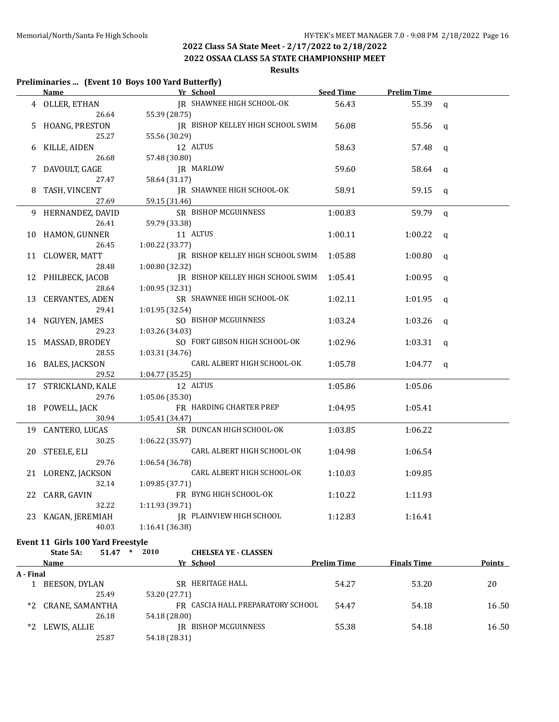**2022 OSSAA CLASS 5A STATE CHAMPIONSHIP MEET**

### **Results**

#### **Preliminaries ... (Event 10 Boys 100 Yard Butterfly)**

|    | <b>Name</b>            | Yr School                         | <b>Seed Time</b> | <b>Prelim Time</b> |              |
|----|------------------------|-----------------------------------|------------------|--------------------|--------------|
|    | 4 OLLER, ETHAN         | JR SHAWNEE HIGH SCHOOL-OK         | 56.43            | 55.39              | q            |
|    | 26.64                  | 55.39 (28.75)                     |                  |                    |              |
| 5  | HOANG, PRESTON         | JR BISHOP KELLEY HIGH SCHOOL SWIM | 56.08            | 55.56              | q            |
|    | 25.27                  | 55.56 (30.29)                     |                  |                    |              |
| 6  | KILLE, AIDEN           | 12 ALTUS                          | 58.63            | 57.48              | q            |
|    | 26.68                  | 57.48 (30.80)                     |                  |                    |              |
|    | DAVOULT, GAGE          | JR MARLOW                         | 59.60            | 58.64              | $\mathbf q$  |
|    | 27.47                  | 58.64 (31.17)                     |                  |                    |              |
| 8  | TASH, VINCENT          | JR SHAWNEE HIGH SCHOOL-OK         | 58.91            | 59.15              | q            |
|    | 27.69                  | 59.15 (31.46)                     |                  |                    |              |
|    | 9 HERNANDEZ, DAVID     | SR BISHOP MCGUINNESS              | 1:00.83          | 59.79              | $\mathsf{q}$ |
|    | 26.41                  | 59.79 (33.38)                     |                  |                    |              |
|    | 10 HAMON, GUNNER       | 11 ALTUS                          | 1:00.11          | 1:00.22            | $\mathbf q$  |
|    | 26.45                  | 1:00.22 (33.77)                   |                  |                    |              |
|    | 11 CLOWER, MATT        | IR BISHOP KELLEY HIGH SCHOOL SWIM | 1:05.88          | 1:00.80            | q            |
|    | 28.48                  | 1:00.80 (32.32)                   |                  |                    |              |
|    | 12 PHILBECK, JACOB     | JR BISHOP KELLEY HIGH SCHOOL SWIM | 1:05.41          | 1:00.95            | q            |
|    | 28.64                  | 1:00.95(32.31)                    |                  |                    |              |
| 13 | <b>CERVANTES, ADEN</b> | SR SHAWNEE HIGH SCHOOL-OK         | 1:02.11          | 1:01.95            | q            |
|    | 29.41                  | 1:01.95 (32.54)                   |                  |                    |              |
| 14 | NGUYEN, JAMES          | SO BISHOP MCGUINNESS              | 1:03.24          | 1:03.26            | q            |
|    | 29.23                  | 1:03.26 (34.03)                   |                  |                    |              |
| 15 | MASSAD, BRODEY         | SO FORT GIBSON HIGH SCHOOL-OK     | 1:02.96          | 1:03.31            | $\mathbf q$  |
|    | 28.55                  | 1:03.31 (34.76)                   |                  |                    |              |
|    | 16 BALES, JACKSON      | CARL ALBERT HIGH SCHOOL-OK        | 1:05.78          | 1:04.77            | q            |
|    | 29.52                  | 1:04.77 (35.25)                   |                  |                    |              |
| 17 | STRICKLAND, KALE       | 12 ALTUS                          | 1:05.86          | 1:05.06            |              |
|    | 29.76                  | 1:05.06 (35.30)                   |                  |                    |              |
| 18 | POWELL, JACK           | FR HARDING CHARTER PREP           | 1:04.95          | 1:05.41            |              |
|    | 30.94                  | 1:05.41 (34.47)                   |                  |                    |              |
|    | 19 CANTERO, LUCAS      | SR DUNCAN HIGH SCHOOL-OK          | 1:03.85          | 1:06.22            |              |
|    | 30.25                  | 1:06.22 (35.97)                   |                  |                    |              |
| 20 | STEELE, ELI            | CARL ALBERT HIGH SCHOOL-OK        | 1:04.98          | 1:06.54            |              |
|    | 29.76                  | 1:06.54 (36.78)                   |                  |                    |              |
|    | 21 LORENZ, JACKSON     | CARL ALBERT HIGH SCHOOL-OK        | 1:10.03          | 1:09.85            |              |
|    | 32.14                  | 1:09.85 (37.71)                   |                  |                    |              |
| 22 | CARR, GAVIN            | FR BYNG HIGH SCHOOL-OK            | 1:10.22          | 1:11.93            |              |
|    | 32.22                  | 1:11.93 (39.71)                   |                  |                    |              |
| 23 | KAGAN, JEREMIAH        | JR PLAINVIEW HIGH SCHOOL          | 1:12.83          | 1:16.41            |              |
|    | 40.03                  | 1:16.41 (36.38)                   |                  |                    |              |
|    |                        |                                   |                  |                    |              |

#### **Event 11 Girls 100 Yard Freestyle**

| 2010<br>51.47<br>State 5A: | <b>CHELSEA YE - CLASSEN</b> |
|----------------------------|-----------------------------|
|----------------------------|-----------------------------|

|           | Name               | Yr School                         | <b>Prelim Time</b> | <b>Finals Time</b> | <b>Points</b> |
|-----------|--------------------|-----------------------------------|--------------------|--------------------|---------------|
| A - Final |                    |                                   |                    |                    |               |
|           | BEESON, DYLAN      | HERITAGE HALL<br>SR               | 54.27              | 53.20              | 20            |
|           | 25.49              | 53.20 (27.71)                     |                    |                    |               |
|           | *2 CRANE, SAMANTHA | FR CASCIA HALL PREPARATORY SCHOOL | 54.47              | 54.18              | 16.50         |
|           | 26.18              | 54.18 (28.00)                     |                    |                    |               |
| $*2$      | LEWIS, ALLIE       | BISHOP MCGUINNESS<br>IR           | 55.38              | 54.18              | 16.50         |
|           | 25.87              | 54.18 (28.31)                     |                    |                    |               |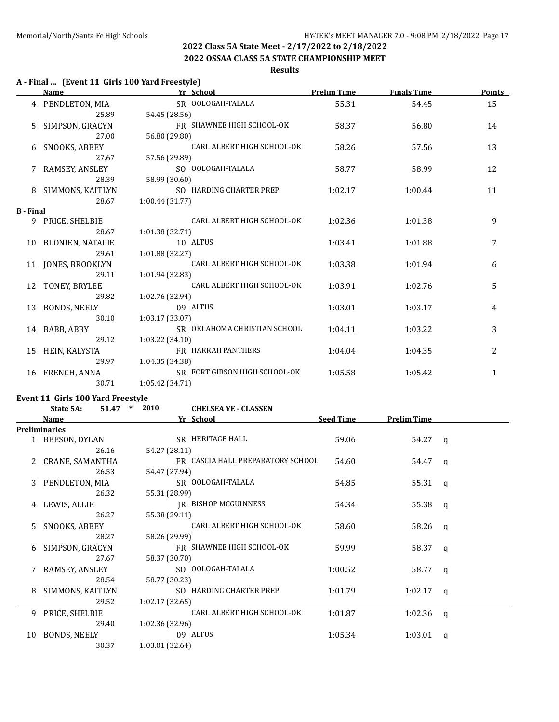#### **2022 OSSAA CLASS 5A STATE CHAMPIONSHIP MEET**

#### **Results**

#### **A - Final ... (Event 11 Girls 100 Yard Freestyle)**

|                  | Name                 | Yr School                     | <b>Prelim Time</b> | <b>Finals Time</b> | <b>Points</b> |
|------------------|----------------------|-------------------------------|--------------------|--------------------|---------------|
|                  | 4 PENDLETON, MIA     | SR OOLOGAH-TALALA             | 55.31              | 54.45              | 15            |
|                  | 25.89                | 54.45 (28.56)                 |                    |                    |               |
| 5.               | SIMPSON, GRACYN      | FR SHAWNEE HIGH SCHOOL-OK     | 58.37              | 56.80              | 14            |
|                  | 27.00                | 56.80 (29.80)                 |                    |                    |               |
| 6                | <b>SNOOKS, ABBEY</b> | CARL ALBERT HIGH SCHOOL-OK    | 58.26              | 57.56              | 13            |
|                  | 27.67                | 57.56 (29.89)                 |                    |                    |               |
| 7                | RAMSEY, ANSLEY       | SO OOLOGAH-TALALA             | 58.77              | 58.99              | 12            |
|                  | 28.39                | 58.99 (30.60)                 |                    |                    |               |
| 8                | SIMMONS, KAITLYN     | SO HARDING CHARTER PREP       | 1:02.17            | 1:00.44            | 11            |
|                  | 28.67                | 1:00.44(31.77)                |                    |                    |               |
| <b>B</b> - Final |                      |                               |                    |                    |               |
|                  | 9 PRICE, SHELBIE     | CARL ALBERT HIGH SCHOOL-OK    | 1:02.36            | 1:01.38            | 9             |
|                  | 28.67                | 1:01.38(32.71)                |                    |                    |               |
|                  | 10 BLONIEN, NATALIE  | 10 ALTUS                      | 1:03.41            | 1:01.88            | 7             |
|                  | 29.61                | 1:01.88 (32.27)               |                    |                    |               |
|                  | 11 JONES, BROOKLYN   | CARL ALBERT HIGH SCHOOL-OK    | 1:03.38            | 1:01.94            | 6             |
|                  | 29.11                | 1:01.94 (32.83)               |                    |                    |               |
|                  | 12 TONEY, BRYLEE     | CARL ALBERT HIGH SCHOOL-OK    | 1:03.91            | 1:02.76            | 5             |
|                  | 29.82                | 1:02.76 (32.94)               |                    |                    |               |
| 13               | BONDS, NEELY         | 09 ALTUS                      | 1:03.01            | 1:03.17            | 4             |
|                  | 30.10                | 1:03.17 (33.07)               |                    |                    |               |
|                  | 14 BABB, ABBY        | SR OKLAHOMA CHRISTIAN SCHOOL  | 1:04.11            | 1:03.22            | 3             |
|                  | 29.12                | 1:03.22(34.10)                |                    |                    |               |
| 15               | HEIN, KALYSTA        | FR HARRAH PANTHERS            | 1:04.04            | 1:04.35            | 2             |
|                  | 29.97                | 1:04.35 (34.38)               |                    |                    |               |
|                  | 16 FRENCH, ANNA      | SR FORT GIBSON HIGH SCHOOL-OK | 1:05.58            | 1:05.42            | $\mathbf{1}$  |
|                  | 30.71                | 1:05.42 (34.71)               |                    |                    |               |

# **Event 11 Girls 100 Yard Freestyle<br>State 54: 51.47**  $*$  **2010**

|    | State 5A:            | 51.47 | $\ast$ | 2010            | <b>CHELSEA YE - CLASSEN</b>       |                  |                    |          |
|----|----------------------|-------|--------|-----------------|-----------------------------------|------------------|--------------------|----------|
|    | Name                 |       |        |                 | Yr School                         | <b>Seed Time</b> | <b>Prelim Time</b> |          |
|    | <b>Preliminaries</b> |       |        |                 |                                   |                  |                    |          |
|    | 1 BEESON, DYLAN      |       |        |                 | SR HERITAGE HALL                  | 59.06            | 54.27 q            |          |
|    |                      | 26.16 |        | 54.27 (28.11)   |                                   |                  |                    |          |
|    | CRANE, SAMANTHA      |       |        |                 | FR CASCIA HALL PREPARATORY SCHOOL | 54.60            | 54.47              | $\alpha$ |
|    |                      | 26.53 |        | 54.47 (27.94)   |                                   |                  |                    |          |
| 3  | PENDLETON, MIA       |       |        |                 | SR OOLOGAH-TALALA                 | 54.85            | 55.31              | $\alpha$ |
|    |                      | 26.32 |        | 55.31 (28.99)   |                                   |                  |                    |          |
| 4  | LEWIS, ALLIE         |       |        |                 | IR BISHOP MCGUINNESS              | 54.34            | 55.38              | $\alpha$ |
|    |                      | 26.27 |        | 55.38 (29.11)   |                                   |                  |                    |          |
| 5. | SNOOKS, ABBEY        |       |        |                 | CARL ALBERT HIGH SCHOOL-OK        | 58.60            | 58.26              | $\alpha$ |
|    |                      | 28.27 |        | 58.26 (29.99)   |                                   |                  |                    |          |
| 6  | SIMPSON, GRACYN      |       |        |                 | FR SHAWNEE HIGH SCHOOL-OK         | 59.99            | 58.37              | a        |
|    |                      | 27.67 |        | 58.37 (30.70)   |                                   |                  |                    |          |
|    | RAMSEY, ANSLEY       |       |        |                 | SO OOLOGAH-TALALA                 | 1:00.52          | 58.77              | a        |
|    |                      | 28.54 |        | 58.77 (30.23)   |                                   |                  |                    |          |
| 8  | SIMMONS, KAITLYN     |       |        |                 | SO HARDING CHARTER PREP           | 1:01.79          | $1:02.17$ q        |          |
|    |                      | 29.52 |        | 1:02.17(32.65)  |                                   |                  |                    |          |
| 9  | PRICE, SHELBIE       |       |        |                 | CARL ALBERT HIGH SCHOOL-OK        | 1:01.87          | 1:02.36            | a        |
|    |                      | 29.40 |        | 1:02.36(32.96)  |                                   |                  |                    |          |
| 10 | <b>BONDS, NEELY</b>  |       |        |                 | 09 ALTUS                          | 1:05.34          | 1:03.01            | a        |
|    |                      | 30.37 |        | 1:03.01 (32.64) |                                   |                  |                    |          |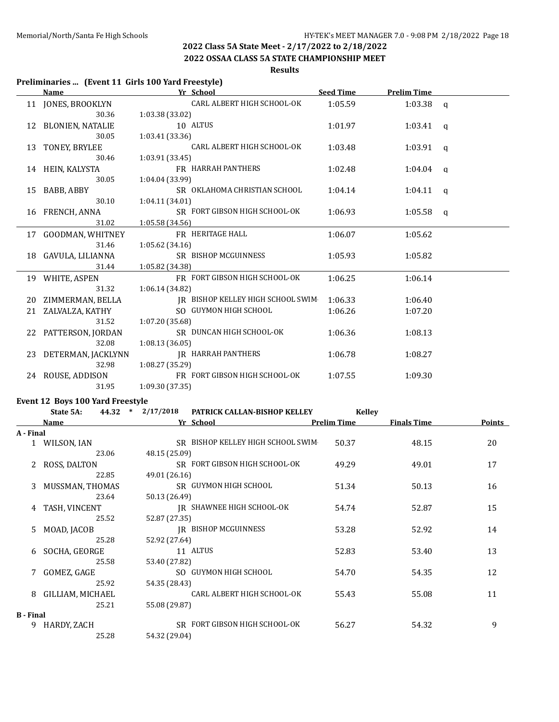**2022 OSSAA CLASS 5A STATE CHAMPIONSHIP MEET**

### **Results**

# **Preliminaries ... (Event 11 Girls 100 Yard Freestyle)**

|           | remimining in preners and footunancestyle<br><u>Name_</u> |                   | Yr School                         | <b>Seed Time</b>   | <b>Prelim Time</b> |        |
|-----------|-----------------------------------------------------------|-------------------|-----------------------------------|--------------------|--------------------|--------|
|           | 11 JONES, BROOKLYN                                        |                   | CARL ALBERT HIGH SCHOOL-OK        | 1:05.59            | 1:03.38            |        |
|           | 30.36                                                     | 1:03.38 (33.02)   |                                   |                    |                    | q      |
|           | 12 BLONIEN, NATALIE                                       |                   | 10 ALTUS                          | 1:01.97            | 1:03.41            | q      |
|           | 30.05                                                     | 1:03.41 (33.36)   |                                   |                    |                    |        |
| 13        | TONEY, BRYLEE                                             |                   | CARL ALBERT HIGH SCHOOL-OK        | 1:03.48            | 1:03.91            | q      |
|           | 30.46                                                     | 1:03.91 (33.45)   |                                   |                    |                    |        |
|           | 14 HEIN, KALYSTA                                          |                   | FR HARRAH PANTHERS                | 1:02.48            | 1:04.04            | q      |
|           | 30.05                                                     | 1:04.04 (33.99)   |                                   |                    |                    |        |
| 15        | BABB, ABBY                                                |                   | SR OKLAHOMA CHRISTIAN SCHOOL      | 1:04.14            | 1:04.11            | q      |
|           | 30.10                                                     | 1:04.11(34.01)    |                                   |                    |                    |        |
|           | 16 FRENCH, ANNA                                           |                   | SR FORT GIBSON HIGH SCHOOL-OK     | 1:06.93            | 1:05.58            | q      |
|           | 31.02                                                     | 1:05.58 (34.56)   |                                   |                    |                    |        |
|           | 17 GOODMAN, WHITNEY                                       |                   | FR HERITAGE HALL                  | 1:06.07            | 1:05.62            |        |
|           | 31.46                                                     | 1:05.62 (34.16)   |                                   |                    |                    |        |
|           | 18 GAVULA, LILIANNA                                       |                   | SR BISHOP MCGUINNESS              | 1:05.93            | 1:05.82            |        |
|           | 31.44                                                     | 1:05.82 (34.38)   |                                   |                    |                    |        |
|           | 19 WHITE, ASPEN                                           |                   | FR FORT GIBSON HIGH SCHOOL-OK     | 1:06.25            | 1:06.14            |        |
|           | 31.32                                                     | 1:06.14 (34.82)   |                                   |                    |                    |        |
|           | 20 ZIMMERMAN, BELLA                                       |                   | IR BISHOP KELLEY HIGH SCHOOL SWIM | 1:06.33            | 1:06.40            |        |
|           | 21 ZALVALZA, KATHY                                        |                   | SO GUYMON HIGH SCHOOL             | 1:06.26            | 1:07.20            |        |
|           | 31.52                                                     | 1:07.20 (35.68)   |                                   |                    |                    |        |
|           | 22 PATTERSON, JORDAN                                      |                   | SR DUNCAN HIGH SCHOOL-OK          | 1:06.36            | 1:08.13            |        |
|           | 32.08                                                     | 1:08.13 (36.05)   |                                   |                    |                    |        |
|           | 23 DETERMAN, JACKLYNN                                     |                   | JR HARRAH PANTHERS                | 1:06.78            | 1:08.27            |        |
|           | 32.98                                                     | 1:08.27 (35.29)   |                                   |                    |                    |        |
|           | 24 ROUSE, ADDISON                                         |                   | FR FORT GIBSON HIGH SCHOOL-OK     | 1:07.55            | 1:09.30            |        |
|           | 31.95                                                     | 1:09.30 (37.35)   |                                   |                    |                    |        |
|           | Event 12 Boys 100 Yard Freestyle                          |                   |                                   |                    |                    |        |
|           | State 5A:                                                 | 44.32 * 2/17/2018 | PATRICK CALLAN-BISHOP KELLEY      | <b>Kelley</b>      |                    |        |
|           | <u>Name</u>                                               |                   | Yr School                         | <b>Prelim Time</b> | <b>Finals Time</b> | Points |
| A - Final |                                                           |                   |                                   |                    |                    |        |
|           | 1 WILSON, IAN                                             |                   | SR BISHOP KELLEY HIGH SCHOOL SWIM | 50.37              | 48.15              | 20     |
|           | 23.06                                                     | 48.15 (25.09)     |                                   |                    |                    |        |
|           | 2 ROSS, DALTON                                            |                   | SR FORT GIBSON HIGH SCHOOL-OK     | 49.29              | 49.01              | 17     |
|           | 22.85                                                     | 49.01 (26.16)     |                                   |                    |                    |        |
|           | 3 MUSSMAN, THOMAS                                         |                   | SR GUYMON HIGH SCHOOL             | 51.34              | 50.13              | 16     |
|           | 23.64                                                     | 50.13 (26.49)     |                                   |                    |                    |        |
|           | 4 TASH, VINCENT                                           |                   | IR SHAWNEE HIGH SCHOOL-OK         | 54.74              | 52.87              | 15     |
|           | 25.52                                                     | 52.87 (27.35)     |                                   |                    |                    |        |
| 5         | MOAD, JACOB                                               |                   | <b>IR BISHOP MCGUINNESS</b>       | 53.28              | 52.92              | 14     |
|           | 25.28                                                     | 52.92 (27.64)     |                                   |                    |                    |        |
| 6         | SOCHA, GEORGE                                             |                   | 11 ALTUS                          | 52.83              | 53.40              | 13     |
|           | 25.58                                                     | 53.40 (27.82)     |                                   |                    |                    |        |
| 7         | GOMEZ, GAGE                                               |                   | SO GUYMON HIGH SCHOOL             | 54.70              | 54.35              | 12     |
|           | 25.92                                                     | 54.35 (28.43)     |                                   |                    |                    |        |
| 8         | GILLIAM, MICHAEL                                          |                   | CARL ALBERT HIGH SCHOOL-OK        | 55.43              | 55.08              | 11     |

#### **B - Final**

9 HARDY, ZACH SR FORT GIBSON HIGH SCHOOL-OK 56.27 54.32 54.32

25.28 54.32 (29.04)

25.21 55.08 (29.87)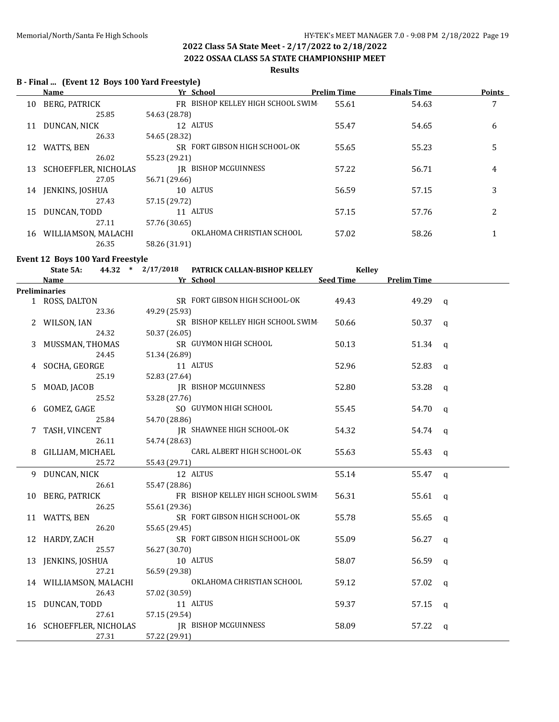$\overline{a}$ 

# **2022 Class 5A State Meet - 2/17/2022 to 2/18/2022**

**2022 OSSAA CLASS 5A STATE CHAMPIONSHIP MEET**

#### **Results**

#### **B - Final ... (Event 12 Boys 100 Yard Freestyle)**

|    | Name                        | Yr School                         | <b>Prelim Time</b> | <b>Finals Time</b> | Points |
|----|-----------------------------|-----------------------------------|--------------------|--------------------|--------|
| 10 | BERG, PATRICK               | FR BISHOP KELLEY HIGH SCHOOL SWIM | 55.61              | 54.63              | 7      |
|    | 25.85                       | 54.63 (28.78)                     |                    |                    |        |
| 11 | DUNCAN, NICK                | 12 ALTUS                          | 55.47              | 54.65              | 6      |
|    | 26.33                       | 54.65 (28.32)                     |                    |                    |        |
| 12 | WATTS, BEN                  | SR FORT GIBSON HIGH SCHOOL-OK     | 55.65              | 55.23              | 5      |
|    | 26.02                       | 55.23 (29.21)                     |                    |                    |        |
| 13 | <b>SCHOEFFLER, NICHOLAS</b> | <b>IR BISHOP MCGUINNESS</b>       | 57.22              | 56.71              | 4      |
|    | 27.05                       | 56.71 (29.66)                     |                    |                    |        |
| 14 | JENKINS, JOSHUA             | 10 ALTUS                          | 56.59              | 57.15              | 3      |
|    | 27.43                       | 57.15 (29.72)                     |                    |                    |        |
| 15 | DUNCAN, TODD                | 11 ALTUS                          | 57.15              | 57.76              | 2      |
|    | 27.11                       | 57.76 (30.65)                     |                    |                    |        |
| 16 | WILLIAMSON, MALACHI         | OKLAHOMA CHRISTIAN SCHOOL         | 57.02              | 58.26              |        |
|    | 26.35                       | 58.26 (31.91)                     |                    |                    |        |

#### **Event 12 Boys 100 Yard Freestyle**

|   | 44.32 * 2/17/2018<br>State 5A: | PATRICK CALLAN-BISHOP KELLEY      | <b>Kelley</b> |                    |              |
|---|--------------------------------|-----------------------------------|---------------|--------------------|--------------|
|   | Name                           | Yr School                         | Seed Time     | <b>Prelim Time</b> |              |
|   | <b>Preliminaries</b>           |                                   |               |                    |              |
|   | 1 ROSS, DALTON                 | SR FORT GIBSON HIGH SCHOOL-OK     | 49.43         | 49.29 q            |              |
|   | 23.36                          | 49.29 (25.93)                     |               |                    |              |
|   | 2 WILSON, IAN                  | SR BISHOP KELLEY HIGH SCHOOL SWIM | 50.66         | 50.37 $q$          |              |
|   | 24.32                          | 50.37 (26.05)                     |               |                    |              |
| 3 | MUSSMAN, THOMAS                | SR GUYMON HIGH SCHOOL             | 50.13         | 51.34              | q            |
|   | 24.45                          | 51.34 (26.89)                     |               |                    |              |
|   | 4 SOCHA, GEORGE                | 11 ALTUS                          | 52.96         | 52.83              | q            |
|   | 25.19                          | 52.83 (27.64)                     |               |                    |              |
| 5 | MOAD, JACOB                    | <b>IR BISHOP MCGUINNESS</b>       | 52.80         | 53.28              | q            |
|   | 25.52                          | 53.28 (27.76)                     |               |                    |              |
|   | 6 GOMEZ, GAGE                  | SO GUYMON HIGH SCHOOL             | 55.45         | 54.70              | $\mathsf{q}$ |
|   | 25.84                          | 54.70 (28.86)                     |               |                    |              |
| 7 | TASH, VINCENT                  | JR SHAWNEE HIGH SCHOOL-OK         | 54.32         | 54.74              | q            |
|   | 26.11                          | 54.74 (28.63)                     |               |                    |              |
|   | GILLIAM, MICHAEL               | CARL ALBERT HIGH SCHOOL-OK        | 55.63         | 55.43              | $\mathbf{q}$ |
|   | 25.72                          | 55.43 (29.71)                     |               |                    |              |
|   | 9 DUNCAN, NICK                 | 12 ALTUS                          | 55.14         | 55.47 q            |              |
|   | 26.61                          | 55.47 (28.86)                     |               |                    |              |
|   | 10 BERG, PATRICK               | FR BISHOP KELLEY HIGH SCHOOL SWIM | 56.31         | 55.61              | $\mathbf{q}$ |
|   | 26.25                          | 55.61 (29.36)                     |               |                    |              |
|   | 11 WATTS, BEN                  | SR FORT GIBSON HIGH SCHOOL-OK     | 55.78         | 55.65              | <b>a</b>     |
|   | 26.20                          | 55.65 (29.45)                     |               |                    |              |
|   | 12 HARDY, ZACH                 | SR FORT GIBSON HIGH SCHOOL-OK     | 55.09         | 56.27              | q            |
|   | 25.57                          | 56.27 (30.70)                     |               |                    |              |
|   | 13 JENKINS, JOSHUA             | 10 ALTUS                          | 58.07         | 56.59              | $\mathsf{q}$ |
|   | 27.21                          | 56.59 (29.38)                     |               |                    |              |
|   | 14 WILLIAMSON, MALACHI         | OKLAHOMA CHRISTIAN SCHOOL         | 59.12         | 57.02              | q            |
|   | 26.43                          | 57.02 (30.59)                     |               |                    |              |
|   | 15 DUNCAN, TODD                | 11 ALTUS                          | 59.37         | 57.15              | q            |
|   | 27.61                          | 57.15 (29.54)                     |               |                    |              |
|   | 16 SCHOEFFLER, NICHOLAS        | IR BISHOP MCGUINNESS              | 58.09         | 57.22              | q            |
|   | 27.31                          | 57.22 (29.91)                     |               |                    |              |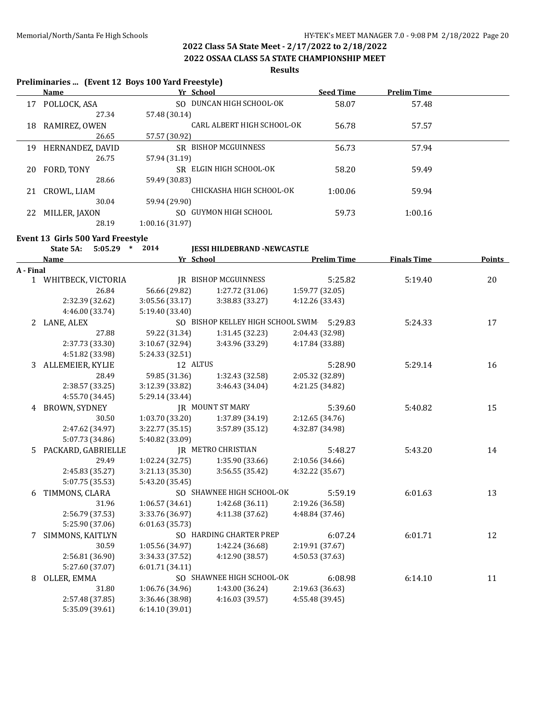**Preliminaries ... (Event 12 Boys 100 Yard Freestyle)**

# **2022 Class 5A State Meet - 2/17/2022 to 2/18/2022**

**2022 OSSAA CLASS 5A STATE CHAMPIONSHIP MEET**

#### **Results**

|           | Name                              | Yr School                          |                                           |                                    | <b>Seed Time</b>   | <b>Prelim Time</b> |        |
|-----------|-----------------------------------|------------------------------------|-------------------------------------------|------------------------------------|--------------------|--------------------|--------|
|           | 17 POLLOCK, ASA                   |                                    | SO DUNCAN HIGH SCHOOL-OK                  |                                    | 58.07              | 57.48              |        |
|           | 27.34                             | 57.48 (30.14)                      |                                           |                                    |                    |                    |        |
|           | 18 RAMIREZ, OWEN                  |                                    | CARL ALBERT HIGH SCHOOL-OK                |                                    | 56.78              | 57.57              |        |
|           | 26.65                             | 57.57 (30.92)                      |                                           |                                    |                    |                    |        |
|           | 19 HERNANDEZ, DAVID               |                                    | SR BISHOP MCGUINNESS                      |                                    | 56.73              | 57.94              |        |
|           | 26.75                             | 57.94 (31.19)                      |                                           |                                    |                    |                    |        |
|           | 20 FORD, TONY                     |                                    | SR ELGIN HIGH SCHOOL-OK                   |                                    | 58.20              | 59.49              |        |
|           | 28.66                             | 59.49 (30.83)                      |                                           |                                    |                    |                    |        |
|           | 21 CROWL, LIAM                    |                                    | CHICKASHA HIGH SCHOOL-OK                  |                                    | 1:00.06            | 59.94              |        |
|           | 30.04                             | 59.94 (29.90)                      |                                           |                                    |                    |                    |        |
|           | 22 MILLER, JAXON                  |                                    | SO GUYMON HIGH SCHOOL                     |                                    | 59.73              | 1:00.16            |        |
|           | 28.19                             | 1:00.16 (31.97)                    |                                           |                                    |                    |                    |        |
|           |                                   |                                    |                                           |                                    |                    |                    |        |
|           | Event 13 Girls 500 Yard Freestyle |                                    |                                           |                                    |                    |                    |        |
|           | 5:05.29 * 2014<br>State 5A:       |                                    | <b>JESSI HILDEBRAND -NEWCASTLE</b>        |                                    |                    |                    |        |
|           | <b>Name</b>                       | Yr School                          |                                           |                                    | <b>Prelim Time</b> | <b>Finals Time</b> | Points |
| A - Final | 1 WHITBECK, VICTORIA              |                                    | <b>IR BISHOP MCGUINNESS</b>               |                                    | 5:25.82            | 5:19.40            | 20     |
|           | 26.84                             | 56.66 (29.82)                      | 1:27.72 (31.06)                           | 1:59.77 (32.05)                    |                    |                    |        |
|           | 2:32.39 (32.62)                   | 3:05.56 (33.17)                    | 3:38.83 (33.27)                           | 4:12.26 (33.43)                    |                    |                    |        |
|           | 4:46.00 (33.74)                   | 5:19.40 (33.40)                    |                                           |                                    |                    |                    |        |
|           |                                   |                                    | SO BISHOP KELLEY HIGH SCHOOL SWIM 5:29.83 |                                    |                    | 5:24.33            | 17     |
|           | 2 LANE, ALEX<br>27.88             |                                    |                                           | 2:04.43 (32.98)                    |                    |                    |        |
|           |                                   | 59.22 (31.34)<br>3:10.67(32.94)    | 1:31.45 (32.23)<br>3:43.96 (33.29)        | 4:17.84 (33.88)                    |                    |                    |        |
|           | 2:37.73 (33.30)                   |                                    |                                           |                                    |                    |                    |        |
|           | 4:51.82 (33.98)                   | 5:24.33 (32.51)<br>12 ALTUS        |                                           |                                    |                    |                    |        |
|           | 3 ALLEMEIER, KYLIE<br>28.49       |                                    |                                           |                                    | 5:28.90            | 5:29.14            | 16     |
|           |                                   | 59.85 (31.36)                      | 1:32.43 (32.58)                           | 2:05.32 (32.89)<br>4:21.25 (34.82) |                    |                    |        |
|           | 2:38.57 (33.25)                   | 3:12.39 (33.82)                    | 3:46.43 (34.04)                           |                                    |                    |                    |        |
|           | 4:55.70 (34.45)                   | 5:29.14 (33.44)                    | JR MOUNT ST MARY                          |                                    |                    |                    |        |
|           | 4 BROWN, SYDNEY                   |                                    |                                           |                                    | 5:39.60            | 5:40.82            | 15     |
|           | 30.50                             | 1:03.70(33.20)                     | 1:37.89 (34.19)                           | 2:12.65 (34.76)                    |                    |                    |        |
|           | 2:47.62 (34.97)                   | 3:22.77 (35.15)                    | 3:57.89 (35.12)                           | 4:32.87 (34.98)                    |                    |                    |        |
|           | 5:07.73 (34.86)                   | 5:40.82 (33.09)                    | <b>JR METRO CHRISTIAN</b>                 |                                    |                    |                    |        |
| 5.        | PACKARD, GABRIELLE<br>29.49       |                                    |                                           |                                    | 5:48.27            | 5:43.20            | 14     |
|           |                                   | 1:02.24 (32.75)                    | 1:35.90 (33.66)                           | 2:10.56 (34.66)                    |                    |                    |        |
|           | 2:45.83 (35.27)                   | 3:21.13 (35.30)                    | 3:56.55 (35.42)                           | 4:32.22 (35.67)                    |                    |                    |        |
|           | 5:07.75 (35.53)                   | 5:43.20 (35.45)                    |                                           |                                    |                    |                    |        |
|           | 6 TIMMONS, CLARA                  |                                    | SO SHAWNEE HIGH SCHOOL-OK                 |                                    | 5:59.19            | 6:01.63            | 13     |
|           | 31.96                             | 1:06.57 (34.61)<br>3:33.76 (36.97) | 1:42.68 (36.11)<br>4:11.38 (37.62)        | 2:19.26 (36.58)                    |                    |                    |        |
|           | 2:56.79 (37.53)                   |                                    |                                           | 4:48.84 (37.46)                    |                    |                    |        |
|           | 5:25.90 (37.06)                   | 6:01.63 (35.73)                    | SO HARDING CHARTER PREP                   |                                    |                    |                    |        |
| 7         | SIMMONS, KAITLYN                  |                                    |                                           |                                    | 6:07.24            | 6:01.71            | 12     |
|           | 30.59                             | 1:05.56 (34.97)                    | 1:42.24 (36.68)                           | 2:19.91 (37.67)                    |                    |                    |        |
|           | 2:56.81 (36.90)                   | 3:34.33 (37.52)                    | 4:12.90 (38.57)                           | 4:50.53 (37.63)                    |                    |                    |        |
|           | 5:27.60 (37.07)                   | 6:01.71 (34.11)                    |                                           |                                    |                    |                    |        |
| 8         | OLLER, EMMA                       |                                    | SO SHAWNEE HIGH SCHOOL-OK                 |                                    | 6:08.98            | 6:14.10            | 11     |
|           | 31.80                             | 1:06.76 (34.96)                    | 1:43.00 (36.24)                           | 2:19.63 (36.63)                    |                    |                    |        |
|           | 2:57.48 (37.85)                   | 3:36.46 (38.98)                    | 4:16.03 (39.57)                           | 4:55.48 (39.45)                    |                    |                    |        |
|           | 5:35.09 (39.61)                   | 6:14.10 (39.01)                    |                                           |                                    |                    |                    |        |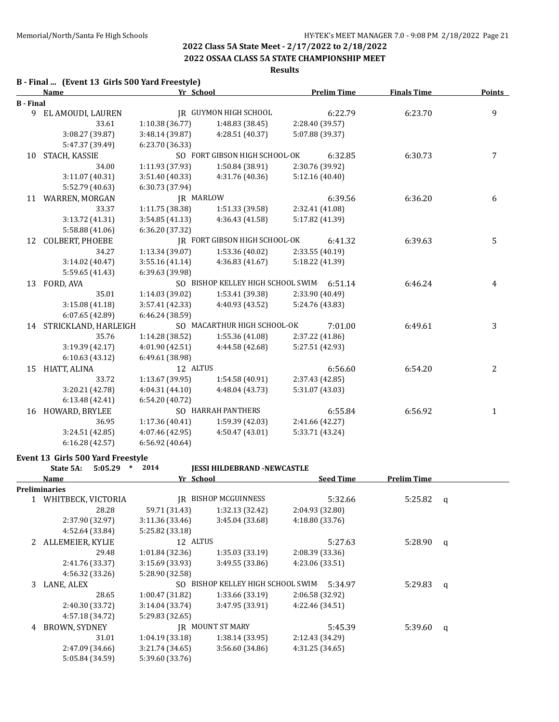#### **2022 OSSAA CLASS 5A STATE CHAMPIONSHIP MEET**

#### **Results**

#### **B - Final ... (Event 13 Girls 500 Yard Freestyle)**

|                  | <b>Name</b>             | Yr School       |                                           | <b>Prelim Time</b> | <b>Finals Time</b> | <b>Points</b> |
|------------------|-------------------------|-----------------|-------------------------------------------|--------------------|--------------------|---------------|
| <b>B</b> - Final |                         |                 |                                           |                    |                    |               |
|                  | 9 EL AMOUDI, LAUREN     |                 | <b>IR GUYMON HIGH SCHOOL</b>              | 6:22.79            | 6:23.70            | 9             |
|                  | 33.61                   | 1:10.38 (36.77) | 1:48.83 (38.45)                           | 2:28.40 (39.57)    |                    |               |
|                  | 3:08.27 (39.87)         | 3:48.14 (39.87) | 4:28.51 (40.37)                           | 5:07.88 (39.37)    |                    |               |
|                  | 5:47.37 (39.49)         | 6:23.70 (36.33) |                                           |                    |                    |               |
| 10               | STACH, KASSIE           |                 | SO FORT GIBSON HIGH SCHOOL-OK             | 6:32.85            | 6:30.73            | 7             |
|                  | 34.00                   | 1:11.93 (37.93) | 1:50.84 (38.91)                           | 2:30.76 (39.92)    |                    |               |
|                  | 3:11.07 (40.31)         | 3:51.40 (40.33) | 4:31.76 (40.36)                           | 5:12.16 (40.40)    |                    |               |
|                  | 5:52.79 (40.63)         | 6:30.73 (37.94) |                                           |                    |                    |               |
|                  | 11 WARREN, MORGAN       | JR MARLOW       |                                           | 6:39.56            | 6:36.20            | 6             |
|                  | 33.37                   | 1:11.75 (38.38) | 1:51.33 (39.58)                           | 2:32.41 (41.08)    |                    |               |
|                  | 3:13.72 (41.31)         | 3:54.85(41.13)  | 4:36.43 (41.58)                           | 5:17.82 (41.39)    |                    |               |
|                  | 5:58.88 (41.06)         | 6:36.20 (37.32) |                                           |                    |                    |               |
| 12               | <b>COLBERT, PHOEBE</b>  |                 | IR FORT GIBSON HIGH SCHOOL-OK             | 6:41.32            | 6:39.63            | 5             |
|                  | 34.27                   | 1:13.34 (39.07) | 1:53.36 (40.02)                           | 2:33.55 (40.19)    |                    |               |
|                  | 3:14.02 (40.47)         | 3:55.16(41.14)  | 4:36.83 (41.67)                           | 5:18.22 (41.39)    |                    |               |
|                  | 5:59.65 (41.43)         | 6:39.63 (39.98) |                                           |                    |                    |               |
| 13               | FORD, AVA               |                 | SO BISHOP KELLEY HIGH SCHOOL SWIM 6:51.14 |                    | 6:46.24            | 4             |
|                  | 35.01                   | 1:14.03 (39.02) | 1:53.41 (39.38)                           | 2:33.90 (40.49)    |                    |               |
|                  | 3:15.08(41.18)          | 3:57.41 (42.33) | 4:40.93 (43.52)                           | 5:24.76 (43.83)    |                    |               |
|                  | 6:07.65 (42.89)         | 6:46.24(38.59)  |                                           |                    |                    |               |
|                  | 14 STRICKLAND, HARLEIGH |                 | SO MACARTHUR HIGH SCHOOL-OK               | 7:01.00            | 6:49.61            | 3             |
|                  | 35.76                   | 1:14.28(38.52)  | 1:55.36 (41.08)                           | 2:37.22 (41.86)    |                    |               |
|                  | 3:19.39 (42.17)         | 4:01.90 (42.51) | 4:44.58 (42.68)                           | 5:27.51 (42.93)    |                    |               |
|                  | 6:10.63(43.12)          | 6:49.61 (38.98) |                                           |                    |                    |               |
| 15               | HIATT, ALINA            | 12 ALTUS        |                                           | 6:56.60            | 6:54.20            | 2             |
|                  | 33.72                   | 1:13.67 (39.95) | 1:54.58 (40.91)                           | 2:37.43 (42.85)    |                    |               |
|                  | 3:20.21 (42.78)         | 4:04.31 (44.10) | 4:48.04 (43.73)                           | 5:31.07 (43.03)    |                    |               |
|                  | 6:13.48 (42.41)         | 6:54.20 (40.72) |                                           |                    |                    |               |
| 16               | HOWARD, BRYLEE          |                 | SO HARRAH PANTHERS                        | 6:55.84            | 6:56.92            | 1             |
|                  | 36.95                   | 1:17.36 (40.41) | 1:59.39 (42.03)                           | 2:41.66 (42.27)    |                    |               |
|                  | 3:24.51 (42.85)         | 4:07.46 (42.95) | 4:50.47 (43.01)                           | 5:33.71 (43.24)    |                    |               |
|                  | 6:16.28(42.57)          | 6:56.92 (40.64) |                                           |                    |                    |               |

#### **Event 13 Girls 500 Yard Freestyle**

|   | $\ast$<br>State 5A:<br>5:05.29 | 2014            | <b>JESSI HILDEBRAND -NEWCASTLE</b> |                  |                    |   |
|---|--------------------------------|-----------------|------------------------------------|------------------|--------------------|---|
|   | Name                           | Yr School       |                                    | <b>Seed Time</b> | <b>Prelim Time</b> |   |
|   | Preliminaries                  |                 |                                    |                  |                    |   |
|   | WHITBECK, VICTORIA             | IR              | <b>BISHOP MCGUINNESS</b>           | 5:32.66          | 5:25.82            | q |
|   | 28.28                          | 59.71 (31.43)   | 1:32.13 (32.42)                    | 2:04.93 (32.80)  |                    |   |
|   | 2:37.90 (32.97)                | 3:11.36 (33.46) | 3:45.04 (33.68)                    | 4:18.80 (33.76)  |                    |   |
|   | 4:52.64 (33.84)                | 5:25.82 (33.18) |                                    |                  |                    |   |
| 2 | ALLEMEIER, KYLIE               | 12 ALTUS        |                                    | 5:27.63          | 5:28.90            | q |
|   | 29.48                          | 1:01.84(32.36)  | 1:35.03(33.19)                     | 2:08.39 (33.36)  |                    |   |
|   | 2:41.76 (33.37)                | 3:15.69 (33.93) | 3:49.55(33.86)                     | 4:23.06 (33.51)  |                    |   |
|   | 4:56.32 (33.26)                | 5:28.90 (32.58) |                                    |                  |                    |   |
| 3 | LANE, ALEX                     |                 | SO BISHOP KELLEY HIGH SCHOOL SWIM  | 5:34.97          | 5:29.83            | q |
|   | 28.65                          | 1:00.47 (31.82) | 1:33.66 (33.19)                    | 2:06.58 (32.92)  |                    |   |
|   | 2:40.30 (33.72)                | 3:14.04 (33.74) | 3:47.95 (33.91)                    | 4:22.46 (34.51)  |                    |   |
|   | 4:57.18 (34.72)                | 5:29.83 (32.65) |                                    |                  |                    |   |
| 4 | BROWN, SYDNEY                  |                 | IR MOUNT ST MARY                   | 5:45.39          | 5:39.60            | q |
|   | 31.01                          | 1:04.19(33.18)  | 1:38.14(33.95)                     | 2:12.43 (34.29)  |                    |   |
|   | 2:47.09 (34.66)                | 3:21.74 (34.65) | 3:56.60(34.86)                     | 4:31.25 (34.65)  |                    |   |
|   | 5:05.84 (34.59)                | 5:39.60 (33.76) |                                    |                  |                    |   |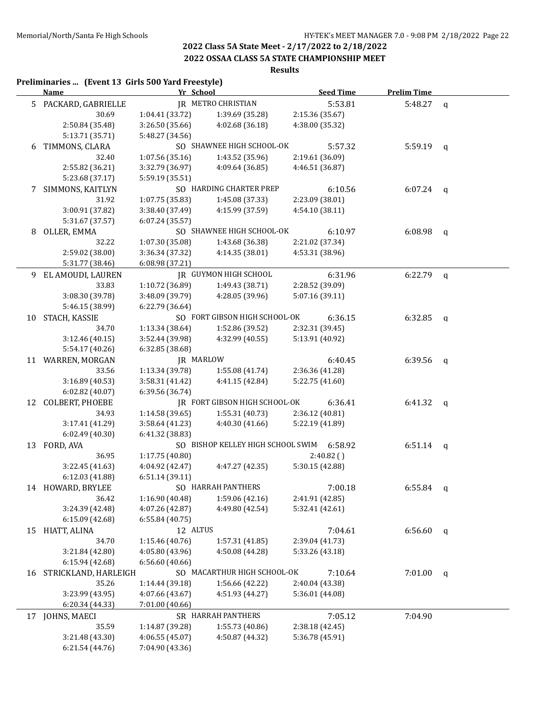### **2022 OSSAA CLASS 5A STATE CHAMPIONSHIP MEET**

# **Results**

#### **Preliminaries ... (Event 13 Girls 500 Yard Freestyle)**

|    | <b>Name</b>          | Yr School       |                                           |                 | <b>Seed Time</b> | <b>Prelim Time</b> |   |
|----|----------------------|-----------------|-------------------------------------------|-----------------|------------------|--------------------|---|
|    | 5 PACKARD, GABRIELLE |                 | <b>IR METRO CHRISTIAN</b>                 |                 | 5:53.81          | 5:48.27            | q |
|    | 30.69                | 1:04.41 (33.72) | 1:39.69 (35.28)                           | 2:15.36 (35.67) |                  |                    |   |
|    | 2:50.84 (35.48)      | 3:26.50 (35.66) | 4:02.68 (36.18)                           | 4:38.00 (35.32) |                  |                    |   |
|    | 5:13.71 (35.71)      | 5:48.27 (34.56) |                                           |                 |                  |                    |   |
| 6  | TIMMONS, CLARA       |                 | SO SHAWNEE HIGH SCHOOL-OK                 |                 | 5:57.32          | 5:59.19            | q |
|    | 32.40                | 1:07.56(35.16)  | 1:43.52 (35.96)                           | 2:19.61 (36.09) |                  |                    |   |
|    | 2:55.82 (36.21)      | 3:32.79 (36.97) | 4:09.64 (36.85)                           | 4:46.51 (36.87) |                  |                    |   |
|    | 5:23.68 (37.17)      | 5:59.19 (35.51) |                                           |                 |                  |                    |   |
| 7  | SIMMONS, KAITLYN     |                 | SO HARDING CHARTER PREP                   |                 | 6:10.56          | $6:07.24$ q        |   |
|    | 31.92                | 1:07.75 (35.83) | 1:45.08 (37.33)                           | 2:23.09 (38.01) |                  |                    |   |
|    | 3:00.91 (37.82)      | 3:38.40 (37.49) | 4:15.99 (37.59)                           | 4:54.10 (38.11) |                  |                    |   |
|    | 5:31.67 (37.57)      | 6.07.24(35.57)  |                                           |                 |                  |                    |   |
|    |                      |                 | SO SHAWNEE HIGH SCHOOL-OK                 |                 |                  |                    |   |
| 8  | OLLER, EMMA          |                 |                                           |                 | 6:10.97          | 6:08.98            | q |
|    | 32.22                | 1:07.30 (35.08) | 1:43.68 (36.38)                           | 2:21.02 (37.34) |                  |                    |   |
|    | 2:59.02 (38.00)      | 3:36.34 (37.32) | 4:14.35 (38.01)                           | 4:53.31 (38.96) |                  |                    |   |
|    | 5:31.77 (38.46)      | 6:08.98 (37.21) |                                           |                 |                  |                    |   |
|    | 9 EL AMOUDI, LAUREN  |                 | <b>IR GUYMON HIGH SCHOOL</b>              |                 | 6:31.96          | 6:22.79            | q |
|    | 33.83                | 1:10.72 (36.89) | 1:49.43 (38.71)                           | 2:28.52 (39.09) |                  |                    |   |
|    | 3:08.30 (39.78)      | 3:48.09 (39.79) | 4:28.05 (39.96)                           | 5:07.16 (39.11) |                  |                    |   |
|    | 5:46.15 (38.99)      | 6:22.79 (36.64) |                                           |                 |                  |                    |   |
|    | 10 STACH, KASSIE     |                 | SO FORT GIBSON HIGH SCHOOL-OK             |                 | 6:36.15          | 6:32.85            | q |
|    | 34.70                | 1:13.34 (38.64) | 1:52.86 (39.52)                           | 2:32.31 (39.45) |                  |                    |   |
|    | 3:12.46 (40.15)      | 3:52.44 (39.98) | 4:32.99 (40.55)                           | 5:13.91 (40.92) |                  |                    |   |
|    | 5:54.17 (40.26)      | 6:32.85 (38.68) |                                           |                 |                  |                    |   |
|    | 11 WARREN, MORGAN    |                 | JR MARLOW                                 |                 | 6:40.45          | 6:39.56            | q |
|    | 33.56                | 1:13.34 (39.78) | 1:55.08 (41.74)                           | 2:36.36 (41.28) |                  |                    |   |
|    | 3:16.89 (40.53)      | 3:58.31 (41.42) | 4:41.15 (42.84)                           | 5:22.75 (41.60) |                  |                    |   |
|    | 6:02.82 (40.07)      | 6:39.56 (36.74) |                                           |                 |                  |                    |   |
|    | 12 COLBERT, PHOEBE   |                 | IR FORT GIBSON HIGH SCHOOL-OK             |                 | 6:36.41          | 6:41.32            | q |
|    | 34.93                | 1:14.58(39.65)  | 1:55.31 (40.73)                           | 2:36.12 (40.81) |                  |                    |   |
|    | 3:17.41 (41.29)      | 3:58.64 (41.23) | 4:40.30 (41.66)                           | 5:22.19 (41.89) |                  |                    |   |
|    | 6:02.49 (40.30)      | 6:41.32 (38.83) |                                           |                 |                  |                    |   |
|    | 13 FORD, AVA         |                 | SO BISHOP KELLEY HIGH SCHOOL SWIM 6:58.92 |                 |                  | 6:51.14 $q$        |   |
|    | 36.95                | 1:17.75 (40.80) |                                           |                 | 2:40.82()        |                    |   |
|    | 3:22.45 (41.63)      | 4:04.92 (42.47) | 4:47.27 (42.35)                           | 5:30.15 (42.88) |                  |                    |   |
|    | 6:12.03 (41.88)      | 6:51.14(39.11)  |                                           |                 |                  |                    |   |
|    | 14 HOWARD, BRYLEE    |                 | SO HARRAH PANTHERS                        |                 | 7:00.18          | 6:55.84            | q |
|    | 36.42                | 1:16.90 (40.48) | 1:59.06 (42.16)                           | 2:41.91 (42.85) |                  |                    |   |
|    | 3:24.39 (42.48)      | 4:07.26 (42.87) | 4:49.80 (42.54)                           | 5:32.41 (42.61) |                  |                    |   |
|    | 6:15.09 (42.68)      | 6:55.84 (40.75) |                                           |                 |                  |                    |   |
| 15 | HIATT, ALINA         | 12 ALTUS        |                                           |                 | 7:04.61          | 6:56.60            | q |
|    | 34.70                | 1:15.46 (40.76) | 1:57.31 (41.85)                           | 2:39.04 (41.73) |                  |                    |   |
|    | 3:21.84 (42.80)      | 4:05.80 (43.96) | 4:50.08 (44.28)                           | 5:33.26 (43.18) |                  |                    |   |
|    | 6:15.94 (42.68)      | 6:56.60 (40.66) |                                           |                 |                  |                    |   |
| 16 | STRICKLAND, HARLEIGH |                 | SO MACARTHUR HIGH SCHOOL-OK               |                 | 7:10.64          | 7:01.00            | q |
|    | 35.26                | 1:14.44 (39.18) | 1:56.66 (42.22)                           | 2:40.04 (43.38) |                  |                    |   |
|    | 3:23.99 (43.95)      | 4:07.66 (43.67) | 4:51.93 (44.27)                           | 5:36.01 (44.08) |                  |                    |   |
|    |                      | 7:01.00 (40.66) |                                           |                 |                  |                    |   |
|    | 6:20.34 (44.33)      |                 |                                           |                 |                  |                    |   |
| 17 | JOHNS, MAECI         |                 | SR HARRAH PANTHERS                        |                 | 7:05.12          | 7:04.90            |   |
|    | 35.59                | 1:14.87 (39.28) | 1:55.73 (40.86)                           | 2:38.18 (42.45) |                  |                    |   |
|    | 3:21.48 (43.30)      | 4:06.55 (45.07) | 4:50.87 (44.32)                           | 5:36.78 (45.91) |                  |                    |   |
|    | 6:21.54 (44.76)      | 7:04.90 (43.36) |                                           |                 |                  |                    |   |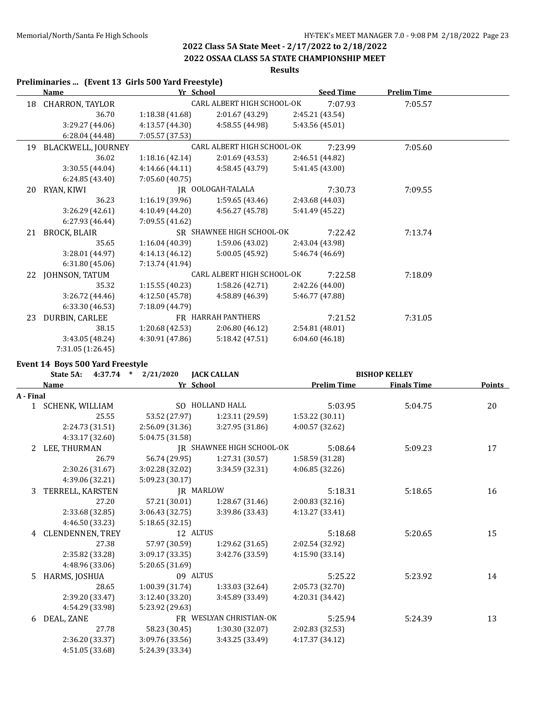## **2022 OSSAA CLASS 5A STATE CHAMPIONSHIP MEET**

# **Results**

|    | Preliminaries  (Event 13 Girls 500 Yard Freestyle) |                 |                                   |                 |                  |                    |  |
|----|----------------------------------------------------|-----------------|-----------------------------------|-----------------|------------------|--------------------|--|
|    | <b>Name</b>                                        | Yr School       |                                   |                 | <b>Seed Time</b> | <b>Prelim Time</b> |  |
| 18 | CHARRON, TAYLOR                                    |                 | <b>CARL ALBERT HIGH SCHOOL-OK</b> |                 | 7:07.93          | 7:05.57            |  |
|    | 36.70                                              | 1:18.38(41.68)  | 2:01.67 (43.29)                   | 2:45.21 (43.54) |                  |                    |  |
|    | 3:29.27 (44.06)                                    | 4:13.57 (44.30) | 4:58.55 (44.98)                   | 5:43.56 (45.01) |                  |                    |  |
|    | 6:28.04 (44.48)                                    | 7:05.57 (37.53) |                                   |                 |                  |                    |  |
| 19 | BLACKWELL, JOURNEY                                 |                 | CARL ALBERT HIGH SCHOOL-OK        |                 | 7:23.99          | 7:05.60            |  |
|    | 36.02                                              | 1:18.16(42.14)  | 2:01.69(43.53)                    | 2:46.51 (44.82) |                  |                    |  |
|    | 3:30.55 (44.04)                                    | 4:14.66 (44.11) | 4:58.45 (43.79)                   | 5:41.45(43.00)  |                  |                    |  |
|    | 6:24.85 (43.40)                                    | 7:05.60 (40.75) |                                   |                 |                  |                    |  |
| 20 | RYAN, KIWI                                         |                 | IR OOLOGAH-TALALA                 |                 | 7:30.73          | 7:09.55            |  |
|    | 36.23                                              | 1:16.19(39.96)  | 1:59.65(43.46)                    | 2:43.68 (44.03) |                  |                    |  |
|    | 3:26.29 (42.61)                                    | 4:10.49 (44.20) | 4:56.27 (45.78)                   | 5:41.49 (45.22) |                  |                    |  |
|    | 6:27.93 (46.44)                                    | 7:09.55 (41.62) |                                   |                 |                  |                    |  |
| 21 | BROCK, BLAIR                                       |                 | SR SHAWNEE HIGH SCHOOL-OK         |                 | 7:22.42          | 7:13.74            |  |
|    | 35.65                                              | 1:16.04(40.39)  | 1:59.06 (43.02)                   | 2:43.04 (43.98) |                  |                    |  |
|    | 3:28.01 (44.97)                                    | 4:14.13 (46.12) | 5:00.05 (45.92)                   | 5:46.74 (46.69) |                  |                    |  |
|    | 6:31.80(45.06)                                     | 7:13.74 (41.94) |                                   |                 |                  |                    |  |
| 22 | JOHNSON, TATUM                                     |                 | CARL ALBERT HIGH SCHOOL-OK        |                 | 7:22.58          | 7:18.09            |  |
|    | 35.32                                              | 1:15.55(40.23)  | 1:58.26 (42.71)                   | 2:42.26 (44.00) |                  |                    |  |
|    | 3:26.72 (44.46)                                    | 4:12.50 (45.78) | 4:58.89 (46.39)                   | 5:46.77 (47.88) |                  |                    |  |
|    | 6:33.30 (46.53)                                    | 7:18.09 (44.79) |                                   |                 |                  |                    |  |
| 23 | DURBIN, CARLEE                                     |                 | FR HARRAH PANTHERS                |                 | 7:21.52          | 7:31.05            |  |
|    | 38.15                                              | 1:20.68 (42.53) | 2:06.80 (46.12)                   | 2:54.81 (48.01) |                  |                    |  |
|    | 3:43.05 (48.24)                                    | 4:30.91 (47.86) | 5:18.42(47.51)                    | 6:04.60(46.18)  |                  |                    |  |
|    | 7:31.05 (1:26.45)                                  |                 |                                   |                 |                  |                    |  |

#### **Event 14 Boys 500 Yard Freestyle**

|           | State 5A:               | $4:37.74$ * $2/21/2020$ | <b>JACK CALLAN</b>        |                    | <b>BISHOP KELLEY</b> |        |
|-----------|-------------------------|-------------------------|---------------------------|--------------------|----------------------|--------|
|           | Name                    | Yr School               |                           | <b>Prelim Time</b> | <b>Finals Time</b>   | Points |
| A - Final |                         |                         |                           |                    |                      |        |
|           | 1 SCHENK, WILLIAM       |                         | SO HOLLAND HALL           | 5:03.95            | 5:04.75              | 20     |
|           | 25.55                   | 53.52 (27.97)           | 1:23.11 (29.59)           | 1:53.22(30.11)     |                      |        |
|           | 2:24.73 (31.51)         | 2:56.09 (31.36)         | 3:27.95 (31.86)           | 4:00.57 (32.62)    |                      |        |
|           | 4:33.17 (32.60)         | 5:04.75 (31.58)         |                           |                    |                      |        |
| 2         | LEE, THURMAN            |                         | IR SHAWNEE HIGH SCHOOL-OK | 5:08.64            | 5:09.23              | 17     |
|           | 26.79                   | 56.74 (29.95)           | 1:27.31 (30.57)           | 1:58.59 (31.28)    |                      |        |
|           | 2:30.26 (31.67)         | 3:02.28 (32.02)         | 3:34.59 (32.31)           | 4:06.85 (32.26)    |                      |        |
|           | 4:39.06 (32.21)         | 5:09.23 (30.17)         |                           |                    |                      |        |
| 3         | TERRELL, KARSTEN        | <b>IR MARLOW</b>        |                           | 5:18.31            | 5:18.65              | 16     |
|           | 27.20                   | 57.21 (30.01)           | 1:28.67 (31.46)           | 2:00.83 (32.16)    |                      |        |
|           | 2:33.68 (32.85)         | 3:06.43 (32.75)         | 3:39.86 (33.43)           | 4:13.27 (33.41)    |                      |        |
|           | 4:46.50 (33.23)         | 5:18.65(32.15)          |                           |                    |                      |        |
| 4         | <b>CLENDENNEN, TREY</b> | 12 ALTUS                |                           | 5:18.68            | 5:20.65              | 15     |
|           | 27.38                   | 57.97 (30.59)           | 1:29.62 (31.65)           | 2:02.54 (32.92)    |                      |        |
|           | 2:35.82 (33.28)         | 3:09.17 (33.35)         | 3:42.76 (33.59)           | 4:15.90 (33.14)    |                      |        |
|           | 4:48.96 (33.06)         | 5:20.65 (31.69)         |                           |                    |                      |        |
| 5.        | HARMS, JOSHUA           | 09 ALTUS                |                           | 5:25.22            | 5:23.92              | 14     |
|           | 28.65                   | 1:00.39 (31.74)         | 1:33.03 (32.64)           | 2:05.73 (32.70)    |                      |        |
|           | 2:39.20 (33.47)         | 3:12.40 (33.20)         | 3:45.89 (33.49)           | 4:20.31 (34.42)    |                      |        |
|           | 4:54.29 (33.98)         | 5:23.92 (29.63)         |                           |                    |                      |        |
| 6         | DEAL, ZANE              |                         | FR WESLYAN CHRISTIAN-OK   | 5:25.94            | 5:24.39              | 13     |
|           | 27.78                   | 58.23 (30.45)           | 1:30.30 (32.07)           | 2:02.83 (32.53)    |                      |        |
|           | 2:36.20 (33.37)         | 3:09.76 (33.56)         | 3:43.25 (33.49)           | 4:17.37 (34.12)    |                      |        |
|           | 4:51.05 (33.68)         | 5:24.39 (33.34)         |                           |                    |                      |        |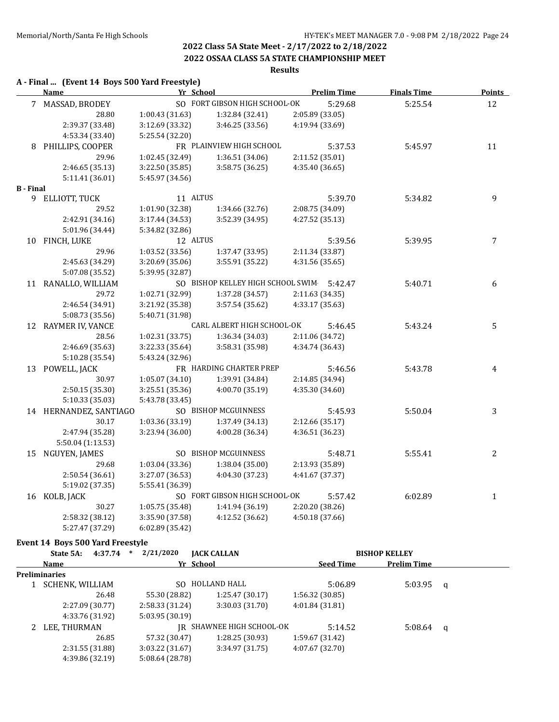#### **2022 OSSAA CLASS 5A STATE CHAMPIONSHIP MEET**

# **Results**

#### **A - Final ... (Event 14 Boys 500 Yard Freestyle)**

|                  | <b>Name</b>            | Yr School       |                                           | <b>Prelim Time</b> | <b>Finals Time</b> | <b>Points</b> |
|------------------|------------------------|-----------------|-------------------------------------------|--------------------|--------------------|---------------|
|                  | 7 MASSAD, BRODEY       |                 | SO FORT GIBSON HIGH SCHOOL-OK             | 5:29.68            | 5:25.54            | 12            |
|                  | 28.80                  | 1:00.43 (31.63) | 1:32.84 (32.41)                           | 2:05.89 (33.05)    |                    |               |
|                  | 2:39.37 (33.48)        | 3:12.69 (33.32) | 3:46.25 (33.56)                           | 4:19.94 (33.69)    |                    |               |
|                  | 4:53.34 (33.40)        | 5:25.54 (32.20) |                                           |                    |                    |               |
|                  | 8 PHILLIPS, COOPER     |                 | FR PLAINVIEW HIGH SCHOOL                  | 5:37.53            | 5:45.97            | 11            |
|                  | 29.96                  | 1:02.45 (32.49) | 1:36.51 (34.06)                           | 2:11.52 (35.01)    |                    |               |
|                  | 2:46.65 (35.13)        | 3:22.50(35.85)  | 3:58.75 (36.25)                           | 4:35.40 (36.65)    |                    |               |
|                  | 5:11.41 (36.01)        | 5:45.97 (34.56) |                                           |                    |                    |               |
| <b>B</b> - Final |                        |                 |                                           |                    |                    |               |
|                  | 9 ELLIOTT, TUCK        | 11 ALTUS        |                                           | 5:39.70            | 5:34.82            | 9             |
|                  | 29.52                  | 1:01.90 (32.38) | 1:34.66 (32.76)                           | 2:08.75 (34.09)    |                    |               |
|                  | 2:42.91 (34.16)        | 3:17.44(34.53)  | 3:52.39 (34.95)                           | 4:27.52 (35.13)    |                    |               |
|                  | 5:01.96 (34.44)        | 5:34.82 (32.86) |                                           |                    |                    |               |
|                  | 10 FINCH, LUKE         | 12 ALTUS        |                                           | 5:39.56            | 5:39.95            | 7             |
|                  | 29.96                  | 1:03.52 (33.56) | 1:37.47 (33.95)                           | 2:11.34 (33.87)    |                    |               |
|                  | 2:45.63 (34.29)        | 3:20.69(35.06)  | 3:55.91 (35.22)                           | 4:31.56 (35.65)    |                    |               |
|                  | 5:07.08 (35.52)        | 5:39.95 (32.87) |                                           |                    |                    |               |
|                  | 11 RANALLO, WILLIAM    |                 | SO BISHOP KELLEY HIGH SCHOOL SWIM 5:42.47 |                    | 5:40.71            | 6             |
|                  | 29.72                  | 1:02.71 (32.99) | 1:37.28 (34.57)                           | 2:11.63 (34.35)    |                    |               |
|                  | 2:46.54 (34.91)        | 3:21.92 (35.38) | 3:57.54 (35.62)                           | 4:33.17 (35.63)    |                    |               |
|                  | 5:08.73 (35.56)        | 5:40.71 (31.98) |                                           |                    |                    |               |
|                  | 12 RAYMER IV, VANCE    |                 | CARL ALBERT HIGH SCHOOL-OK                | 5:46.45            | 5:43.24            | 5             |
|                  | 28.56                  | 1:02.31 (33.75) | 1:36.34 (34.03)                           | 2:11.06 (34.72)    |                    |               |
|                  | 2:46.69 (35.63)        | 3:22.33 (35.64) | 3:58.31 (35.98)                           | 4:34.74 (36.43)    |                    |               |
|                  | 5:10.28 (35.54)        | 5:43.24 (32.96) |                                           |                    |                    |               |
|                  | 13 POWELL, JACK        |                 | FR HARDING CHARTER PREP                   | 5:46.56            | 5:43.78            | 4             |
|                  | 30.97                  | 1:05.07 (34.10) | 1:39.91 (34.84)                           | 2:14.85 (34.94)    |                    |               |
|                  | 2:50.15 (35.30)        | 3:25.51 (35.36) | 4:00.70 (35.19)                           | 4:35.30 (34.60)    |                    |               |
|                  | 5:10.33 (35.03)        | 5:43.78 (33.45) |                                           |                    |                    |               |
|                  | 14 HERNANDEZ, SANTIAGO |                 | SO BISHOP MCGUINNESS                      | 5:45.93            | 5:50.04            | 3             |
|                  | 30.17                  | 1:03.36 (33.19) | 1:37.49 (34.13)                           | 2:12.66 (35.17)    |                    |               |
|                  | 2:47.94 (35.28)        | 3:23.94(36.00)  | 4:00.28 (36.34)                           | 4:36.51 (36.23)    |                    |               |
|                  | 5:50.04 (1:13.53)      |                 |                                           |                    |                    |               |
| 15               | NGUYEN, JAMES          |                 | SO BISHOP MCGUINNESS                      | 5:48.71            | 5:55.41            | 2             |
|                  | 29.68                  | 1:03.04 (33.36) | 1:38.04 (35.00)                           | 2:13.93 (35.89)    |                    |               |
|                  | 2:50.54 (36.61)        | 3:27.07 (36.53) | 4:04.30 (37.23)                           | 4:41.67 (37.37)    |                    |               |
|                  | 5:19.02 (37.35)        | 5:55.41 (36.39) |                                           |                    |                    |               |
|                  | 16 KOLB, JACK          |                 | SO FORT GIBSON HIGH SCHOOL-OK             | 5:57.42            | 6:02.89            | $\mathbf{1}$  |
|                  | 30.27                  | 1:05.75 (35.48) | 1:41.94 (36.19)                           | 2:20.20 (38.26)    |                    |               |
|                  | 2:58.32 (38.12)        | 3:35.90 (37.58) | 4:12.52 (36.62)                           | 4:50.18 (37.66)    |                    |               |
|                  | 5:27.47 (37.29)        | 6:02.89 (35.42) |                                           |                    |                    |               |

#### **Event 14 Boys 500 Yard Freestyle**

| State 5A:              | 4:37.74         | $\ast$ | 2/21/2020       | <b>JACK CALLAN</b>        |                  | <b>BISHOP KELLEY</b> |                    |  |
|------------------------|-----------------|--------|-----------------|---------------------------|------------------|----------------------|--------------------|--|
| Name                   |                 |        |                 | Yr School                 | <b>Seed Time</b> |                      | <b>Prelim Time</b> |  |
| <b>Preliminaries</b>   |                 |        |                 |                           |                  |                      |                    |  |
| <b>SCHENK, WILLIAM</b> |                 |        | SO.             | HOLLAND HALL              | 5:06.89          |                      | 5:03.95 q          |  |
|                        | 26.48           |        | 55.30 (28.82)   | 1:25.47(30.17)            | 1:56.32(30.85)   |                      |                    |  |
|                        | 2:27.09 (30.77) |        | 2:58.33(31.24)  | 3:30.03(31.70)            | 4:01.84(31.81)   |                      |                    |  |
|                        | 4:33.76 (31.92) |        | 5:03.95(30.19)  |                           |                  |                      |                    |  |
| LEE, THURMAN           |                 |        |                 | IR SHAWNEE HIGH SCHOOL-OK | 5:14.52          |                      | $5:08.64$ q        |  |
|                        | 26.85           |        | 57.32 (30.47)   | 1:28.25 (30.93)           | 1:59.67 (31.42)  |                      |                    |  |
|                        | 2:31.55(31.88)  |        | 3:03.22(31.67)  | 3:34.97(31.75)            | 4:07.67 (32.70)  |                      |                    |  |
|                        | 4:39.86 (32.19) |        | 5:08.64 (28.78) |                           |                  |                      |                    |  |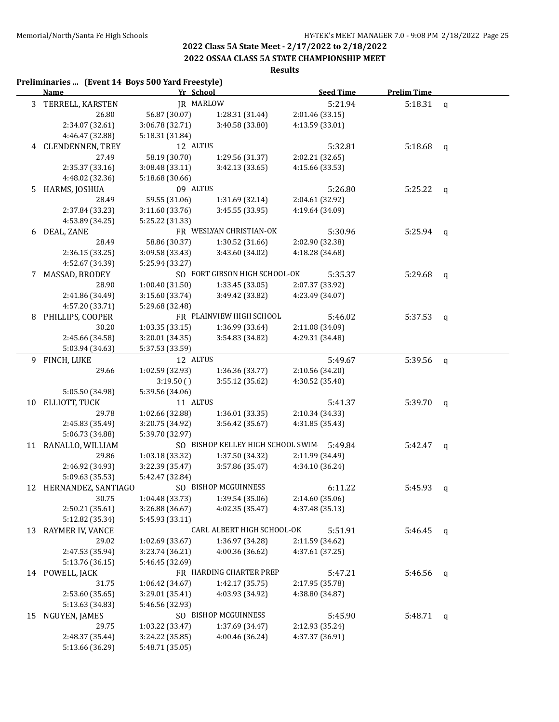#### **2022 OSSAA CLASS 5A STATE CHAMPIONSHIP MEET**

# **Results**

#### **Preliminaries ... (Event 14 Boys 500 Yard Freestyle)**

|    | <b>Name</b>              | Yr School                          |                                    |                                    | <b>Seed Time</b> | <b>Prelim Time</b> |              |
|----|--------------------------|------------------------------------|------------------------------------|------------------------------------|------------------|--------------------|--------------|
|    | 3 TERRELL, KARSTEN       | JR MARLOW                          |                                    |                                    | 5:21.94          | 5:18.31            | $\mathsf{q}$ |
|    | 26.80                    | 56.87 (30.07)                      | 1:28.31 (31.44)                    | 2:01.46 (33.15)                    |                  |                    |              |
|    | 2:34.07 (32.61)          | 3:06.78 (32.71)                    | 3:40.58 (33.80)                    | 4:13.59 (33.01)                    |                  |                    |              |
|    | 4:46.47 (32.88)          | 5:18.31 (31.84)                    |                                    |                                    |                  |                    |              |
|    | 4 CLENDENNEN, TREY       | 12 ALTUS                           |                                    |                                    | 5:32.81          | 5:18.68 $q$        |              |
|    | 27.49                    | 58.19 (30.70)                      | 1:29.56 (31.37)                    | 2:02.21 (32.65)                    |                  |                    |              |
|    | 2:35.37 (33.16)          | 3:08.48 (33.11)                    | 3:42.13 (33.65)                    | 4:15.66 (33.53)                    |                  |                    |              |
|    | 4:48.02 (32.36)          | 5:18.68 (30.66)                    |                                    |                                    |                  |                    |              |
| 5. | HARMS, JOSHUA            | 09 ALTUS                           |                                    |                                    | 5:26.80          | $5:25.22$ q        |              |
|    | 28.49                    | 59.55 (31.06)                      | 1:31.69 (32.14)                    | 2:04.61 (32.92)                    |                  |                    |              |
|    | 2:37.84 (33.23)          | 3:11.60 (33.76)                    | 3:45.55 (33.95)                    | 4:19.64 (34.09)                    |                  |                    |              |
|    | 4:53.89 (34.25)          | 5:25.22 (31.33)                    |                                    |                                    |                  |                    |              |
| 6  | DEAL, ZANE               |                                    | FR WESLYAN CHRISTIAN-OK            |                                    | 5:30.96          | $5:25.94$ q        |              |
|    | 28.49                    | 58.86 (30.37)                      | 1:30.52 (31.66)                    | 2:02.90 (32.38)                    |                  |                    |              |
|    | 2:36.15 (33.25)          | 3:09.58 (33.43)                    | 3:43.60 (34.02)                    | 4:18.28 (34.68)                    |                  |                    |              |
|    | 4:52.67 (34.39)          | 5:25.94 (33.27)                    |                                    |                                    |                  |                    |              |
| 7  | MASSAD, BRODEY           |                                    | SO FORT GIBSON HIGH SCHOOL-OK      |                                    | 5:35.37          | 5:29.68            | q            |
|    | 28.90                    | 1:00.40(31.50)                     | 1:33.45 (33.05)                    | 2:07.37 (33.92)                    |                  |                    |              |
|    | 2:41.86 (34.49)          | 3:15.60(33.74)                     | 3:49.42 (33.82)                    | 4:23.49 (34.07)                    |                  |                    |              |
|    | 4:57.20 (33.71)          | 5:29.68 (32.48)                    |                                    |                                    |                  |                    |              |
| 8  | PHILLIPS, COOPER         |                                    | FR PLAINVIEW HIGH SCHOOL           |                                    | 5:46.02          | 5:37.53            | q            |
|    | 30.20                    | 1:03.35(33.15)                     | 1:36.99 (33.64)                    | 2:11.08 (34.09)                    |                  |                    |              |
|    | 2:45.66 (34.58)          | 3:20.01 (34.35)                    | 3:54.83 (34.82)                    | 4:29.31 (34.48)                    |                  |                    |              |
|    | 5:03.94 (34.63)          | 5:37.53 (33.59)                    |                                    |                                    |                  |                    |              |
|    | 9 FINCH, LUKE            | 12 ALTUS                           |                                    |                                    | 5:49.67          | 5:39.56            | $\mathbf{q}$ |
|    | 29.66                    | 1:02.59 (32.93)                    | 1:36.36 (33.77)                    | 2:10.56 (34.20)                    |                  |                    |              |
|    |                          | 3:19.50()                          | 3:55.12 (35.62)                    | 4:30.52 (35.40)                    |                  |                    |              |
|    | 5:05.50 (34.98)          | 5:39.56 (34.06)                    |                                    |                                    |                  |                    |              |
| 10 | ELLIOTT, TUCK            | 11 ALTUS                           |                                    |                                    | 5:41.37          | 5:39.70            | $\mathsf{q}$ |
|    | 29.78                    | 1:02.66 (32.88)                    | 1:36.01 (33.35)                    | 2:10.34 (34.33)                    |                  |                    |              |
|    | 2:45.83 (35.49)          | 3:20.75 (34.92)                    | 3:56.42 (35.67)                    | 4:31.85 (35.43)                    |                  |                    |              |
|    | 5:06.73 (34.88)          | 5:39.70 (32.97)                    |                                    |                                    |                  |                    |              |
| 11 | RANALLO, WILLIAM         |                                    | SO BISHOP KELLEY HIGH SCHOOL SWIM  |                                    | 5:49.84          | 5:42.47            | q            |
|    | 29.86                    | 1:03.18 (33.32)                    | 1:37.50 (34.32)                    | 2:11.99 (34.49)                    |                  |                    |              |
|    | 2:46.92 (34.93)          | 3:22.39 (35.47)                    | 3:57.86 (35.47)                    | 4:34.10 (36.24)                    |                  |                    |              |
|    | 5:09.63 (35.53)          | 5:42.47 (32.84)                    |                                    |                                    |                  |                    |              |
|    | 12 HERNANDEZ, SANTIAGO   |                                    | SO BISHOP MCGUINNESS               |                                    | 6:11.22          | 5:45.93            | q            |
|    | 30.75                    | 1:04.48 (33.73)                    | 1:39.54 (35.06)                    | 2:14.60 (35.06)                    |                  |                    |              |
|    | 2:50.21 (35.61)          | 3:26.88 (36.67)                    | 4:02.35 (35.47)                    | 4:37.48 (35.13)                    |                  |                    |              |
|    | 5:12.82 (35.34)          | 5:45.93 (33.11)                    |                                    |                                    |                  |                    |              |
| 13 | <b>RAYMER IV, VANCE</b>  |                                    | CARL ALBERT HIGH SCHOOL-OK         |                                    | 5:51.91          | 5:46.45            | q            |
|    | 29.02                    | 1:02.69 (33.67)                    | 1:36.97 (34.28)                    | 2:11.59 (34.62)                    |                  |                    |              |
|    | 2:47.53 (35.94)          | 3:23.74 (36.21)                    | 4:00.36 (36.62)                    | 4:37.61 (37.25)                    |                  |                    |              |
|    | 5:13.76 (36.15)          | 5:46.45 (32.69)                    |                                    |                                    |                  |                    |              |
|    | 14 POWELL, JACK          |                                    | FR HARDING CHARTER PREP            |                                    | 5:47.21          | 5:46.56            | q            |
|    | 31.75                    | 1:06.42 (34.67)                    | 1:42.17 (35.75)                    | 2:17.95 (35.78)                    |                  |                    |              |
|    | 2:53.60 (35.65)          | 3:29.01 (35.41)                    | 4:03.93 (34.92)                    | 4:38.80 (34.87)                    |                  |                    |              |
|    | 5:13.63 (34.83)          | 5:46.56 (32.93)                    |                                    |                                    |                  |                    |              |
| 15 | NGUYEN, JAMES            |                                    | SO BISHOP MCGUINNESS               |                                    | 5:45.90          | 5:48.71            | q            |
|    | 29.75<br>2:48.37 (35.44) | 1:03.22 (33.47)<br>3:24.22 (35.85) | 1:37.69 (34.47)<br>4:00.46 (36.24) | 2:12.93 (35.24)<br>4:37.37 (36.91) |                  |                    |              |
|    | 5:13.66 (36.29)          | 5:48.71 (35.05)                    |                                    |                                    |                  |                    |              |
|    |                          |                                    |                                    |                                    |                  |                    |              |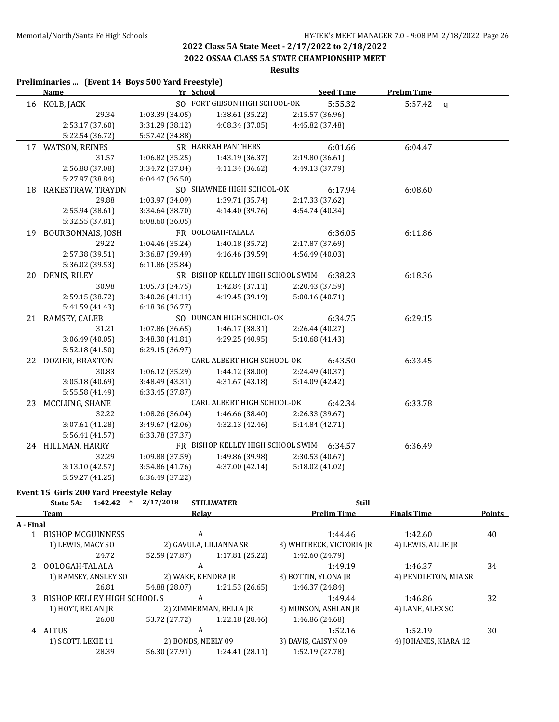**2022 OSSAA CLASS 5A STATE CHAMPIONSHIP MEET**

#### **Results**

#### **Preliminaries ... (Event 14 Boys 500 Yard Freestyle) Name Yr School Seed Time Prelim Time** 16 KOLB, JACK SO FORT GIBSON HIGH SCHOOL-OK 5:55.32 5:57.42 q 29.34 1:03.39 (34.05) 1:38.61 (35.22) 2:15.57 (36.96) 2:53.17 (37.60) 3:31.29 (38.12) 4:08.34 (37.05) 4:45.82 (37.48) 5:22.54 (36.72) 5:57.42 (34.88) 17 WATSON, REINES SR HARRAH PANTHERS 6:01.66 6:04.47 31.57 1:06.82 (35.25) 1:43.19 (36.37) 2:19.80 (36.61) 2:56.88 (37.08) 3:34.72 (37.84) 4:11.34 (36.62) 4:49.13 (37.79) 5:27.97 (38.84) 6:04.47 (36.50) 18 RAKESTRAW, TRAYDN SO SHAWNEE HIGH SCHOOL-OK 6:17.94 6:08.60 29.88 1:03.97 (34.09) 1:39.71 (35.74) 2:17.33 (37.62) 2:55.94 (38.61) 3:34.64 (38.70) 4:14.40 (39.76) 4:54.74 (40.34) 5:32.55 (37.81) 6:08.60 (36.05) 19 BOURBONNAIS, JOSH FR OOLOGAH-TALALA 6:36.05 6:11.86 29.22 1:04.46 (35.24) 1:40.18 (35.72) 2:17.87 (37.69) 2:57.38 (39.51) 3:36.87 (39.49) 4:16.46 (39.59) 4:56.49 (40.03) 5:36.02 (39.53) 6:11.86 (35.84) 20 DENIS, RILEY SR BISHOP KELLEY HIGH SCHOOL SWIM 6:38.23 6:18.36 30.98 1:05.73 (34.75) 1:42.84 (37.11) 2:20.43 (37.59) 2:59.15 (38.72) 3:40.26 (41.11) 4:19.45 (39.19) 5:00.16 (40.71) 5:41.59 (41.43) 6:18.36 (36.77) 21 RAMSEY, CALEB SO DUNCAN HIGH SCHOOL-OK 6:34.75 6:29.15 31.21 1:07.86 (36.65) 1:46.17 (38.31) 2:26.44 (40.27) 3:06.49 (40.05) 3:48.30 (41.81) 4:29.25 (40.95) 5:10.68 (41.43) 5:52.18 (41.50) 6:29.15 (36.97) 22 DOZIER, BRAXTON CARL ALBERT HIGH SCHOOL-OK 6:43.50 6:33.45 30.83 1:06.12 (35.29) 1:44.12 (38.00) 2:24.49 (40.37) 3:05.18 (40.69) 3:48.49 (43.31) 4:31.67 (43.18) 5:14.09 (42.42) 5:55.58 (41.49) 6:33.45 (37.87) 23 MCCLUNG, SHANE CARL ALBERT HIGH SCHOOL-OK 6:42.34 6:33.78 32.22 1:08.26 (36.04) 1:46.66 (38.40) 2:26.33 (39.67) 3:07.61 (41.28) 3:49.67 (42.06) 4:32.13 (42.46) 5:14.84 (42.71) 5:56.41 (41.57) 6:33.78 (37.37) 24 HILLMAN, HARRY FR BISHOP KELLEY HIGH SCHOOL SWIM 6:34.57 6:36.49 32.29 1:09.88 (37.59) 1:49.86 (39.98) 2:30.53 (40.67) 3:13.10 (42.57) 3:54.86 (41.76) 4:37.00 (42.14) 5:18.02 (41.02) 5:59.27 (41.25) 6:36.49 (37.22)

#### **Event 15 Girls 200 Yard Freestyle Relay**

|           | 1:42.42<br>$\ast$<br>State 5A: | 2/17/2018          | <b>STILLWATER</b>      | <b>Still</b>             |                      |               |
|-----------|--------------------------------|--------------------|------------------------|--------------------------|----------------------|---------------|
|           | <b>Team</b>                    |                    | Relay                  | <b>Prelim Time</b>       | <b>Finals Time</b>   | <b>Points</b> |
| A - Final |                                |                    |                        |                          |                      |               |
|           | <b>BISHOP MCGUINNESS</b>       | A                  |                        | 1:44.46                  | 1:42.60              | 40            |
|           | 1) LEWIS, MACY SO              |                    | 2) GAVULA, LILIANNA SR | 3) WHITBECK, VICTORIA JR | 4) LEWIS, ALLIE JR   |               |
|           | 24.72                          | 52.59 (27.87)      | 1:17.81 (25.22)        | 1:42.60 (24.79)          |                      |               |
|           | OOLOGAH-TALALA                 | A                  |                        | 1:49.19                  | 1:46.37              | 34            |
|           | 1) RAMSEY, ANSLEY SO           | 2) WAKE, KENDRA JR |                        | 3) BOTTIN, YLONA JR      | 4) PENDLETON, MIA SR |               |
|           | 26.81                          | 54.88 (28.07)      | 1:21.53(26.65)         | 1:46.37 (24.84)          |                      |               |
| 3         | BISHOP KELLEY HIGH SCHOOL S    | A                  |                        | 1:49.44                  | 1:46.86              | 32            |
|           | 1) HOYT, REGAN JR              |                    | 2) ZIMMERMAN, BELLA JR | 3) MUNSON, ASHLAN JR     | 4) LANE, ALEX SO     |               |
|           | 26.00                          | 53.72 (27.72)      | 1:22.18 (28.46)        | 1:46.86 (24.68)          |                      |               |
| 4         | <b>ALTUS</b>                   | A                  |                        | 1:52.16                  | 1:52.19              | 30            |
|           | 1) SCOTT, LEXIE 11             | 2) BONDS, NEELY 09 |                        | 3) DAVIS, CAISYN 09      | 4) JOHANES, KIARA 12 |               |
|           | 28.39                          | 56.30 (27.91)      | 1:24.41(28.11)         | 1:52.19 (27.78)          |                      |               |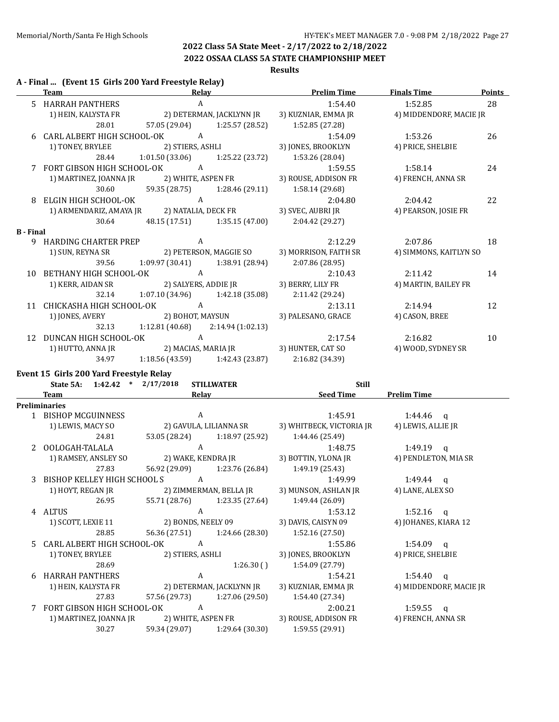### **2022 OSSAA CLASS 5A STATE CHAMPIONSHIP MEET**

#### **Results**

#### **A - Final ... (Event 15 Girls 200 Yard Freestyle Relay)**

|                  | Team                                        | Relay                               |                                   | <b>Prelim Time</b>    | <b>Finals Time</b>      | <b>Points</b> |
|------------------|---------------------------------------------|-------------------------------------|-----------------------------------|-----------------------|-------------------------|---------------|
|                  | 5 HARRAH PANTHERS                           | A                                   |                                   | 1:54.40               | 1:52.85                 | 28            |
|                  | 1) HEIN, KALYSTA FR                         |                                     | 2) DETERMAN, JACKLYNN JR          | 3) KUZNIAR, EMMA JR   | 4) MIDDENDORF, MACIE JR |               |
|                  | 28.01                                       |                                     | 57.05 (29.04) 1:25.57 (28.52)     | 1:52.85 (27.28)       |                         |               |
|                  | 6 CARL ALBERT HIGH SCHOOL-OK                | $\overline{A}$                      |                                   | 1:54.09               | 1:53.26                 | 26            |
|                  | 1) TONEY, BRYLEE                            |                                     | 2) STIERS, ASHLI                  | 3) JONES, BROOKLYN    | 4) PRICE, SHELBIE       |               |
|                  | 28.44                                       |                                     | $1:01.50(33.06)$ $1:25.22(23.72)$ | 1:53.26 (28.04)       |                         |               |
|                  | 7 FORT GIBSON HIGH SCHOOL-OK                | $\overline{A}$                      |                                   | 1:59.55               | 1:58.14                 | 24            |
|                  | 1) MARTINEZ, JOANNA JR                      |                                     | 2) WHITE, ASPEN FR                | 3) ROUSE, ADDISON FR  | 4) FRENCH, ANNA SR      |               |
|                  | 30.60                                       | 59.35 (28.75)                       | 1:28.46 (29.11)                   | 1:58.14 (29.68)       |                         |               |
| 8                | ELGIN HIGH SCHOOL-OK                        | A                                   |                                   | 2:04.80               | 2:04.42                 | 22            |
|                  | 1) ARMENDARIZ, AMAYA JR 2) NATALIA, DECK FR |                                     |                                   | 3) SVEC, AUBRI JR     | 4) PEARSON, JOSIE FR    |               |
|                  | 30.64                                       |                                     | 48.15 (17.51) 1:35.15 (47.00)     | 2:04.42 (29.27)       |                         |               |
| <b>B</b> - Final |                                             |                                     |                                   |                       |                         |               |
|                  | 9 HARDING CHARTER PREP                      | A                                   |                                   | 2:12.29               | 2:07.86                 | 18            |
|                  | 1) SUN, REYNA SR                            |                                     | 2) PETERSON, MAGGIE SO            | 3) MORRISON, FAITH SR | 4) SIMMONS, KAITLYN SO  |               |
|                  | 39.56                                       | $1:09.97(30.41)$ $1:38.91(28.94)$   |                                   | 2:07.86 (28.95)       |                         |               |
| 10               | BETHANY HIGH SCHOOL-OK                      | A                                   |                                   | 2:10.43               | 2:11.42                 | 14            |
|                  | 1) KERR, AIDAN SR 2) SALYERS, ADDIE JR      |                                     |                                   | 3) BERRY, LILY FR     | 4) MARTIN, BAILEY FR    |               |
|                  | 32.14                                       |                                     | $1:07.10(34.96)$ $1:42.18(35.08)$ | 2:11.42 (29.24)       |                         |               |
| 11               | CHICKASHA HIGH SCHOOL-OK                    | $\overline{A}$                      |                                   | 2:13.11               | 2:14.94                 | 12            |
|                  | 1) JONES, AVERY                             | 2) BOHOT, MAYSUN                    |                                   | 3) PALESANO, GRACE    | 4) CASON, BREE          |               |
|                  | 32.13                                       | $1:12.81(40.68)$ $2:14.94(1:02.13)$ |                                   |                       |                         |               |
| 12               | DUNCAN HIGH SCHOOL-OK                       | A                                   |                                   | 2:17.54               | 2:16.82                 | 10            |
|                  | 1) HUTTO, ANNA JR                           |                                     |                                   |                       | 4) WOOD, SYDNEY SR      |               |
|                  | 34.97                                       |                                     | $1:18.56(43.59)$ $1:42.43(23.87)$ | 2:16.82 (34.39)       |                         |               |
|                  |                                             |                                     |                                   |                       |                         |               |

#### **Event 15 Girls 200 Yard Freestyle Relay**

|       | State 5A: 1:42.42 *         | 2/17/2018          | <b>STILLWATER</b>             | <b>Still</b>             |                         |
|-------|-----------------------------|--------------------|-------------------------------|--------------------------|-------------------------|
|       | Team                        | Relay              |                               | <b>Seed Time</b>         | <b>Prelim Time</b>      |
|       | <b>Preliminaries</b>        |                    |                               |                          |                         |
|       | 1 BISHOP MCGUINNESS         | A                  |                               | 1:45.91                  | $1:44.46$ q             |
|       | 1) LEWIS, MACY SO           |                    | 2) GAVULA, LILIANNA SR        | 3) WHITBECK, VICTORIA JR | 4) LEWIS, ALLIE JR      |
|       | 24.81                       |                    | 53.05 (28.24) 1:18.97 (25.92) | 1:44.46 (25.49)          |                         |
|       | OOLOGAH-TALALA              | $\mathbf{A}$       |                               | 1:48.75                  | 1:49.19 $q$             |
|       | 1) RAMSEY, ANSLEY SO        | 2) WAKE, KENDRA JR |                               | 3) BOTTIN, YLONA JR      | 4) PENDLETON, MIA SR    |
|       | 27.83                       | 56.92 (29.09)      | 1:23.76 (26.84)               | 1:49.19 (25.43)          |                         |
|       | BISHOP KELLEY HIGH SCHOOL S | A                  |                               | 1:49.99                  | $1:49.44$ a             |
|       | 1) HOYT, REGAN JR           |                    | 2) ZIMMERMAN, BELLA JR        | 3) MUNSON, ASHLAN JR     | 4) LANE, ALEX SO        |
|       | 26.95                       |                    | 55.71 (28.76) 1:23.35 (27.64) | 1:49.44 (26.09)          |                         |
|       | 4 ALTUS                     | $\mathbf{A}$       |                               | 1:53.12                  | $1:52.16$ q             |
|       | 1) SCOTT, LEXIE 11          | 2) BONDS, NEELY 09 |                               | 3) DAVIS, CAISYN 09      | 4) JOHANES, KIARA 12    |
|       | 28.85                       | 56.36 (27.51)      | 1:24.66 (28.30)               | 1:52.16(27.50)           |                         |
| $5 -$ | CARL ALBERT HIGH SCHOOL-OK  | A                  |                               | 1:55.86                  | $1:54.09$ q             |
|       | 1) TONEY, BRYLEE            | 2) STIERS, ASHLI   |                               | 3) JONES, BROOKLYN       | 4) PRICE, SHELBIE       |
|       | 28.69                       |                    | 1:26.30()                     | 1:54.09 (27.79)          |                         |
| 6     | <b>HARRAH PANTHERS</b>      | $\mathbf{A}$       |                               | 1:54.21                  | $1:54.40$ q             |
|       | 1) HEIN, KALYSTA FR         |                    | 2) DETERMAN, JACKLYNN JR      | 3) KUZNIAR, EMMA JR      | 4) MIDDENDORF, MACIE JR |
|       | 27.83                       |                    | 57.56 (29.73) 1:27.06 (29.50) | 1:54.40 (27.34)          |                         |
|       | FORT GIBSON HIGH SCHOOL-OK  | A                  |                               | 2:00.21                  | 1:59.55 $q$             |
|       | 1) MARTINEZ, JOANNA JR      | 2) WHITE, ASPEN FR |                               | 3) ROUSE, ADDISON FR     | 4) FRENCH, ANNA SR      |
|       | 30.27                       | 59.34 (29.07)      | 1:29.64 (30.30)               | 1:59.55 (29.91)          |                         |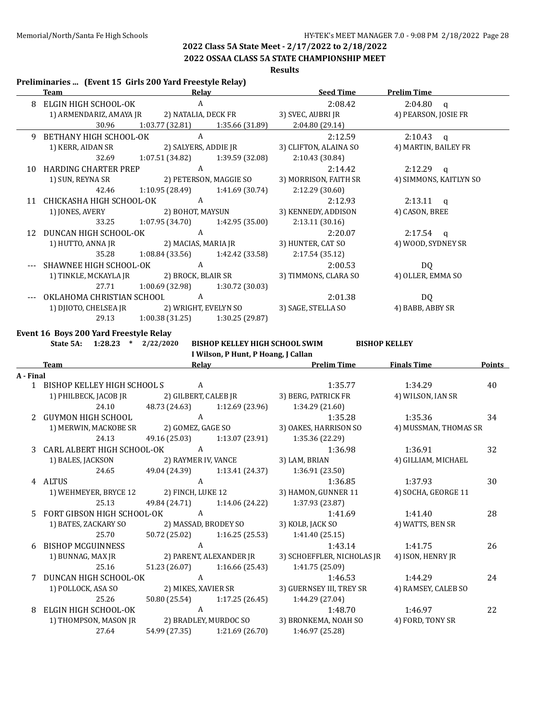**2022 OSSAA CLASS 5A STATE CHAMPIONSHIP MEET**

**Results**

#### **Preliminaries ... (Event 15 Girls 200 Yard Freestyle Relay)**

|     | Team                                        | <b>Relav</b>                      |                                   | <b>Seed Time</b>      | <b>Prelim Time</b>     |
|-----|---------------------------------------------|-----------------------------------|-----------------------------------|-----------------------|------------------------|
|     | ELGIN HIGH SCHOOL-OK<br>$\mathbf{A}$        |                                   | 2:08.42                           | $2:04.80$ q           |                        |
|     | 1) ARMENDARIZ, AMAYA JR 2) NATALIA, DECK FR |                                   |                                   | 3) SVEC, AUBRI JR     | 4) PEARSON, JOSIE FR   |
|     | 30.96                                       |                                   | $1:03.77(32.81)$ $1:35.66(31.89)$ | 2:04.80 (29.14)       |                        |
| 9   | BETHANY HIGH SCHOOL-OK                      | $\overline{A}$                    |                                   | 2:12.59               | $2:10.43$ a            |
|     | 1) KERR, AIDAN SR                           |                                   | 2) SALYERS, ADDIE JR              | 3) CLIFTON, ALAINA SO | 4) MARTIN, BAILEY FR   |
|     | 32.69                                       |                                   | $1:07.51(34.82)$ $1:39.59(32.08)$ | 2:10.43(30.84)        |                        |
| 10. | <b>HARDING CHARTER PREP</b>                 | A                                 |                                   | 2:14.42               | $2:12.29$ a            |
|     | 1) SUN, REYNA SR 2) PETERSON, MAGGIE SO     |                                   |                                   | 3) MORRISON, FAITH SR | 4) SIMMONS, KAITLYN SO |
|     | 42.46                                       |                                   | $1:10.95(28.49)$ $1:41.69(30.74)$ | 2:12.29(30.60)        |                        |
| 11  | CHICKASHA HIGH SCHOOL-OK A                  |                                   |                                   | 2:12.93               | $2:13.11$ q            |
|     | 1) JONES, AVERY                             | 2) BOHOT, MAYSUN                  |                                   | 3) KENNEDY, ADDISON   | 4) CASON, BREE         |
|     | 33.25                                       |                                   | $1:07.95(34.70)$ $1:42.95(35.00)$ | 2:13.11(30.16)        |                        |
| 12  | DUNCAN HIGH SCHOOL-OK                       | $\overline{A}$                    |                                   | 2:20.07               | $2:17.54$ q            |
|     | 1) HUTTO, ANNA JR 2) MACIAS, MARIA JR       |                                   |                                   | 3) HUNTER, CAT SO     | 4) WOOD, SYDNEY SR     |
|     | 35.28                                       |                                   | $1:08.84(33.56)$ $1:42.42(33.58)$ | 2:17.54(35.12)        |                        |
|     | SHAWNEE HIGH SCHOOL-OK                      | A                                 |                                   | 2:00.53               | DQ                     |
|     |                                             |                                   |                                   | 3) TIMMONS, CLARA SO  | 4) OLLER, EMMA SO      |
|     | 27.71                                       | 1:00.69 (32.98)                   | 1:30.72 (30.03)                   |                       |                        |
|     | OKLAHOMA CHRISTIAN SCHOOL                   | A                                 |                                   | 2:01.38               | DQ                     |
|     | 1) DJIOTO, CHELSEA JR                       | 2) WRIGHT, EVELYN SO              |                                   | 3) SAGE, STELLA SO    | 4) BABB, ABBY SR       |
|     | 29.13                                       | $1:00.38(31.25)$ $1:30.25(29.87)$ |                                   |                       |                        |

**Event 16 Boys 200 Yard Freestyle Relay**

**State 5A: 1:28.23 \* 2/22/2020 BISHOP KELLEY HIGH SCHOOL SWIM BISHOP KELLEY I Wilson, P Hunt, P Hoang, J Callan**

|           | <b>Team</b>                            | Relav         |                               | <b>Prelim Time</b>         | <b>Finals Time</b>    | <b>Points</b> |
|-----------|----------------------------------------|---------------|-------------------------------|----------------------------|-----------------------|---------------|
| A - Final |                                        |               |                               |                            |                       |               |
|           | 1 BISHOP KELLEY HIGH SCHOOL S          | A             |                               | 1:35.77                    | 1:34.29               | 40            |
|           | 1) PHILBECK, JACOB JR                  |               | 2) GILBERT, CALEB JR          | 3) BERG, PATRICK FR        | 4) WILSON, IAN SR     |               |
|           | 24.10                                  | 48.73 (24.63) | 1:12.69 (23.96)               | 1:34.29 (21.60)            |                       |               |
| 2         | GUYMON HIGH SCHOOL                     | $\mathbf{A}$  |                               | 1:35.28                    | 1:35.36               | 34            |
|           | 1) MERWIN, MACKOBE SR                  |               | 2) GOMEZ, GAGE SO             | 3) OAKES, HARRISON SO      | 4) MUSSMAN, THOMAS SR |               |
|           | 24.13                                  | 49.16 (25.03) | 1:13.07 (23.91)               | 1:35.36 (22.29)            |                       |               |
|           | 3 CARL ALBERT HIGH SCHOOL-OK           | A             |                               | 1:36.98                    | 1:36.91               | 32            |
|           | 1) BALES, JACKSON                      |               | 2) RAYMER IV, VANCE           | 3) LAM, BRIAN              | 4) GILLIAM, MICHAEL   |               |
|           | 24.65                                  |               | 49.04 (24.39) 1:13.41 (24.37) | 1:36.91 (23.50)            |                       |               |
|           | 4 ALTUS                                | A             |                               | 1:36.85                    | 1:37.93               | 30            |
|           | 1) WEHMEYER, BRYCE 12                  |               | 2) FINCH, LUKE 12             | 3) HAMON, GUNNER 11        | 4) SOCHA, GEORGE 11   |               |
|           | 25.13                                  |               | 49.84 (24.71) 1:14.06 (24.22) | 1:37.93 (23.87)            |                       |               |
| 5.        | FORT GIBSON HIGH SCHOOL-OK             | A             |                               | 1:41.69                    | 1:41.40               | 28            |
|           | 1) BATES, ZACKARY SO                   |               | 2) MASSAD, BRODEY SO          | 3) KOLB, JACK SO           | 4) WATTS, BEN SR      |               |
|           | 25.70                                  |               | 50.72 (25.02) 1:16.25 (25.53) | 1:41.40(25.15)             |                       |               |
|           | 6 BISHOP MCGUINNESS                    | $\mathbf{A}$  |                               | 1:43.14                    | 1:41.75               | 26            |
|           | 1) BUNNAG, MAX JR                      |               | 2) PARENT, ALEXANDER JR       | 3) SCHOEFFLER, NICHOLAS JR | 4) ISON, HENRY JR     |               |
|           | 25.16                                  |               | 51.23 (26.07) 1:16.66 (25.43) | 1:41.75 (25.09)            |                       |               |
|           | 7 DUNCAN HIGH SCHOOL-OK                | A             |                               | 1:46.53                    | 1:44.29               | 24            |
|           | 1) POLLOCK, ASA SO 2) MIKES, XAVIER SR |               |                               | 3) GUERNSEY III, TREY SR   | 4) RAMSEY, CALEB SO   |               |
|           | 25.26                                  |               | 50.80 (25.54) 1:17.25 (26.45) | 1:44.29 (27.04)            |                       |               |
| 8         | ELGIN HIGH SCHOOL-OK                   | $\mathbf{A}$  |                               | 1:48.70                    | 1:46.97               | 22            |
|           | 1) THOMPSON, MASON JR                  |               | 2) BRADLEY, MURDOC SO         | 3) BRONKEMA, NOAH SO       | 4) FORD, TONY SR      |               |
|           | 27.64                                  |               | 54.99 (27.35) 1:21.69 (26.70) | 1:46.97 (25.28)            |                       |               |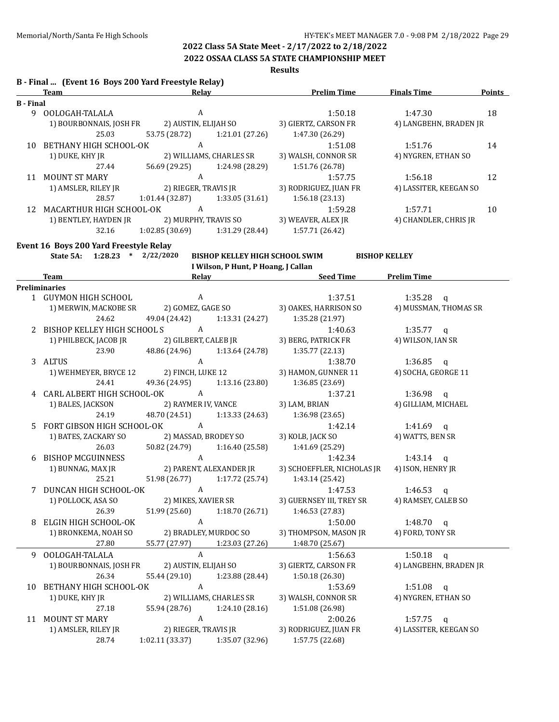**2022 OSSAA CLASS 5A STATE CHAMPIONSHIP MEET**

**Results**

|                  | B - Final  (Event 16 Boys 200 Yard Freestyle Relay)<br><b>Team</b> | <b>Example 2</b> Relay                  | <b>Example 2 Prelim Time</b> | <b>Finals Time</b><br><b>Points</b> |
|------------------|--------------------------------------------------------------------|-----------------------------------------|------------------------------|-------------------------------------|
| <b>B</b> - Final |                                                                    |                                         |                              |                                     |
|                  | 9 OOLOGAH-TALALA                                                   | A                                       | 1:50.18                      | 18<br>1:47.30                       |
|                  | 1) BOURBONNAIS, JOSH FR                                            | 2) AUSTIN, ELIJAH SO                    | 3) GIERTZ, CARSON FR         | 4) LANGBEHN, BRADEN JR              |
|                  | 25.03                                                              | 53.75 (28.72)<br>1:21.01 (27.26)        | 1:47.30 (26.29)              |                                     |
|                  | 10 BETHANY HIGH SCHOOL-OK                                          | $\mathbf{A}$                            |                              | 14                                  |
|                  |                                                                    |                                         | 1:51.08                      | 1:51.76                             |
|                  | 1) DUKE, KHY JR                                                    | 2) WILLIAMS, CHARLES SR                 | 3) WALSH, CONNOR SR          | 4) NYGREN, ETHAN SO                 |
|                  | 27.44                                                              | 56.69 (29.25)<br>1:24.98 (28.29)        | 1:51.76 (26.78)              |                                     |
|                  | 11 MOUNT ST MARY                                                   | $\mathbf{A}$                            | 1:57.75                      | 12<br>1:56.18                       |
|                  | 1) AMSLER, RILEY JR                                                | 2) RIEGER, TRAVIS JR                    | 3) RODRIGUEZ, JUAN FR        | 4) LASSITER, KEEGAN SO              |
|                  | 28.57                                                              | 1:01.44 (32.87)<br>1:33.05 (31.61)      | 1:56.18 (23.13)              |                                     |
|                  | 12 MACARTHUR HIGH SCHOOL-OK                                        | A                                       | 1:59.28                      | 1:57.71<br>10                       |
|                  | 1) BENTLEY, HAYDEN JR                                              | 2) MURPHY, TRAVIS SO                    | 3) WEAVER, ALEX JR           | 4) CHANDLER, CHRIS JR               |
|                  | 32.16                                                              | 1:02.85(30.69)<br>1:31.29 (28.44)       | 1:57.71 (26.42)              |                                     |
|                  | Event 16 Boys 200 Yard Freestyle Relay                             |                                         |                              |                                     |
|                  | State 5A: 1:28.23 * 2/22/2020                                      | <b>BISHOP KELLEY HIGH SCHOOL SWIM</b>   |                              | <b>BISHOP KELLEY</b>                |
|                  |                                                                    | I Wilson, P Hunt, P Hoang, J Callan     |                              |                                     |
|                  | <b>Team</b>                                                        | <b>Relay Example 2018</b>               | <b>Seed Time</b>             | <b>Prelim Time</b>                  |
|                  | <b>Preliminaries</b>                                               |                                         |                              |                                     |
|                  | 1 GUYMON HIGH SCHOOL                                               | A                                       | 1:37.51                      | 1:35.28 $q$                         |
|                  | 1) MERWIN, MACKOBE SR                                              | 2) GOMEZ, GAGE SO                       | 3) OAKES, HARRISON SO        | 4) MUSSMAN, THOMAS SR               |
|                  |                                                                    |                                         |                              |                                     |
|                  | 24.62                                                              | 49.04 (24.42)<br>1:13.31 (24.27)        | 1:35.28 (21.97)              |                                     |
|                  | 2 BISHOP KELLEY HIGH SCHOOL S                                      | $\mathbf{A}$                            | 1:40.63                      | $1:35.77$ q                         |
|                  | 1) PHILBECK, JACOB JR                                              | 2) GILBERT, CALEB JR                    | 3) BERG, PATRICK FR          | 4) WILSON, IAN SR                   |
|                  | 23.90                                                              | 48.86 (24.96)<br>1:13.64 (24.78)        | 1:35.77(22.13)               |                                     |
|                  | 3 ALTUS                                                            | $\mathbf{A}$                            | 1:38.70                      | 1:36.85 $q$                         |
|                  |                                                                    | 1) WEHMEYER, BRYCE 12 2) FINCH, LUKE 12 | 3) HAMON, GUNNER 11          | 4) SOCHA, GEORGE 11                 |
|                  | 24.41                                                              | 49.36 (24.95) 1:13.16 (23.80)           | 1:36.85 (23.69)              |                                     |
|                  | 4 CARL ALBERT HIGH SCHOOL-OK                                       | $\overline{A}$                          | 1:37.21                      | 1:36.98 $q$                         |
|                  | 1) BALES, JACKSON                                                  | 2) RAYMER IV, VANCE                     | 3) LAM, BRIAN                | 4) GILLIAM, MICHAEL                 |
|                  | 24.19                                                              | 48.70 (24.51)<br>1:13.33(24.63)         | 1:36.98 (23.65)              |                                     |
| 5.               | FORT GIBSON HIGH SCHOOL-OK                                         | $\overline{A}$                          | 1:42.14                      | 1:41.69 $q$                         |
|                  | 1) BATES, ZACKARY SO                                               | 2) MASSAD, BRODEY SO                    | 3) KOLB, JACK SO             | 4) WATTS, BEN SR                    |
|                  | 26.03                                                              | 50.82 (24.79)<br>1:16.40(25.58)         | 1:41.69 (25.29)              |                                     |
|                  | 6 BISHOP MCGUINNESS                                                | $\boldsymbol{A}$                        | 1:42.34                      | 1:43.14 $q$                         |
|                  | 1) BUNNAG, MAX JR                                                  | 2) PARENT, ALEXANDER JR                 | 3) SCHOEFFLER, NICHOLAS JR   | 4) ISON, HENRY JR                   |
|                  | 25.21                                                              | 51.98 (26.77) 1:17.72 (25.74)           | 1:43.14 (25.42)              |                                     |
| 7                | DUNCAN HIGH SCHOOL-OK                                              | A                                       | 1:47.53                      | 1:46.53 $q$                         |
|                  | 1) POLLOCK, ASA SO                                                 | 2) MIKES, XAVIER SR                     | 3) GUERNSEY III, TREY SR     | 4) RAMSEY, CALEB SO                 |
|                  | 26.39                                                              | 51.99 (25.60)<br>1:18.70 (26.71)        | 1:46.53 (27.83)              |                                     |
|                  |                                                                    | $\boldsymbol{A}$                        |                              |                                     |
| 8                | ELGIN HIGH SCHOOL-OK                                               |                                         | 1:50.00                      | 1:48.70 $q$                         |
|                  | 1) BRONKEMA, NOAH SO                                               | 2) BRADLEY, MURDOC SO                   | 3) THOMPSON, MASON JR        | 4) FORD, TONY SR                    |
|                  | 27.80                                                              | 55.77 (27.97)<br>1:23.03 (27.26)        | 1:48.70 (25.67)              |                                     |
| 9.               | OOLOGAH-TALALA                                                     | A                                       | 1:56.63                      | 1:50.18<br>q                        |
|                  | 1) BOURBONNAIS, JOSH FR                                            | 2) AUSTIN, ELIJAH SO                    | 3) GIERTZ, CARSON FR         | 4) LANGBEHN, BRADEN JR              |
|                  | 26.34                                                              | 55.44 (29.10)<br>1:23.88 (28.44)        | 1:50.18 (26.30)              |                                     |
| 10               | BETHANY HIGH SCHOOL-OK                                             | $\boldsymbol{A}$                        | 1:53.69                      | 1:51.08<br>$\mathbf{q}$             |
|                  | 1) DUKE, KHY JR                                                    | 2) WILLIAMS, CHARLES SR                 | 3) WALSH, CONNOR SR          | 4) NYGREN, ETHAN SO                 |
|                  | 27.18                                                              | 55.94 (28.76)<br>1:24.10 (28.16)        | 1:51.08 (26.98)              |                                     |
| 11               | <b>MOUNT ST MARY</b>                                               | $\boldsymbol{A}$                        | 2:00.26                      | 1:57.75<br>q                        |
|                  | 1) AMSLER, RILEY JR                                                | 2) RIEGER, TRAVIS JR                    | 3) RODRIGUEZ, JUAN FR        | 4) LASSITER, KEEGAN SO              |
|                  | 28.74                                                              | 1:02.11 (33.37)<br>1:35.07 (32.96)      | 1:57.75 (22.68)              |                                     |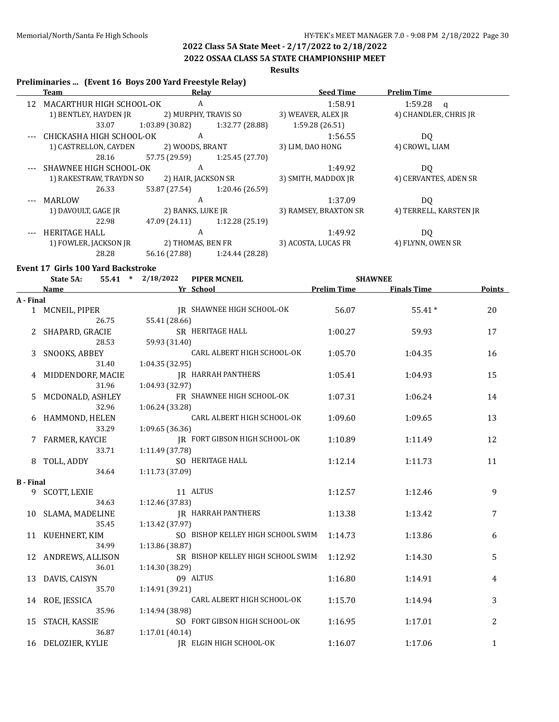#### **2022 OSSAA CLASS 5A STATE CHAMPIONSHIP MEET**

# **Results**

#### **Preliminaries ... (Event 16 Boys 200 Yard Freestyle Relay)**

|    | Team                     | Relay                |                   | <b>Seed Time</b>      | <b>Prelim Time</b>      |
|----|--------------------------|----------------------|-------------------|-----------------------|-------------------------|
| 12 | MACARTHUR HIGH SCHOOL-OK | A                    |                   | 1:58.91               | 1:59.28<br>$\mathbf{q}$ |
|    | 1) BENTLEY, HAYDEN JR    | 2) MURPHY, TRAVIS SO |                   | 3) WEAVER, ALEX JR    | 4) CHANDLER, CHRIS JR   |
|    | 33.07                    | 1:03.89(30.82)       | 1:32.77 (28.88)   | 1:59.28 (26.51)       |                         |
|    | CHICKASHA HIGH SCHOOL-OK | A                    |                   | 1:56.55               | DQ                      |
|    | 1) CASTRELLON, CAYDEN    | 2) WOODS, BRANT      |                   | 3) LIM, DAO HONG      | 4) CROWL, LIAM          |
|    | 28.16                    | 57.75 (29.59)        | 1:25.45 (27.70)   |                       |                         |
|    | SHAWNEE HIGH SCHOOL-OK   | A                    |                   | 1:49.92               | DQ                      |
|    | 1) RAKESTRAW, TRAYDN SO  | 2) HAIR, JACKSON SR  |                   | 3) SMITH, MADDOX JR   | 4) CERVANTES, ADEN SR   |
|    | 26.33                    | 53.87 (27.54)        | 1:20.46 (26.59)   |                       |                         |
|    | MARLOW                   | A                    |                   | 1:37.09               | DQ                      |
|    | 1) DAVOULT, GAGE IR      | 2) BANKS, LUKE JR    |                   | 3) RAMSEY, BRAXTON SR | 4) TERRELL, KARSTEN JR  |
|    | 22.98                    | 47.09 (24.11)        | 1:12.28 (25.19)   |                       |                         |
|    | <b>HERITAGE HALL</b>     | A                    |                   | 1:49.92               | DQ                      |
|    | 1) FOWLER, JACKSON JR    |                      | 2) THOMAS, BEN FR | 3) ACOSTA, LUCAS FR   | 4) FLYNN, OWEN SR       |
|    | 28.28                    | 56.16 (27.88)        | 1:24.44 (28.28)   |                       |                         |

#### **Event 17 Girls 100 Yard Backstroke**

|                  | State 5A:<br>55.41  | * $2/18/2022$<br><b>PIPER MCNEIL</b> | <b>SHAWNEE</b>     |                    |                |
|------------------|---------------------|--------------------------------------|--------------------|--------------------|----------------|
|                  | <b>Name</b>         | Yr School                            | <b>Prelim Time</b> | <b>Finals Time</b> | <b>Points</b>  |
| A - Final        |                     |                                      |                    |                    |                |
|                  | 1 MCNEIL, PIPER     | IR SHAWNEE HIGH SCHOOL-OK            | 56.07              | $55.41*$           | 20             |
|                  | 26.75               | 55.41 (28.66)                        |                    |                    |                |
|                  | SHAPARD, GRACIE     | SR HERITAGE HALL                     | 1:00.27            | 59.93              | 17             |
|                  | 28.53               | 59.93 (31.40)                        |                    |                    |                |
| 3                | SNOOKS, ABBEY       | CARL ALBERT HIGH SCHOOL-OK           | 1:05.70            | 1:04.35            | 16             |
|                  | 31.40               | 1:04.35 (32.95)                      |                    |                    |                |
|                  | 4 MIDDENDORF, MACIE | <b>JR HARRAH PANTHERS</b>            | 1:05.41            | 1:04.93            | 15             |
|                  | 31.96               | 1:04.93 (32.97)                      |                    |                    |                |
| 5                | MCDONALD, ASHLEY    | FR SHAWNEE HIGH SCHOOL-OK            | 1:07.31            | 1:06.24            | 14             |
|                  | 32.96               | 1:06.24 (33.28)                      |                    |                    |                |
|                  | 6 HAMMOND, HELEN    | CARL ALBERT HIGH SCHOOL-OK           | 1:09.60            | 1:09.65            | 13             |
|                  | 33.29               | 1:09.65(36.36)                       |                    |                    |                |
|                  | 7 FARMER, KAYCIE    | JR FORT GIBSON HIGH SCHOOL-OK        | 1:10.89            | 1:11.49            | 12             |
|                  | 33.71               | 1:11.49 (37.78)                      |                    |                    |                |
|                  | TOLL, ADDY          | SO HERITAGE HALL                     | 1:12.14            | 1:11.73            | 11             |
|                  | 34.64               | 1:11.73 (37.09)                      |                    |                    |                |
| <b>B</b> - Final |                     |                                      |                    |                    |                |
|                  | 9 SCOTT, LEXIE      | 11 ALTUS                             | 1:12.57            | 1:12.46            | 9              |
|                  | 34.63               | 1:12.46 (37.83)                      |                    |                    |                |
|                  | 10 SLAMA, MADELINE  | <b>JR HARRAH PANTHERS</b>            | 1:13.38            | 1:13.42            | 7              |
|                  | 35.45               | 1:13.42 (37.97)                      |                    |                    |                |
|                  | 11 KUEHNERT, KIM    | SO BISHOP KELLEY HIGH SCHOOL SWIM    | 1:14.73            | 1:13.86            | 6              |
|                  | 34.99               | 1:13.86 (38.87)                      |                    |                    |                |
|                  | 12 ANDREWS, ALLISON | SR BISHOP KELLEY HIGH SCHOOL SWIM    | 1:12.92            | 1:14.30            | 5              |
|                  | 36.01               | 1:14.30 (38.29)                      |                    |                    |                |
| 13               | DAVIS, CAISYN       | 09 ALTUS                             | 1:16.80            | 1:14.91            | 4              |
|                  | 35.70               | 1:14.91 (39.21)                      |                    |                    |                |
| 14               | ROE, JESSICA        | CARL ALBERT HIGH SCHOOL-OK           | 1:15.70            | 1:14.94            | 3              |
|                  | 35.96               | 1:14.94 (38.98)                      |                    |                    |                |
| 15               | STACH, KASSIE       | SO FORT GIBSON HIGH SCHOOL-OK        | 1:16.95            | 1:17.01            | $\overline{c}$ |
|                  | 36.87               | 1:17.01(40.14)                       |                    |                    |                |
|                  | 16 DELOZIER, KYLIE  | IR ELGIN HIGH SCHOOL-OK              | 1:16.07            | 1:17.06            | 1              |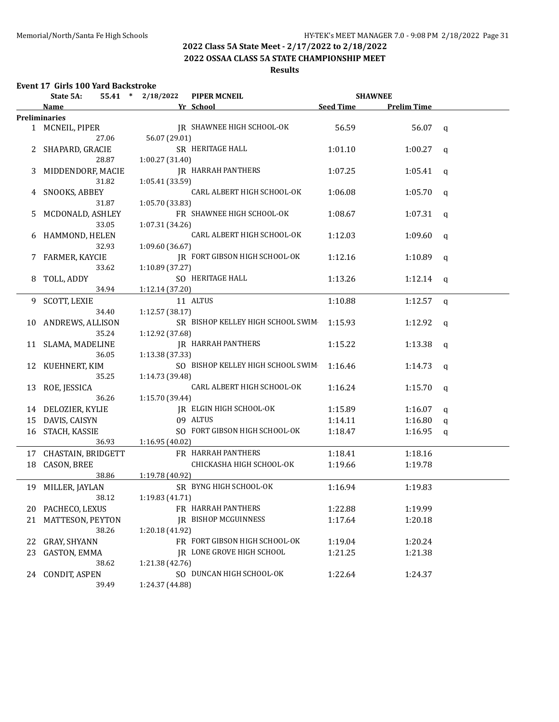# **2022 OSSAA CLASS 5A STATE CHAMPIONSHIP MEET**

# **Results**

# **Event 17 Girls 100 Yard Backstroke**

|    | State 5A:             | 55.41 * 2/18/2022 | <b>PIPER MCNEIL</b>               | <b>SHAWNEE</b>   |                    |              |
|----|-----------------------|-------------------|-----------------------------------|------------------|--------------------|--------------|
|    | Name                  |                   | Yr School                         | <b>Seed Time</b> | <b>Prelim Time</b> |              |
|    | <b>Preliminaries</b>  |                   |                                   |                  |                    |              |
|    | 1 MCNEIL, PIPER       |                   | JR SHAWNEE HIGH SCHOOL-OK         | 56.59            | 56.07              | q            |
|    | 27.06                 | 56.07 (29.01)     |                                   |                  |                    |              |
|    | 2 SHAPARD, GRACIE     |                   | SR HERITAGE HALL                  | 1:01.10          | 1:00.27            | q            |
|    | 28.87                 | 1:00.27 (31.40)   |                                   |                  |                    |              |
| 3  | MIDDENDORF, MACIE     |                   | <b>JR HARRAH PANTHERS</b>         | 1:07.25          | 1:05.41            | q            |
|    | 31.82                 | 1:05.41 (33.59)   |                                   |                  |                    |              |
|    | 4 SNOOKS, ABBEY       |                   | CARL ALBERT HIGH SCHOOL-OK        | 1:06.08          | 1:05.70            | q            |
|    | 31.87                 | 1:05.70 (33.83)   |                                   |                  |                    |              |
| 5. | MCDONALD, ASHLEY      |                   | FR SHAWNEE HIGH SCHOOL-OK         | 1:08.67          | 1:07.31            | q            |
|    | 33.05                 | 1:07.31 (34.26)   |                                   |                  |                    |              |
| 6  | HAMMOND, HELEN        |                   | CARL ALBERT HIGH SCHOOL-OK        | 1:12.03          | 1:09.60            | $\mathsf{q}$ |
|    | 32.93                 | 1:09.60 (36.67)   |                                   |                  |                    |              |
| 7  | FARMER, KAYCIE        |                   | JR FORT GIBSON HIGH SCHOOL-OK     | 1:12.16          | 1:10.89            | q            |
|    | 33.62                 | 1:10.89 (37.27)   |                                   |                  |                    |              |
| 8  | TOLL, ADDY            |                   | SO HERITAGE HALL                  | 1:13.26          | 1:12.14            | q            |
|    | 34.94                 | 1:12.14 (37.20)   |                                   |                  |                    |              |
| 9  | SCOTT, LEXIE          |                   | 11 ALTUS                          | 1:10.88          | 1:12.57            | q            |
|    | 34.40                 | 1:12.57 (38.17)   |                                   |                  |                    |              |
|    | 10 ANDREWS, ALLISON   |                   | SR BISHOP KELLEY HIGH SCHOOL SWIM | 1:15.93          | 1:12.92            | q            |
|    | 35.24                 | 1:12.92 (37.68)   |                                   |                  |                    |              |
|    | 11 SLAMA, MADELINE    |                   | <b>IR HARRAH PANTHERS</b>         | 1:15.22          | 1:13.38            | q            |
|    | 36.05                 | 1:13.38 (37.33)   |                                   |                  |                    |              |
|    | 12 KUEHNERT, KIM      |                   | SO BISHOP KELLEY HIGH SCHOOL SWIM | 1:16.46          | 1:14.73            | q            |
|    | 35.25                 | 1:14.73 (39.48)   |                                   |                  |                    |              |
|    | 13 ROE, JESSICA       |                   | CARL ALBERT HIGH SCHOOL-OK        | 1:16.24          | 1:15.70            | q            |
|    | 36.26                 | 1:15.70 (39.44)   |                                   |                  |                    |              |
|    | 14 DELOZIER, KYLIE    |                   | <b>IR ELGIN HIGH SCHOOL-OK</b>    | 1:15.89          | 1:16.07            | q            |
| 15 | DAVIS, CAISYN         |                   | 09 ALTUS                          | 1:14.11          | 1:16.80            | q            |
| 16 | STACH, KASSIE         |                   | SO FORT GIBSON HIGH SCHOOL-OK     | 1:18.47          | 1:16.95            | q            |
|    | 36.93                 | 1:16.95(40.02)    |                                   |                  |                    |              |
|    | 17 CHASTAIN, BRIDGETT |                   | FR HARRAH PANTHERS                | 1:18.41          | 1:18.16            |              |
| 18 | <b>CASON, BREE</b>    |                   | CHICKASHA HIGH SCHOOL-OK          | 1:19.66          | 1:19.78            |              |
|    | 38.86                 | 1:19.78 (40.92)   |                                   |                  |                    |              |
|    | 19 MILLER, JAYLAN     |                   | SR BYNG HIGH SCHOOL-OK            | 1:16.94          | 1:19.83            |              |
|    | 38.12                 | 1:19.83 (41.71)   |                                   |                  |                    |              |
| 20 | PACHECO, LEXUS        |                   | FR HARRAH PANTHERS                | 1:22.88          | 1:19.99            |              |
| 21 | MATTESON, PEYTON      |                   | <b>JR BISHOP MCGUINNESS</b>       | 1:17.64          | 1:20.18            |              |
|    | 38.26                 | 1:20.18 (41.92)   |                                   |                  |                    |              |
| 22 | <b>GRAY, SHYANN</b>   |                   | FR FORT GIBSON HIGH SCHOOL-OK     | 1:19.04          | 1:20.24            |              |
| 23 | <b>GASTON, EMMA</b>   |                   | JR LONE GROVE HIGH SCHOOL         | 1:21.25          | 1:21.38            |              |
|    | 38.62                 | 1:21.38 (42.76)   |                                   |                  |                    |              |
| 24 | CONDIT, ASPEN         |                   | SO DUNCAN HIGH SCHOOL-OK          | 1:22.64          | 1:24.37            |              |
|    | 39.49                 | 1:24.37 (44.88)   |                                   |                  |                    |              |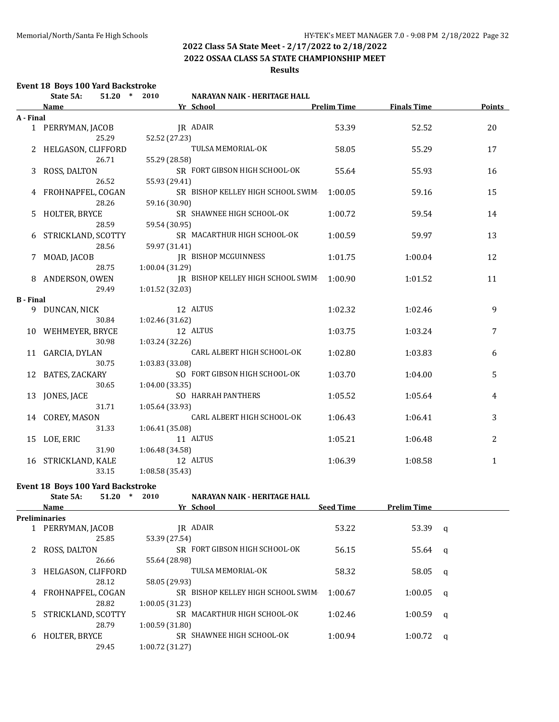### **2022 OSSAA CLASS 5A STATE CHAMPIONSHIP MEET**

#### **Results**

#### **Event 18 Boys 100 Yard Backstroke**

|                        | State 5A:            | $\ast$<br>51.20 | 2010            | NARAYAN NAIK - HERITAGE HALL      |                    |                    |               |
|------------------------|----------------------|-----------------|-----------------|-----------------------------------|--------------------|--------------------|---------------|
|                        | <b>Name</b>          |                 |                 | Yr School                         | <b>Prelim Time</b> | <b>Finals Time</b> | <b>Points</b> |
| A - Final              |                      |                 |                 |                                   |                    |                    |               |
|                        | 1 PERRYMAN, JACOB    |                 |                 | JR ADAIR                          | 53.39              | 52.52              | 20            |
|                        | 25.29                |                 | 52.52 (27.23)   |                                   |                    |                    |               |
|                        | 2 HELGASON, CLIFFORD |                 |                 | TULSA MEMORIAL-OK                 | 58.05              | 55.29              | 17            |
|                        | 26.71                |                 | 55.29 (28.58)   |                                   |                    |                    |               |
| 3                      | ROSS, DALTON         |                 |                 | SR FORT GIBSON HIGH SCHOOL-OK     | 55.64              | 55.93              | 16            |
|                        | 26.52                |                 | 55.93 (29.41)   |                                   |                    |                    |               |
|                        | 4 FROHNAPFEL, COGAN  |                 |                 | SR BISHOP KELLEY HIGH SCHOOL SWIM | 1:00.05            | 59.16              | 15            |
|                        | 28.26                |                 | 59.16 (30.90)   |                                   |                    |                    |               |
| 5.                     | HOLTER, BRYCE        |                 |                 | SR SHAWNEE HIGH SCHOOL-OK         | 1:00.72            | 59.54              | 14            |
|                        | 28.59                |                 | 59.54 (30.95)   |                                   |                    |                    |               |
|                        | 6 STRICKLAND, SCOTTY |                 |                 | SR MACARTHUR HIGH SCHOOL-OK       | 1:00.59            | 59.97              | 13            |
|                        | 28.56                |                 | 59.97 (31.41)   |                                   |                    |                    |               |
| 7                      | MOAD, JACOB          |                 |                 | <b>JR BISHOP MCGUINNESS</b>       | 1:01.75            | 1:00.04            | 12            |
|                        | 28.75                |                 | 1:00.04 (31.29) |                                   |                    |                    |               |
| 8                      | ANDERSON, OWEN       |                 |                 | JR BISHOP KELLEY HIGH SCHOOL SWIM | 1:00.90            | 1:01.52            | 11            |
|                        | 29.49                |                 | 1:01.52 (32.03) |                                   |                    |                    |               |
| <b>B</b> - Final<br>9. | DUNCAN, NICK         |                 |                 | 12 ALTUS                          | 1:02.32            | 1:02.46            | 9             |
|                        | 30.84                |                 | 1:02.46 (31.62) |                                   |                    |                    |               |
|                        | 10 WEHMEYER, BRYCE   |                 |                 | 12 ALTUS                          | 1:03.75            | 1:03.24            | 7             |
|                        | 30.98                |                 | 1:03.24 (32.26) |                                   |                    |                    |               |
|                        | 11 GARCIA, DYLAN     |                 |                 | CARL ALBERT HIGH SCHOOL-OK        | 1:02.80            | 1:03.83            | 6             |
|                        | 30.75                |                 | 1:03.83 (33.08) |                                   |                    |                    |               |
| 12                     | BATES, ZACKARY       |                 |                 | SO FORT GIBSON HIGH SCHOOL-OK     | 1:03.70            | 1:04.00            | 5             |
|                        | 30.65                |                 | 1:04.00(33.35)  |                                   |                    |                    |               |
| 13                     | JONES, JACE          |                 |                 | SO HARRAH PANTHERS                | 1:05.52            | 1:05.64            | 4             |
|                        | 31.71                |                 | 1:05.64 (33.93) |                                   |                    |                    |               |
|                        | 14 COREY, MASON      |                 |                 | CARL ALBERT HIGH SCHOOL-OK        | 1:06.43            | 1:06.41            | 3             |
|                        | 31.33                |                 | 1:06.41 (35.08) |                                   |                    |                    |               |
| 15                     | LOE, ERIC            |                 |                 | 11 ALTUS                          | 1:05.21            | 1:06.48            | 2             |
|                        | 31.90                |                 | 1:06.48 (34.58) |                                   |                    |                    |               |
| 16                     | STRICKLAND, KALE     |                 |                 | 12 ALTUS                          | 1:06.39            | 1:08.58            | $\mathbf{1}$  |
|                        | 33.15                |                 | 1:08.58 (35.43) |                                   |                    |                    |               |

# **Event 18 Boys 100 Yard Backstroke**<br>**State 5A:** 51.20  $*$  2010

|   | State 5A:            | 51.20 | 2010           | <b>NARAYAN NAIK - HERITAGE HALL</b> |                  |                    |          |
|---|----------------------|-------|----------------|-------------------------------------|------------------|--------------------|----------|
|   | <b>Name</b>          |       |                | Yr School                           | <b>Seed Time</b> | <b>Prelim Time</b> |          |
|   | <b>Preliminaries</b> |       |                |                                     |                  |                    |          |
|   | 1 PERRYMAN, JACOB    |       |                | IR ADAIR                            | 53.22            | 53.39              | q        |
|   |                      | 25.85 | 53.39 (27.54)  |                                     |                  |                    |          |
|   | 2 ROSS, DALTON       |       |                | SR FORT GIBSON HIGH SCHOOL-OK       | 56.15            | $55.64 \quad a$    |          |
|   |                      | 26.66 | 55.64 (28.98)  |                                     |                  |                    |          |
| 3 | HELGASON, CLIFFORD   |       |                | TULSA MEMORIAL-OK                   | 58.32            | 58.05              | $\alpha$ |
|   |                      | 28.12 | 58.05 (29.93)  |                                     |                  |                    |          |
| 4 | FROHNAPFEL, COGAN    |       |                | SR BISHOP KELLEY HIGH SCHOOL SWIM   | 1:00.67          | 1:00.05            | a        |
|   |                      | 28.82 | 1:00.05(31.23) |                                     |                  |                    |          |
|   | 5 STRICKLAND, SCOTTY |       |                | SR MACARTHUR HIGH SCHOOL-OK         | 1:02.46          | 1:00.59            | q        |
|   |                      | 28.79 | 1:00.59(31.80) |                                     |                  |                    |          |
| 6 | HOLTER, BRYCE        |       |                | SR SHAWNEE HIGH SCHOOL-OK           | 1:00.94          | 1:00.72            | q        |
|   |                      | 29.45 | 1:00.72(31.27) |                                     |                  |                    |          |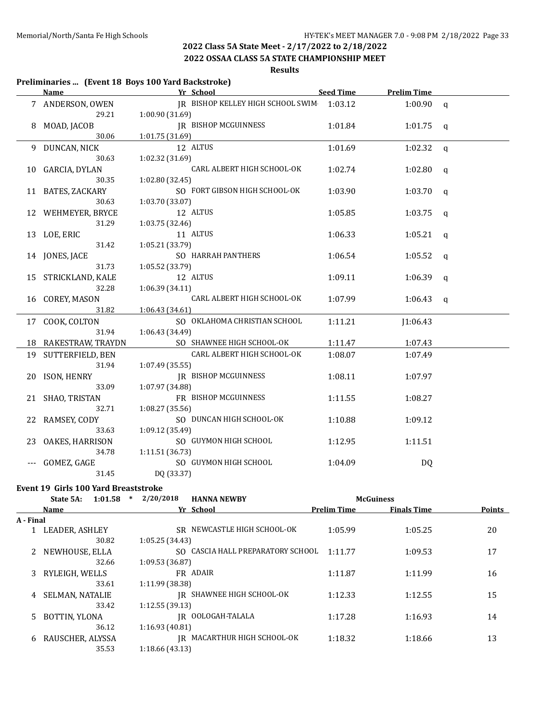**2022 OSSAA CLASS 5A STATE CHAMPIONSHIP MEET**

**Results**

#### **Preliminaries ... (Event 18 Boys 100 Yard Backstroke)**

|       | Name and the same state of the state of the state of the state of the state of the state of the state of the state of the state of the state of the state of the state of the state of the state of the state of the state of | Yr School                                 | Seed Time | <b>Prelim Time</b> |              |
|-------|-------------------------------------------------------------------------------------------------------------------------------------------------------------------------------------------------------------------------------|-------------------------------------------|-----------|--------------------|--------------|
|       | 7 ANDERSON, OWEN                                                                                                                                                                                                              | JR BISHOP KELLEY HIGH SCHOOL SWIM 1:03.12 |           | $1:00.90$ q        |              |
|       | 29.21                                                                                                                                                                                                                         | 1:00.90(31.69)                            |           |                    |              |
| 8     | MOAD, JACOB                                                                                                                                                                                                                   | <b>IR BISHOP MCGUINNESS</b>               | 1:01.84   | 1:01.75            | $\mathbf{q}$ |
|       | 30.06                                                                                                                                                                                                                         | 1:01.75 (31.69)                           |           |                    |              |
|       | 9 DUNCAN, NICK                                                                                                                                                                                                                | 12 ALTUS                                  | 1:01.69   | 1:02.32            | $\mathbf{q}$ |
|       | 30.63                                                                                                                                                                                                                         | 1:02.32 (31.69)                           |           |                    |              |
|       | 10 GARCIA, DYLAN                                                                                                                                                                                                              | CARL ALBERT HIGH SCHOOL-OK                | 1:02.74   | 1:02.80            | q            |
|       | 30.35                                                                                                                                                                                                                         | 1:02.80 (32.45)                           |           |                    |              |
|       | 11 BATES, ZACKARY                                                                                                                                                                                                             | SO FORT GIBSON HIGH SCHOOL-OK             | 1:03.90   | 1:03.70            | q            |
|       | 30.63                                                                                                                                                                                                                         | 1:03.70 (33.07)                           |           |                    |              |
|       | 12 WEHMEYER, BRYCE                                                                                                                                                                                                            | 12 ALTUS                                  | 1:05.85   | 1:03.75            | q            |
|       | 31.29                                                                                                                                                                                                                         | 1:03.75 (32.46)                           |           |                    |              |
|       | 13 LOE, ERIC                                                                                                                                                                                                                  | 11 ALTUS                                  | 1:06.33   | 1:05.21            | $\mathbf q$  |
|       | 31.42                                                                                                                                                                                                                         | 1:05.21 (33.79)                           |           |                    |              |
|       | 14 JONES, JACE                                                                                                                                                                                                                | SO HARRAH PANTHERS                        | 1:06.54   | 1:05.52            | $\mathbf{q}$ |
|       | 31.73                                                                                                                                                                                                                         | 1:05.52 (33.79)                           |           |                    |              |
|       | 15 STRICKLAND, KALE                                                                                                                                                                                                           | 12 ALTUS                                  | 1:09.11   | 1:06.39            | $\mathsf{q}$ |
|       | 32.28                                                                                                                                                                                                                         | 1:06.39 (34.11)                           |           |                    |              |
|       | 16 COREY, MASON                                                                                                                                                                                                               | CARL ALBERT HIGH SCHOOL-OK                | 1:07.99   | 1:06.43            | q            |
|       | 31.82                                                                                                                                                                                                                         | 1:06.43 (34.61)                           |           |                    |              |
|       | 17 COOK, COLTON                                                                                                                                                                                                               | SO OKLAHOMA CHRISTIAN SCHOOL              | 1:11.21   | J1:06.43           |              |
|       | 31.94                                                                                                                                                                                                                         | 1:06.43 (34.49)                           |           |                    |              |
|       | 18 RAKESTRAW, TRAYDN                                                                                                                                                                                                          | SO SHAWNEE HIGH SCHOOL-OK                 | 1:11.47   | 1:07.43            |              |
|       | 19 SUTTERFIELD, BEN                                                                                                                                                                                                           | CARL ALBERT HIGH SCHOOL-OK                | 1:08.07   | 1:07.49            |              |
|       | 31.94                                                                                                                                                                                                                         | 1:07.49(35.55)                            |           |                    |              |
|       | 20 ISON, HENRY                                                                                                                                                                                                                | <b>IR BISHOP MCGUINNESS</b>               | 1:08.11   | 1:07.97            |              |
|       | 33.09                                                                                                                                                                                                                         | 1:07.97 (34.88)                           |           |                    |              |
|       | 21 SHAO, TRISTAN                                                                                                                                                                                                              | FR BISHOP MCGUINNESS                      | 1:11.55   | 1:08.27            |              |
|       | 32.71                                                                                                                                                                                                                         | 1:08.27 (35.56)                           |           |                    |              |
|       | 22 RAMSEY, CODY                                                                                                                                                                                                               | SO DUNCAN HIGH SCHOOL-OK                  | 1:10.88   | 1:09.12            |              |
|       | 33.63                                                                                                                                                                                                                         | 1:09.12 (35.49)                           |           |                    |              |
|       | 23 OAKES, HARRISON                                                                                                                                                                                                            | SO GUYMON HIGH SCHOOL                     | 1:12.95   | 1:11.51            |              |
|       | 34.78                                                                                                                                                                                                                         | 1:11.51 (36.73)                           |           |                    |              |
| $---$ | GOMEZ, GAGE                                                                                                                                                                                                                   | SO GUYMON HIGH SCHOOL                     | 1:04.09   | DQ                 |              |
|       | 31.45                                                                                                                                                                                                                         | DQ (33.37)                                |           |                    |              |

#### **Event 19 Girls 100 Yard Breaststroke**

|           | State 5A:              | 1:01.58<br>$\ast$ | 2/20/2018       | <b>HANNA NEWBY</b>             |                    | <b>McGuiness</b>   |        |
|-----------|------------------------|-------------------|-----------------|--------------------------------|--------------------|--------------------|--------|
|           | <b>Name</b>            |                   |                 | Yr School                      | <b>Prelim Time</b> | <b>Finals Time</b> | Points |
| A - Final |                        |                   |                 |                                |                    |                    |        |
|           | LEADER, ASHLEY         |                   | SR.             | NEWCASTLE HIGH SCHOOL-OK       | 1:05.99            | 1:05.25            | 20     |
|           | 30.82                  |                   | 1:05.25(34.43)  |                                |                    |                    |        |
|           | NEWHOUSE, ELLA         |                   | SO.             | CASCIA HALL PREPARATORY SCHOOL | 1:11.77            | 1:09.53            | 17     |
|           | 32.66                  |                   | 1:09.53(36.87)  |                                |                    |                    |        |
| 3         | RYLEIGH, WELLS         |                   |                 | FR ADAIR                       | 1:11.87            | 1:11.99            | 16     |
|           | 33.61                  |                   | 1:11.99 (38.38) |                                |                    |                    |        |
| 4         | <b>SELMAN, NATALIE</b> |                   |                 | IR SHAWNEE HIGH SCHOOL-OK      | 1:12.33            | 1:12.55            | 15     |
|           | 33.42                  |                   | 1:12.55(39.13)  |                                |                    |                    |        |
| 5.        | BOTTIN, YLONA          |                   |                 | IR OOLOGAH-TALALA              | 1:17.28            | 1:16.93            | 14     |
|           | 36.12                  |                   | 1:16.93(40.81)  |                                |                    |                    |        |
| 6         | RAUSCHER, ALYSSA       |                   | IR              | MACARTHUR HIGH SCHOOL-OK       | 1:18.32            | 1:18.66            | 13     |
|           | 35.53                  |                   | 1:18.66(43.13)  |                                |                    |                    |        |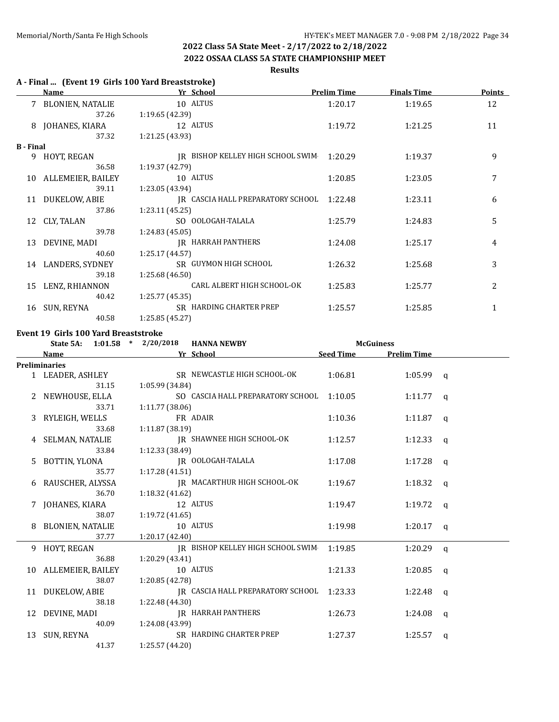#### **2022 OSSAA CLASS 5A STATE CHAMPIONSHIP MEET**

#### **Results**

#### **A - Final ... (Event 19 Girls 100 Yard Breaststroke)**

|                  | Name                 | Yr School                         | <b>Prelim Time</b> | <b>Finals Time</b> | <b>Points</b> |
|------------------|----------------------|-----------------------------------|--------------------|--------------------|---------------|
|                  | 7 BLONIEN, NATALIE   | 10 ALTUS                          | 1:20.17            | 1:19.65            | 12            |
|                  | 37.26                | 1:19.65 (42.39)                   |                    |                    |               |
| 8                | JOHANES, KIARA       | 12 ALTUS                          | 1:19.72            | 1:21.25            | 11            |
|                  | 37.32                | 1:21.25 (43.93)                   |                    |                    |               |
| <b>B</b> - Final |                      |                                   |                    |                    |               |
| 9                | HOYT, REGAN          | IR BISHOP KELLEY HIGH SCHOOL SWIM | 1:20.29            | 1:19.37            | 9             |
|                  | 36.58                | 1:19.37(42.79)                    |                    |                    |               |
|                  | 10 ALLEMEIER, BAILEY | 10 ALTUS                          | 1:20.85            | 1:23.05            | 7             |
|                  | 39.11                | 1:23.05 (43.94)                   |                    |                    |               |
|                  | 11 DUKELOW, ABIE     | IR CASCIA HALL PREPARATORY SCHOOL | 1:22.48            | 1:23.11            | 6             |
|                  | 37.86                | 1:23.11(45.25)                    |                    |                    |               |
| 12               | CLY, TALAN           | SO OOLOGAH-TALALA                 | 1:25.79            | 1:24.83            | 5             |
|                  | 39.78                | 1:24.83(45.05)                    |                    |                    |               |
| 13               | DEVINE, MADI         | IR HARRAH PANTHERS                | 1:24.08            | 1:25.17            | 4             |
|                  | 40.60                | 1:25.17(44.57)                    |                    |                    |               |
| 14               | LANDERS, SYDNEY      | SR GUYMON HIGH SCHOOL             | 1:26.32            | 1:25.68            | 3             |
|                  | 39.18                | 1:25.68(46.50)                    |                    |                    |               |
| 15               | LENZ, RHIANNON       | CARL ALBERT HIGH SCHOOL-OK        | 1:25.83            | 1:25.77            | 2             |
|                  | 40.42                | 1:25.77(45.35)                    |                    |                    |               |
| 16               | SUN, REYNA           | SR HARDING CHARTER PREP           | 1:25.57            | 1:25.85            | $\mathbf{1}$  |
|                  | 40.58                | 1:25.85 (45.27)                   |                    |                    |               |

#### **Event 19 Girls 100 Yard Breaststroke**

|   | State 5A:            | $1:01.58$ * $2/20/2018$ | <b>HANNA NEWBY</b>                        | <b>McGuiness</b> |                    |          |
|---|----------------------|-------------------------|-------------------------------------------|------------------|--------------------|----------|
|   | Name                 |                         | Yr School                                 | <b>Seed Time</b> | <b>Prelim Time</b> |          |
|   | <b>Preliminaries</b> |                         |                                           |                  |                    |          |
|   | 1 LEADER, ASHLEY     |                         | SR NEWCASTLE HIGH SCHOOL-OK               | 1:06.81          | $1:05.99$ q        |          |
|   | 31.15                | 1:05.99 (34.84)         |                                           |                  |                    |          |
|   | NEWHOUSE, ELLA       |                         | SO CASCIA HALL PREPARATORY SCHOOL         | 1:10.05          | $1:11.77$ q        |          |
|   | 33.71                | 1:11.77(38.06)          |                                           |                  |                    |          |
|   | 3 RYLEIGH, WELLS     |                         | FR ADAIR                                  | 1:10.36          | $1:11.87$ q        |          |
|   | 33.68                | 1:11.87 (38.19)         |                                           |                  |                    |          |
|   | 4 SELMAN, NATALIE    |                         | IR SHAWNEE HIGH SCHOOL-OK                 | 1:12.57          | 1:12.33            | <b>a</b> |
|   | 33.84                | 1:12.33 (38.49)         |                                           |                  |                    |          |
|   | 5 BOTTIN, YLONA      |                         | JR OOLOGAH-TALALA                         | 1:17.08          | 1:17.28            | $\alpha$ |
|   | 35.77                | 1:17.28 (41.51)         |                                           |                  |                    |          |
| 6 | RAUSCHER, ALYSSA     |                         | JR MACARTHUR HIGH SCHOOL-OK               | 1:19.67          | 1:18.32            | $\alpha$ |
|   | 36.70                | 1:18.32 (41.62)         |                                           |                  |                    |          |
|   | 7 JOHANES, KIARA     |                         | 12 ALTUS                                  | 1:19.47          | 1:19.72            | $\alpha$ |
|   | 38.07                | 1:19.72(41.65)          |                                           |                  |                    |          |
|   | BLONIEN, NATALIE     |                         | 10 ALTUS                                  | 1:19.98          | $1:20.17$ q        |          |
|   | 37.77                | 1:20.17 (42.40)         |                                           |                  |                    |          |
|   | 9 HOYT, REGAN        |                         | IR BISHOP KELLEY HIGH SCHOOL SWIM         | 1:19.85          | $1:20.29$ q        |          |
|   | 36.88                | 1:20.29 (43.41)         |                                           |                  |                    |          |
|   | 10 ALLEMEIER, BAILEY |                         | 10 ALTUS                                  | 1:21.33          | 1:20.85            | $\alpha$ |
|   | 38.07                | 1:20.85 (42.78)         |                                           |                  |                    |          |
|   | 11 DUKELOW, ABIE     |                         | IR CASCIA HALL PREPARATORY SCHOOL 1:23.33 |                  | $1:22.48$ q        |          |
|   | 38.18                | 1:22.48 (44.30)         |                                           |                  |                    |          |
|   | 12 DEVINE, MADI      |                         | IR HARRAH PANTHERS                        | 1:26.73          | 1:24.08            | $\alpha$ |
|   | 40.09                | 1:24.08 (43.99)         |                                           |                  |                    |          |
|   | 13 SUN, REYNA        |                         | SR HARDING CHARTER PREP                   | 1:27.37          | 1:25.57            | q        |
|   | 41.37                | 1:25.57 (44.20)         |                                           |                  |                    |          |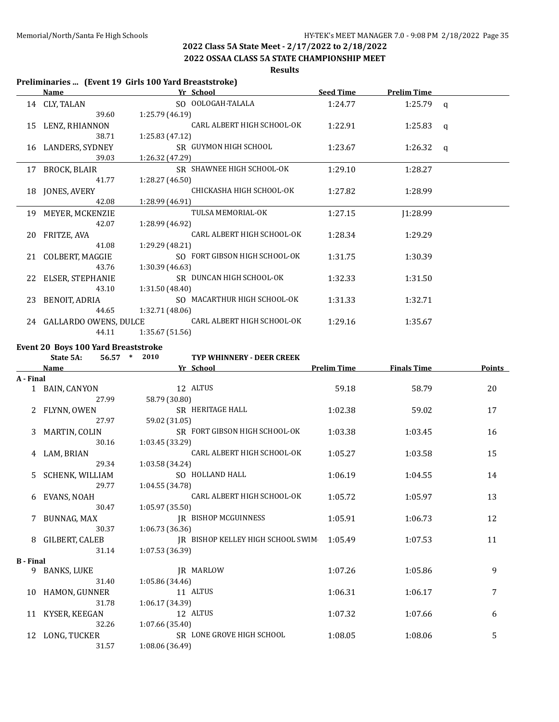**2022 OSSAA CLASS 5A STATE CHAMPIONSHIP MEET**

#### **Results**

#### **Preliminaries ... (Event 19 Girls 100 Yard Breaststroke)**

|    | Name                     | Yr School                     | <b>Seed Time</b> | <b>Prelim Time</b> |   |
|----|--------------------------|-------------------------------|------------------|--------------------|---|
|    | 14 CLY, TALAN            | SO OOLOGAH-TALALA             | 1:24.77          | 1:25.79 $q$        |   |
|    | 39.60                    | 1:25.79 (46.19)               |                  |                    |   |
|    | 15 LENZ, RHIANNON        | CARL ALBERT HIGH SCHOOL-OK    | 1:22.91          | 1:25.83            | q |
|    | 38.71                    | 1:25.83 (47.12)               |                  |                    |   |
|    | 16 LANDERS, SYDNEY       | SR GUYMON HIGH SCHOOL         | 1:23.67          | 1:26.32 $q$        |   |
|    | 39.03                    | 1:26.32 (47.29)               |                  |                    |   |
| 17 | BROCK, BLAIR             | SR SHAWNEE HIGH SCHOOL-OK     | 1:29.10          | 1:28.27            |   |
|    | 41.77                    | 1:28.27(46.50)                |                  |                    |   |
|    | 18 JONES, AVERY          | CHICKASHA HIGH SCHOOL-OK      | 1:27.82          | 1:28.99            |   |
|    | 42.08                    | 1:28.99 (46.91)               |                  |                    |   |
|    | 19 MEYER, MCKENZIE       | TULSA MEMORIAL-OK             | 1:27.15          | 1:28.99            |   |
|    | 42.07                    | 1:28.99 (46.92)               |                  |                    |   |
| 20 | FRITZE, AVA              | CARL ALBERT HIGH SCHOOL-OK    | 1:28.34          | 1:29.29            |   |
|    | 41.08                    | 1:29.29 (48.21)               |                  |                    |   |
|    | 21 COLBERT, MAGGIE       | SO FORT GIBSON HIGH SCHOOL-OK | 1:31.75          | 1:30.39            |   |
|    | 43.76                    | 1:30.39(46.63)                |                  |                    |   |
|    | 22 ELSER, STEPHANIE      | SR DUNCAN HIGH SCHOOL-OK      | 1:32.33          | 1:31.50            |   |
|    | 43.10                    | 1:31.50(48.40)                |                  |                    |   |
| 23 | BENOIT, ADRIA            | SO MACARTHUR HIGH SCHOOL-OK   | 1:31.33          | 1:32.71            |   |
|    | 44.65                    | 1:32.71 (48.06)               |                  |                    |   |
|    | 24 GALLARDO OWENS, DULCE | CARL ALBERT HIGH SCHOOL-OK    | 1:29.16          | 1:35.67            |   |
|    | 44.11                    | 1:35.67 (51.56)               |                  |                    |   |

# **Event 20 Boys 100 Yard Breaststroke**<br>**State 5A:** 56.57 \* 2010

#### **State 5A: 56.57 \* 2010 TYP WHINNERY - DEER CREEK**

|                  | Name                   | Yr School                         | <b>Prelim Time</b> | <b>Finals Time</b> | <b>Points</b> |
|------------------|------------------------|-----------------------------------|--------------------|--------------------|---------------|
| A - Final        |                        |                                   |                    |                    |               |
|                  | 1 BAIN, CANYON         | 12 ALTUS                          | 59.18              | 58.79              | 20            |
|                  | 27.99                  | 58.79 (30.80)                     |                    |                    |               |
|                  | FLYNN, OWEN            | SR HERITAGE HALL                  | 1:02.38            | 59.02              | 17            |
|                  | 27.97                  | 59.02 (31.05)                     |                    |                    |               |
|                  | MARTIN, COLIN          | SR FORT GIBSON HIGH SCHOOL-OK     | 1:03.38            | 1:03.45            | 16            |
|                  | 30.16                  | 1:03.45 (33.29)                   |                    |                    |               |
| 4                | LAM, BRIAN             | CARL ALBERT HIGH SCHOOL-OK        | 1:05.27            | 1:03.58            | 15            |
|                  | 29.34                  | 1:03.58 (34.24)                   |                    |                    |               |
| 5.               | <b>SCHENK, WILLIAM</b> | SO HOLLAND HALL                   | 1:06.19            | 1:04.55            | 14            |
|                  | 29.77                  | 1:04.55 (34.78)                   |                    |                    |               |
| 6                | EVANS, NOAH            | CARL ALBERT HIGH SCHOOL-OK        | 1:05.72            | 1:05.97            | 13            |
|                  | 30.47                  | 1:05.97 (35.50)                   |                    |                    |               |
|                  | BUNNAG, MAX            | <b>IR BISHOP MCGUINNESS</b>       | 1:05.91            | 1:06.73            | 12            |
|                  | 30.37                  | 1:06.73(36.36)                    |                    |                    |               |
|                  | 8 GILBERT, CALEB       | IR BISHOP KELLEY HIGH SCHOOL SWIM | 1:05.49            | 1:07.53            | 11            |
|                  | 31.14                  | 1:07.53 (36.39)                   |                    |                    |               |
| <b>B</b> - Final |                        |                                   |                    |                    |               |
| 9                | <b>BANKS, LUKE</b>     | <b>IR MARLOW</b>                  | 1:07.26            | 1:05.86            | 9             |
|                  | 31.40                  | 1:05.86(34.46)                    |                    |                    |               |
|                  | 10 HAMON, GUNNER       | 11 ALTUS                          | 1:06.31            | 1:06.17            | 7             |
|                  | 31.78                  | 1:06.17(34.39)                    |                    |                    |               |
| 11               | KYSER, KEEGAN          | 12 ALTUS                          | 1:07.32            | 1:07.66            | 6             |
|                  | 32.26                  | 1:07.66 (35.40)                   |                    |                    |               |
|                  | 12 LONG, TUCKER        | SR LONE GROVE HIGH SCHOOL         | 1:08.05            | 1:08.06            | 5             |
|                  | 31.57                  | 1:08.06 (36.49)                   |                    |                    |               |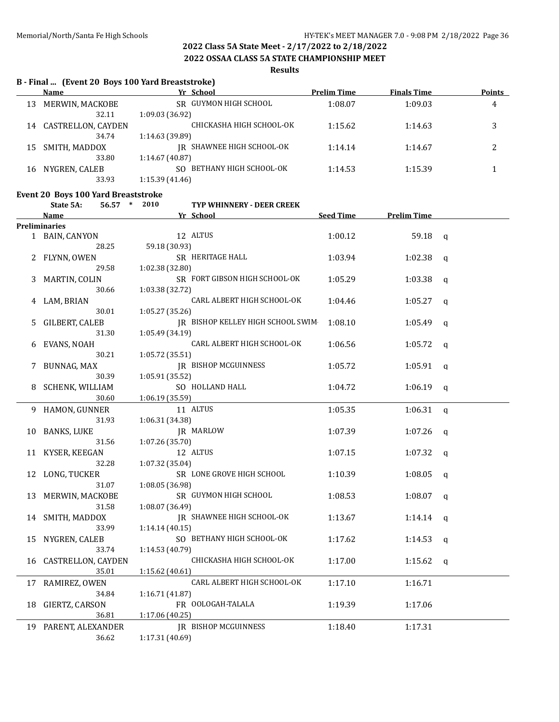**2022 OSSAA CLASS 5A STATE CHAMPIONSHIP MEET**

#### **Results**

# **B - Final ... (Event 20 Boys 100 Yard Breaststroke)**

|    | Name               | Yr School                     | <b>Prelim Time</b> | <b>Finals Time</b> | <b>Points</b> |
|----|--------------------|-------------------------------|--------------------|--------------------|---------------|
| 13 | MERWIN, MACKOBE    | SR GUYMON HIGH SCHOOL         | 1:08.07            | 1:09.03            | 4             |
|    | 32.11              | 1:09.03(36.92)                |                    |                    |               |
| 14 | CASTRELLON, CAYDEN | CHICKASHA HIGH SCHOOL-OK      | 1:15.62            | 1:14.63            | 3             |
|    | 34.74              | 1:14.63(39.89)                |                    |                    |               |
| 15 | SMITH, MADDOX      | IR SHAWNEE HIGH SCHOOL-OK     | 1:14.14            | 1:14.67            |               |
|    | 33.80              | 1:14.67 (40.87)               |                    |                    |               |
| 16 | NYGREN, CALEB      | BETHANY HIGH SCHOOL-OK<br>SO. | 1:14.53            | 1:15.39            |               |
|    | 33.93              | 1:15.39(41.46)                |                    |                    |               |

# **Event 20 Boys 100 Yard Breaststroke**<br>State 54: 56.57  $*$  2010

|    | State 5A:<br>$56.57$ *    | 2010            | TYP WHINNERY - DEER CREEK         |           |                    |                |
|----|---------------------------|-----------------|-----------------------------------|-----------|--------------------|----------------|
|    | <b>Name</b>               |                 | Yr School                         | Seed Time | <b>Prelim Time</b> |                |
|    | <b>Preliminaries</b>      |                 |                                   |           |                    |                |
|    | 1 BAIN, CANYON            |                 | 12 ALTUS                          | 1:00.12   | 59.18              | $\mathbf{q}$   |
|    | 28.25                     | 59.18 (30.93)   |                                   |           |                    |                |
|    | FLYNN, OWEN               |                 | SR HERITAGE HALL                  | 1:03.94   | 1:02.38            | $\mathsf{q}$   |
|    | 29.58                     | 1:02.38 (32.80) |                                   |           |                    |                |
| 3  | MARTIN, COLIN             |                 | SR FORT GIBSON HIGH SCHOOL-OK     | 1:05.29   | 1:03.38            | $\mathbf{q}$   |
|    | 30.66                     | 1:03.38 (32.72) |                                   |           |                    |                |
| 4  | LAM, BRIAN                |                 | CARL ALBERT HIGH SCHOOL-OK        | 1:04.46   | 1:05.27            | $\mathbf{q}$   |
|    | 30.01                     | 1:05.27 (35.26) |                                   |           |                    |                |
| 5. | <b>GILBERT, CALEB</b>     |                 | JR BISHOP KELLEY HIGH SCHOOL SWIM | 1:08.10   | 1:05.49            | $\mathbf{q}$   |
|    | 31.30                     | 1:05.49 (34.19) |                                   |           |                    |                |
| 6  | EVANS, NOAH               |                 | CARL ALBERT HIGH SCHOOL-OK        | 1:06.56   | 1:05.72            | $\mathbf q$    |
|    | 30.21                     | 1:05.72 (35.51) |                                   |           |                    |                |
| 7  | BUNNAG, MAX               |                 | <b>IR BISHOP MCGUINNESS</b>       | 1:05.72   | 1:05.91            | $\mathbf{q}$   |
|    | 30.39                     | 1:05.91(35.52)  |                                   |           |                    |                |
| 8  | SCHENK, WILLIAM           |                 | SO HOLLAND HALL                   | 1:04.72   | 1:06.19            | $\mathfrak{a}$ |
|    | 30.60                     | 1:06.19 (35.59) |                                   |           |                    |                |
|    | 9 HAMON, GUNNER           |                 | 11 ALTUS                          | 1:05.35   | 1:06.31            | $\mathbf q$    |
|    | 31.93                     | 1:06.31 (34.38) |                                   |           |                    |                |
| 10 | <b>BANKS, LUKE</b>        |                 | JR MARLOW                         | 1:07.39   | 1:07.26            | $\mathbf q$    |
|    | 31.56                     | 1:07.26 (35.70) |                                   |           |                    |                |
|    | 11 KYSER, KEEGAN          |                 | 12 ALTUS                          | 1:07.15   | 1:07.32            | q              |
|    | 32.28                     | 1:07.32(35.04)  |                                   |           |                    |                |
|    | 12 LONG, TUCKER           |                 | SR LONE GROVE HIGH SCHOOL         | 1:10.39   | 1:08.05            | $\mathbf q$    |
|    | 31.07                     | 1:08.05 (36.98) |                                   |           |                    |                |
| 13 | MERWIN, MACKOBE           |                 | SR GUYMON HIGH SCHOOL             | 1:08.53   | 1:08.07            | q              |
|    | 31.58                     | 1:08.07 (36.49) |                                   |           |                    |                |
| 14 | SMITH, MADDOX             |                 | JR SHAWNEE HIGH SCHOOL-OK         | 1:13.67   | 1:14.14            | $\mathbf q$    |
|    | 33.99                     | 1:14.14 (40.15) |                                   |           |                    |                |
| 15 | NYGREN, CALEB             |                 | SO BETHANY HIGH SCHOOL-OK         | 1:17.62   | 1:14.53            | q              |
|    | 33.74                     | 1:14.53 (40.79) |                                   |           |                    |                |
| 16 | <b>CASTRELLON, CAYDEN</b> |                 | CHICKASHA HIGH SCHOOL-OK          | 1:17.00   | 1:15.62            | q              |
|    | 35.01                     | 1:15.62(40.61)  |                                   |           |                    |                |
|    | 17 RAMIREZ, OWEN          |                 | CARL ALBERT HIGH SCHOOL-OK        | 1:17.10   | 1:16.71            |                |
|    | 34.84                     | 1:16.71 (41.87) |                                   |           |                    |                |
|    | 18 GIERTZ, CARSON         |                 | FR OOLOGAH-TALALA                 | 1:19.39   | 1:17.06            |                |
|    | 36.81                     | 1:17.06 (40.25) |                                   |           |                    |                |
|    | 19 PARENT, ALEXANDER      |                 | <b>IR BISHOP MCGUINNESS</b>       | 1:18.40   | 1:17.31            |                |
|    | 36.62                     | 1:17.31 (40.69) |                                   |           |                    |                |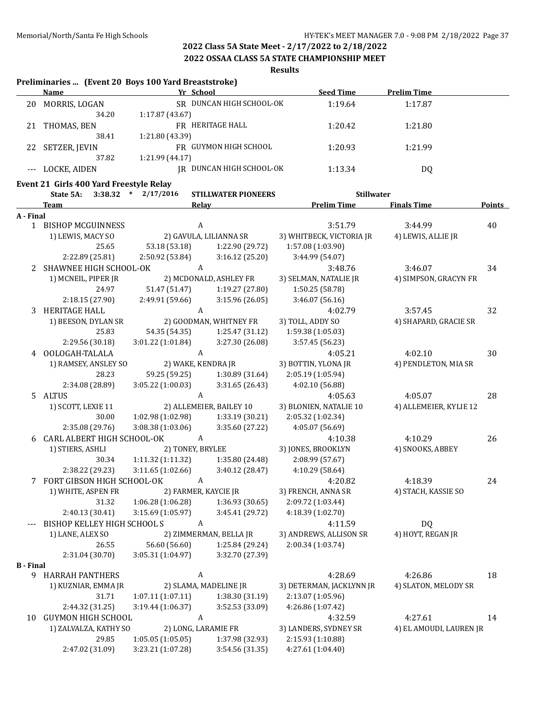**2022 OSSAA CLASS 5A STATE CHAMPIONSHIP MEET**

**Results**

|                  | Preliminaries  (Event 20 Boys 100 Yard Breaststroke) |                         |                            |                          |                         |        |
|------------------|------------------------------------------------------|-------------------------|----------------------------|--------------------------|-------------------------|--------|
|                  | <b>Name</b>                                          | Yr School               |                            | <b>Seed Time</b>         | <b>Prelim Time</b>      |        |
|                  | 20 MORRIS, LOGAN<br>34.20                            | 1:17.87 (43.67)         | SR DUNCAN HIGH SCHOOL-OK   | 1:19.64                  | 1:17.87                 |        |
| 21               | THOMAS, BEN                                          |                         | FR HERITAGE HALL           | 1:20.42                  | 1:21.80                 |        |
|                  | 38.41                                                | 1:21.80 (43.39)         |                            |                          |                         |        |
|                  | 22 SETZER, JEVIN                                     |                         | FR GUYMON HIGH SCHOOL      | 1:20.93                  | 1:21.99                 |        |
|                  | 37.82                                                | 1:21.99 (44.17)         |                            |                          |                         |        |
|                  | LOCKE, AIDEN                                         |                         | IR DUNCAN HIGH SCHOOL-OK   | 1:13.34                  | DQ                      |        |
|                  | Event 21 Girls 400 Yard Freestyle Relay<br>State 5A: | $3:38.32$ * $2/17/2016$ | <b>STILLWATER PIONEERS</b> | <b>Stillwater</b>        |                         |        |
|                  | <b>Team</b>                                          | Relay                   |                            | <b>Prelim Time</b>       | <b>Finals Time</b>      | Points |
| A - Final        |                                                      |                         |                            |                          |                         |        |
|                  | 1 BISHOP MCGUINNESS                                  | A                       |                            | 3:51.79                  | 3:44.99                 | 40     |
|                  | 1) LEWIS, MACY SO                                    |                         | 2) GAVULA, LILIANNA SR     | 3) WHITBECK, VICTORIA JR | 4) LEWIS, ALLIE JR      |        |
|                  | 25.65                                                | 53.18 (53.18)           | 1:22.90 (29.72)            | 1:57.08 (1:03.90)        |                         |        |
|                  | 2:22.89 (25.81)                                      | 2:50.92 (53.84)         | 3:16.12(25.20)             | 3:44.99 (54.07)          |                         |        |
|                  | 2 SHAWNEE HIGH SCHOOL-OK                             | A                       |                            | 3:48.76                  | 3:46.07                 | 34     |
|                  | 1) MCNEIL, PIPER JR                                  |                         | 2) MCDONALD, ASHLEY FR     | 3) SELMAN, NATALIE JR    | 4) SIMPSON, GRACYN FR   |        |
|                  | 24.97                                                | 51.47 (51.47)           | 1:19.27 (27.80)            | 1:50.25 (58.78)          |                         |        |
|                  | 2:18.15 (27.90)                                      | 2:49.91 (59.66)         | 3:15.96(26.05)             | 3:46.07 (56.16)          |                         |        |
|                  | 3 HERITAGE HALL                                      | A                       |                            | 4:02.79                  | 3:57.45                 | 32     |
|                  | 1) BEESON, DYLAN SR                                  |                         | 2) GOODMAN, WHITNEY FR     | 3) TOLL, ADDY SO         | 4) SHAPARD, GRACIE SR   |        |
|                  | 25.83                                                | 54.35 (54.35)           | 1:25.47 (31.12)            | 1:59.38 (1:05.03)        |                         |        |
|                  | 2:29.56 (30.18)                                      | 3:01.22 (1:01.84)       | 3:27.30 (26.08)            | 3:57.45 (56.23)          |                         |        |
|                  | 4 OOLOGAH-TALALA                                     | $\boldsymbol{A}$        |                            | 4:05.21                  | 4:02.10                 | 30     |
|                  |                                                      | 2) WAKE, KENDRA JR      |                            | 3) BOTTIN, YLONA JR      | 4) PENDLETON, MIA SR    |        |
|                  | 1) RAMSEY, ANSLEY SO<br>28.23                        | 59.25 (59.25)           | 1:30.89 (31.64)            |                          |                         |        |
|                  |                                                      |                         |                            | 2:05.19 (1:05.94)        |                         |        |
|                  | 2:34.08 (28.89)                                      | 3:05.22 (1:00.03)       | 3:31.65(26.43)             | 4:02.10 (56.88)          |                         |        |
|                  | 5 ALTUS                                              | $\mathbf{A}$            |                            | 4:05.63                  | 4:05.07                 | 28     |
|                  | 1) SCOTT, LEXIE 11                                   |                         | 2) ALLEMEIER, BAILEY 10    | 3) BLONIEN, NATALIE 10   | 4) ALLEMEIER, KYLIE 12  |        |
|                  | 30.00                                                | 1:02.98 (1:02.98)       | 1:33.19(30.21)             | 2:05.32 (1:02.34)        |                         |        |
|                  | 2:35.08 (29.76)                                      | 3:08.38(1:03.06)        | 3:35.60 (27.22)            | 4:05.07 (56.69)          |                         |        |
| 6                | CARL ALBERT HIGH SCHOOL-OK                           | A                       |                            | 4:10.38                  | 4:10.29                 | 26     |
|                  | 1) STIERS, ASHLI                                     | 2) TONEY, BRYLEE        |                            | 3) JONES, BROOKLYN       | 4) SNOOKS, ABBEY        |        |
|                  | 30.34                                                | 1:11.32 (1:11.32)       | 1:35.80 (24.48)            | 2:08.99 (57.67)          |                         |        |
|                  | 2:38.22 (29.23)                                      | 3:11.65(1:02.66)        | 3:40.12 (28.47)            | 4:10.29 (58.64)          |                         |        |
|                  | FORT GIBSON HIGH SCHOOL-OK                           | A                       |                            | 4:20.82                  | 4:18.39                 | 24     |
|                  | 1) WHITE, ASPEN FR                                   | 2) FARMER, KAYCIE JR    |                            | 3) FRENCH, ANNA SR       | 4) STACH, KASSIE SO     |        |
|                  | 31.32                                                | 1:06.28 (1:06.28)       | 1:36.93 (30.65)            | 2:09.72 (1:03.44)        |                         |        |
|                  | 2:40.13 (30.41)                                      | 3:15.69 (1:05.97)       | 3:45.41 (29.72)            | 4:18.39 (1:02.70)        |                         |        |
|                  | BISHOP KELLEY HIGH SCHOOL S                          | A                       |                            | 4:11.59                  | DQ                      |        |
|                  | 1) LANE, ALEX SO                                     |                         | 2) ZIMMERMAN, BELLA JR     | 3) ANDREWS, ALLISON SR   | 4) HOYT, REGAN JR       |        |
|                  | 26.55                                                | 56.60 (56.60)           | 1:25.84 (29.24)            | 2:00.34 (1:03.74)        |                         |        |
|                  | 2:31.04 (30.70)                                      | 3:05.31 (1:04.97)       | 3:32.70 (27.39)            |                          |                         |        |
| <b>B</b> - Final |                                                      |                         |                            |                          |                         |        |
| 9                | <b>HARRAH PANTHERS</b>                               | A                       |                            | 4:28.69                  | 4:26.86                 | 18     |
|                  | 1) KUZNIAR, EMMA JR                                  |                         | 2) SLAMA, MADELINE JR      | 3) DETERMAN, JACKLYNN JR | 4) SLATON, MELODY SR    |        |
|                  | 31.71                                                | 1:07.11(1:07.11)        | 1:38.30 (31.19)            | 2:13.07 (1:05.96)        |                         |        |
|                  | 2:44.32 (31.25)                                      | 3:19.44 (1:06.37)       | 3:52.53 (33.09)            | 4:26.86 (1:07.42)        |                         |        |
| 10               | <b>GUYMON HIGH SCHOOL</b>                            | A                       |                            | 4:32.59                  | 4:27.61                 | 14     |
|                  | 1) ZALVALZA, KATHY SO                                | 2) LONG, LARAMIE FR     |                            | 3) LANDERS, SYDNEY SR    | 4) EL AMOUDI, LAUREN JR |        |
|                  | 29.85                                                | 1:05.05(1:05.05)        | 1:37.98 (32.93)            | 2:15.93 (1:10.88)        |                         |        |
|                  | 2:47.02 (31.09)                                      | 3:23.21 (1:07.28)       | 3:54.56 (31.35)            | 4:27.61 (1:04.40)        |                         |        |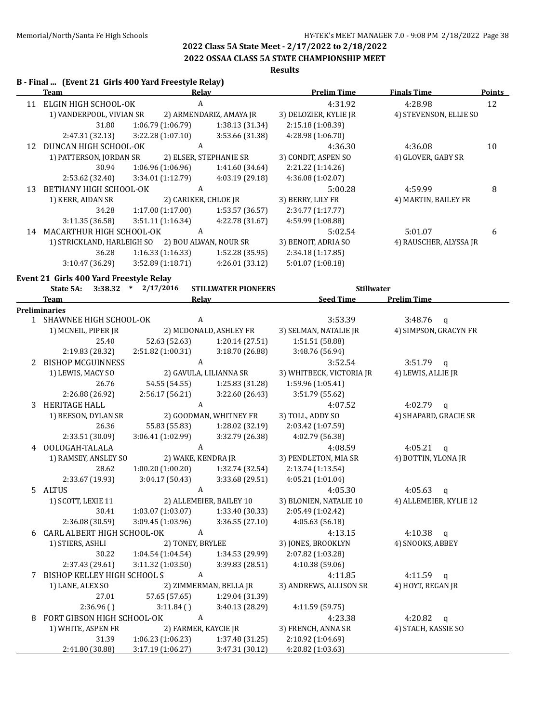**2022 OSSAA CLASS 5A STATE CHAMPIONSHIP MEET**

# **Results**

#### **B - Final ... (Event 21 Girls 400 Yard Freestyle Relay)**

|    | <b>Team</b>                                          | <b>Relay</b>                          |                            | <b>Prelim Time</b>                   | <b>Finals Time</b>               | <b>Points</b> |
|----|------------------------------------------------------|---------------------------------------|----------------------------|--------------------------------------|----------------------------------|---------------|
|    | 11 ELGIN HIGH SCHOOL-OK                              | A                                     |                            | 4:31.92                              | 4:28.98                          | 12            |
|    | 1) VANDERPOOL, VIVIAN SR                             |                                       | 2) ARMENDARIZ, AMAYA JR    | 3) DELOZIER, KYLIE JR                | 4) STEVENSON, ELLIE SO           |               |
|    | 31.80                                                | 1:06.79 (1:06.79)                     | 1:38.13 (31.34)            | 2:15.18 (1:08.39)                    |                                  |               |
|    | 2:47.31 (32.13)                                      | 3:22.28 (1:07.10)                     | 3:53.66 (31.38)            | 4:28.98 (1:06.70)                    |                                  |               |
|    | 12 DUNCAN HIGH SCHOOL-OK                             | A                                     |                            | 4:36.30                              | 4:36.08                          | 10            |
|    | 1) PATTERSON, JORDAN SR                              |                                       | 2) ELSER, STEPHANIE SR     | 3) CONDIT, ASPEN SO                  | 4) GLOVER, GABY SR               |               |
|    | 30.94                                                | 1:06.96(1:06.96)                      | 1:41.60 (34.64)            | 2:21.22 (1:14.26)                    |                                  |               |
|    | 2:53.62 (32.40)                                      | 3:34.01 (1:12.79)                     | 4:03.19 (29.18)            | 4:36.08 (1:02.07)                    |                                  |               |
| 13 | BETHANY HIGH SCHOOL-OK                               | $\mathbf{A}$                          |                            | 5:00.28                              | 4:59.99                          | 8             |
|    | 1) KERR, AIDAN SR                                    | 2) CARIKER, CHLOE JR                  |                            | 3) BERRY, LILY FR                    | 4) MARTIN, BAILEY FR             |               |
|    | 34.28                                                | 1:17.00(1:17.00)                      | 1:53.57 (36.57)            | 2:34.77 (1:17.77)                    |                                  |               |
|    | 3:11.35 (36.58)                                      | 3:51.11(1:16.34)                      | 4:22.78 (31.67)            | 4:59.99 (1:08.88)                    |                                  |               |
|    | 14 MACARTHUR HIGH SCHOOL-OK                          | $\mathbf{A}$                          |                            | 5:02.54                              | 5:01.07                          | 6             |
|    | 1) STRICKLAND, HARLEIGH SO 2) BOU ALWAN, NOUR SR     |                                       |                            | 3) BENOIT, ADRIA SO                  | 4) RAUSCHER, ALYSSA JR           |               |
|    | 36.28                                                | 1:16.33(1:16.33)                      | 1:52.28(35.95)             | 2:34.18 (1:17.85)                    |                                  |               |
|    | 3:10.47 (36.29)                                      | 3:52.89(1:18.71)                      | 4:26.01(33.12)             | 5:01.07 (1:08.18)                    |                                  |               |
|    |                                                      |                                       |                            |                                      |                                  |               |
|    | Event 21 Girls 400 Yard Freestyle Relay<br>State 5A: | $3:38.32$ * $2/17/2016$               | <b>STILLWATER PIONEERS</b> | <b>Stillwater</b>                    |                                  |               |
|    | <b>Team</b>                                          | Relay                                 |                            | <b>Seed Time</b>                     | <b>Prelim Time</b>               |               |
|    | <b>Preliminaries</b>                                 |                                       |                            |                                      |                                  |               |
|    | 1 SHAWNEE HIGH SCHOOL-OK                             | $\mathbf{A}$                          |                            | 3:53.39                              | 3:48.76<br>$\mathbf{q}$          |               |
|    | 1) MCNEIL, PIPER JR                                  |                                       | 2) MCDONALD, ASHLEY FR     | 3) SELMAN, NATALIE JR                | 4) SIMPSON, GRACYN FR            |               |
|    | 25.40                                                | 52.63 (52.63)                         | 1:20.14(27.51)             | 1:51.51 (58.88)                      |                                  |               |
|    | 2:19.83 (28.32)                                      | 2:51.82 (1:00.31)                     | 3:18.70(26.88)             | 3:48.76 (56.94)                      |                                  |               |
|    | 2 BISHOP MCGUINNESS                                  | $\mathbf{A}$                          |                            | 3:52.54                              | $3:51.79$ q                      |               |
|    | 1) LEWIS, MACY SO                                    |                                       | 2) GAVULA, LILIANNA SR     | 3) WHITBECK, VICTORIA JR             | 4) LEWIS, ALLIE JR               |               |
|    | 26.76                                                | 54.55 (54.55)                         | 1:25.83 (31.28)            | 1:59.96 (1:05.41)                    |                                  |               |
|    | 2:26.88 (26.92)                                      | 2:56.17(56.21)                        | 3:22.60 (26.43)            | 3:51.79 (55.62)                      |                                  |               |
| 3  | <b>HERITAGE HALL</b>                                 | $\mathbf{A}$                          |                            | 4:07.52                              | 4:02.79 $q$                      |               |
|    | 1) BEESON, DYLAN SR                                  |                                       | 2) GOODMAN, WHITNEY FR     | 3) TOLL, ADDY SO                     | 4) SHAPARD, GRACIE SR            |               |
|    | 26.36                                                | 55.83 (55.83)                         | 1:28.02 (32.19)            | 2:03.42 (1:07.59)                    |                                  |               |
|    | 2:33.51 (30.09)                                      | 3:06.41 (1:02.99)                     | 3:32.79 (26.38)            | 4:02.79 (56.38)                      |                                  |               |
|    | 4 OOLOGAH-TALALA                                     | $\mathbf{A}$                          |                            | 4:08.59                              | 4:05.21<br>$\mathsf{q}$          |               |
|    | 1) RAMSEY, ANSLEY SO                                 | 2) WAKE, KENDRA JR                    |                            | 3) PENDLETON, MIA SR                 | 4) BOTTIN, YLONA JR              |               |
|    | 28.62                                                | 1:00.20(1:00.20)                      | 1:32.74 (32.54)            | 2:13.74 (1:13.54)                    |                                  |               |
|    | 2:33.67 (19.93)                                      | 3:04.17(50.43)                        | 3:33.68 (29.51)            | 4:05.21 (1:01.04)                    |                                  |               |
|    | 5 ALTUS                                              | A                                     |                            | 4:05.30                              | 4:05.63                          |               |
|    | 1) SCOTT, LEXIE 11                                   |                                       | 2) ALLEMEIER, BAILEY 10    | 3) BLONIEN, NATALIE 10               | q<br>4) ALLEMEIER, KYLIE 12      |               |
|    | 30.41                                                | 1:03.07 (1:03.07)                     | 1:33.40 (30.33)            | 2:05.49 (1:02.42)                    |                                  |               |
|    | 2:36.08 (30.59)                                      | 3:09.45 (1:03.96)                     | 3:36.55 (27.10)            | 4:05.63(56.18)                       |                                  |               |
| 6  | CARL ALBERT HIGH SCHOOL-OK                           | $\boldsymbol{A}$                      |                            |                                      | 4:10.38                          |               |
|    | 1) STIERS, ASHLI                                     | 2) TONEY, BRYLEE                      |                            | 4:13.15<br>3) JONES, BROOKLYN        | $\mathbf{q}$<br>4) SNOOKS, ABBEY |               |
|    | 30.22                                                | 1:04.54 (1:04.54)                     | 1:34.53 (29.99)            |                                      |                                  |               |
|    | 2:37.43 (29.61)                                      |                                       | 3:39.83 (28.51)            | 2:07.82 (1:03.28)<br>4:10.38 (59.06) |                                  |               |
|    | <b>BISHOP KELLEY HIGH SCHOOL S</b>                   | 3:11.32 (1:03.50)<br>$\boldsymbol{A}$ |                            |                                      |                                  |               |
| 7  |                                                      |                                       |                            | 4:11.85                              | 4:11.59 $q$                      |               |
|    | 1) LANE, ALEX SO                                     |                                       | 2) ZIMMERMAN, BELLA JR     | 3) ANDREWS, ALLISON SR               | 4) HOYT, REGAN JR                |               |
|    | 27.01                                                | 57.65 (57.65)                         | 1:29.04 (31.39)            |                                      |                                  |               |
|    | 2:36.96(                                             | 3:11.84()                             | 3:40.13 (28.29)            | 4:11.59 (59.75)                      |                                  |               |
| 8  | FORT GIBSON HIGH SCHOOL-OK                           | A                                     |                            | 4:23.38                              | 4:20.82<br>q                     |               |
|    | 1) WHITE, ASPEN FR                                   | 2) FARMER, KAYCIE JR                  |                            | 3) FRENCH, ANNA SR                   | 4) STACH, KASSIE SO              |               |
|    | 31.39                                                | 1:06.23 (1:06.23)                     | 1:37.48 (31.25)            | 2:10.92 (1:04.69)                    |                                  |               |
|    | 2:41.80 (30.88)                                      | 3:17.19 (1:06.27)                     | 3:47.31 (30.12)            | 4:20.82 (1:03.63)                    |                                  |               |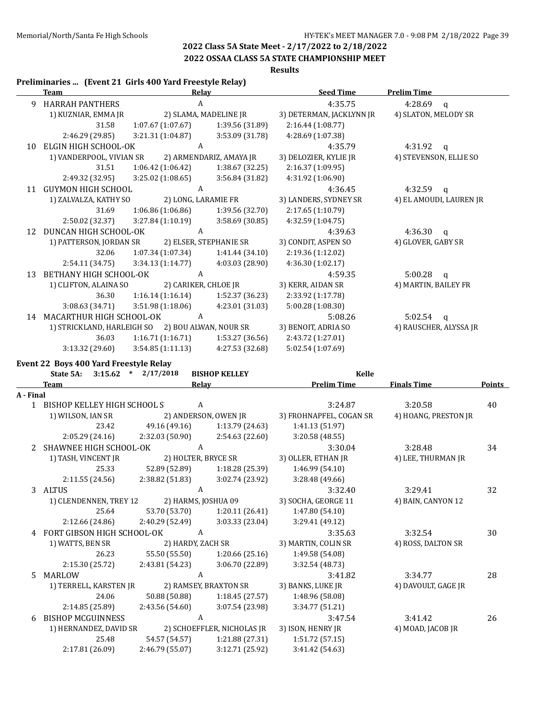# **2022 OSSAA CLASS 5A STATE CHAMPIONSHIP MEET**

**Results**

| Preliminaries  (Event 21 Girls 400 Yard Freestyle Relay) |  |  |
|----------------------------------------------------------|--|--|
|                                                          |  |  |

|           | <b>Team</b>                                      | Relay                   |                         | <b>Seed Time</b>         | <b>Prelim Time</b>      |        |
|-----------|--------------------------------------------------|-------------------------|-------------------------|--------------------------|-------------------------|--------|
|           | 9 HARRAH PANTHERS                                | $\mathbf{A}$            |                         | 4:35.75                  | 4:28.69<br>$\mathsf{q}$ |        |
|           | 1) KUZNIAR, EMMA JR                              | 2) SLAMA, MADELINE JR   |                         | 3) DETERMAN, JACKLYNN JR | 4) SLATON, MELODY SR    |        |
|           | 31.58                                            | 1:07.67(1:07.67)        | 1:39.56 (31.89)         | 2:16.44 (1:08.77)        |                         |        |
|           | 2:46.29 (29.85)                                  | 3:21.31 (1:04.87)       | 3:53.09 (31.78)         | 4:28.69 (1:07.38)        |                         |        |
|           | 10 ELGIN HIGH SCHOOL-OK                          | $\mathbf{A}$            |                         | 4:35.79                  | 4:31.92 $q$             |        |
|           | 1) VANDERPOOL, VIVIAN SR                         |                         | 2) ARMENDARIZ, AMAYA JR | 3) DELOZIER, KYLIE JR    | 4) STEVENSON, ELLIE SO  |        |
|           | 31.51                                            | 1:06.42(1:06.42)        | 1:38.67 (32.25)         | 2:16.37 (1:09.95)        |                         |        |
|           | 2:49.32 (32.95)                                  | 3:25.02(1:08.65)        | 3:56.84 (31.82)         | 4:31.92 (1:06.90)        |                         |        |
|           | 11 GUYMON HIGH SCHOOL                            | $\mathbf{A}$            |                         | 4:36.45                  | 4:32.59<br>$\mathsf{q}$ |        |
|           | 1) ZALVALZA, KATHY SO                            | 2) LONG, LARAMIE FR     |                         | 3) LANDERS, SYDNEY SR    | 4) EL AMOUDI, LAUREN JR |        |
|           | 31.69                                            | 1:06.86(1:06.86)        | 1:39.56(32.70)          | 2:17.65 (1:10.79)        |                         |        |
|           | 2:50.02 (32.37)                                  | 3:27.84(1:10.19)        | 3:58.69(30.85)          | 4:32.59 (1:04.75)        |                         |        |
|           | 12 DUNCAN HIGH SCHOOL-OK                         | $\mathbf{A}$            |                         | 4:39.63                  | $4:36.30$ q             |        |
|           | 1) PATTERSON, JORDAN SR                          |                         | 2) ELSER, STEPHANIE SR  | 3) CONDIT, ASPEN SO      | 4) GLOVER, GABY SR      |        |
|           | 32.06                                            | 1:07.34 (1:07.34)       | 1:41.44 (34.10)         | 2:19.36 (1:12.02)        |                         |        |
|           | 2:54.11 (34.75)                                  | 3:34.13(1:14.77)        | 4:03.03 (28.90)         | 4:36.30 (1:02.17)        |                         |        |
| 13        | BETHANY HIGH SCHOOL-OK                           | A                       |                         | 4:59.35                  | $5:00.28$ q             |        |
|           | 1) CLIFTON, ALAINA SO                            | 2) CARIKER, CHLOE JR    |                         | 3) KERR, AIDAN SR        | 4) MARTIN, BAILEY FR    |        |
|           | 36.30                                            | 1:16.14(1:16.14)        | 1:52.37 (36.23)         | 2:33.92 (1:17.78)        |                         |        |
|           | 3:08.63 (34.71)                                  | 3:51.98(1:18.06)        | 4:23.01(31.03)          | 5:00.28 (1:08.30)        |                         |        |
|           | 14 MACARTHUR HIGH SCHOOL-OK                      | $\mathbf{A}$            |                         | 5:08.26                  | $5:02.54$ q             |        |
|           | 1) STRICKLAND, HARLEIGH SO 2) BOU ALWAN, NOUR SR |                         |                         | 3) BENOIT, ADRIA SO      | 4) RAUSCHER, ALYSSA JR  |        |
|           | 36.03                                            | 1:16.71(1:16.71)        | 1:53.27 (36.56)         | 2:43.72 (1:27.01)        |                         |        |
|           | 3:13.32(29.60)                                   | 3:54.85(1:11.13)        | 4:27.53 (32.68)         | 5:02.54 (1:07.69)        |                         |        |
|           | <b>Event 22 Boys 400 Yard Freestyle Relay</b>    |                         |                         |                          |                         |        |
|           | State 5A:                                        | $3:15.62$ * $2/17/2018$ | <b>BISHOP KELLEY</b>    | Kelle                    |                         |        |
|           | <b>Team</b>                                      | Relay                   |                         | <b>Prelim Time</b>       | <b>Finals Time</b>      | Points |
| A - Final |                                                  |                         |                         |                          |                         |        |
|           | 1 BISHOP KELLEY HIGH SCHOOL S                    | A                       |                         | 3:24.87                  | 3:20.58                 | 40     |
|           | 1) WILSON, IAN SR                                | 2) ANDERSON, OWEN JR    |                         | 3) FROHNAPFEL, COGAN SR  | 4) HOANG, PRESTON JR    |        |
|           | 23.42                                            | 49.16 (49.16)           | 1:13.79(24.63)          | 1:41.13 (51.97)          |                         |        |
|           | 2:05.29(24.16)                                   | 2:32.03 (50.90)         | 2:54.63(22.60)          | 3:20.58(48.55)           |                         |        |
|           | 2 SHAWNEE HIGH SCHOOL-OK                         | $\mathbf{A}$            |                         | 3:30.04                  | 3:28.48                 | 34     |
|           | 1) TASH, VINCENT JR                              | 2) HOLTER, BRYCE SR     |                         | 3) OLLER, ETHAN JR       | 4) LEE, THURMAN JR      |        |

| 2   | SHAWNEE HIGH SCHOOL-OK     | A                   |                            | 3:30.04             | 3:28.48             | 34 |
|-----|----------------------------|---------------------|----------------------------|---------------------|---------------------|----|
|     | 1) TASH, VINCENT JR        | 2) HOLTER, BRYCE SR |                            | 3) OLLER, ETHAN JR  | 4) LEE, THURMAN JR  |    |
|     | 25.33                      | 52.89 (52.89)       | 1:18.28 (25.39)            | 1:46.99(54.10)      |                     |    |
|     | 2:11.55(24.56)             | 2:38.82 (51.83)     | 3:02.74(23.92)             | 3:28.48(49.66)      |                     |    |
| 3   | <b>ALTUS</b>               | A                   |                            | 3:32.40             | 3:29.41             | 32 |
|     | 1) CLENDENNEN, TREY 12     | 2) HARMS, JOSHUA 09 |                            | 3) SOCHA, GEORGE 11 | 4) BAIN, CANYON 12  |    |
|     | 25.64                      | 53.70 (53.70)       | 1:20.11(26.41)             | 1:47.80 (54.10)     |                     |    |
|     | 2:12.66(24.86)             | 2:40.29 (52.49)     | 3:03.33(23.04)             | 3:29.41 (49.12)     |                     |    |
|     | FORT GIBSON HIGH SCHOOL-OK | A                   |                            | 3:35.63             | 3:32.54             | 30 |
|     | 1) WATTS, BEN SR           | 2) HARDY, ZACH SR   |                            | 3) MARTIN, COLIN SR | 4) ROSS, DALTON SR  |    |
|     | 26.23                      | 55.50 (55.50)       | 1:20.66 (25.16)            | 1:49.58 (54.08)     |                     |    |
|     | 2:15.30 (25.72)            | 2:43.81 (54.23)     | 3:06.70 (22.89)            | 3:32.54(48.73)      |                     |    |
| .5. | MARLOW                     | A                   |                            | 3:41.82             | 3:34.77             | 28 |
|     | 1) TERRELL, KARSTEN JR     |                     | 2) RAMSEY, BRAXTON SR      | 3) BANKS, LUKE JR   | 4) DAVOULT, GAGE JR |    |
|     | 24.06                      | 50.88 (50.88)       | 1:18.45(27.57)             | 1:48.96 (58.08)     |                     |    |
|     | 2:14.85(25.89)             | 2:43.56 (54.60)     | 3:07.54(23.98)             | 3:34.77(51.21)      |                     |    |
| 6   | <b>BISHOP MCGUINNESS</b>   | A                   |                            | 3:47.54             | 3:41.42             | 26 |
|     | 1) HERNANDEZ, DAVID SR     |                     | 2) SCHOEFFLER, NICHOLAS JR | 3) ISON, HENRY JR   | 4) MOAD, JACOB JR   |    |
|     | 25.48                      | 54.57 (54.57)       | 1:21.88 (27.31)            | 1:51.72(57.15)      |                     |    |
|     | 2:17.81(26.09)             | 2:46.79(55.07)      | 3:12.71(25.92)             | 3:41.42 (54.63)     |                     |    |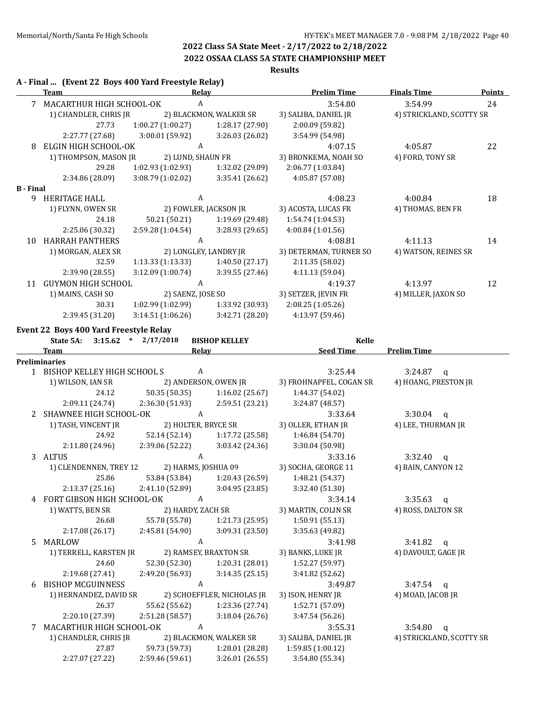# **2022 OSSAA CLASS 5A STATE CHAMPIONSHIP MEET**

# **Results**

|                  | A - Final  (Event 22 Boys 400 Yard Freestyle Relay)<br>Team | Relay                   |                                 | <b>Prelim Time</b>      | <b>Finals Time</b>       | <b>Points</b> |
|------------------|-------------------------------------------------------------|-------------------------|---------------------------------|-------------------------|--------------------------|---------------|
|                  | 7 MACARTHUR HIGH SCHOOL-OK                                  | $\boldsymbol{A}$        |                                 | 3:54.80                 | 3:54.99                  | 24            |
|                  | 1) CHANDLER, CHRIS JR                                       |                         | 2) BLACKMON, WALKER SR          | 3) SALIBA, DANIEL JR    | 4) STRICKLAND, SCOTTY SR |               |
|                  | 27.73                                                       | 1:00.27 (1:00.27)       | 1:28.17 (27.90)                 | 2:00.09 (59.82)         |                          |               |
|                  | 2:27.77 (27.68)                                             | 3:00.01 (59.92)         | 3:26.03 (26.02)                 | 3:54.99 (54.98)         |                          |               |
| 8                | ELGIN HIGH SCHOOL-OK                                        | A                       |                                 | 4:07.15                 | 4:05.87                  | 22            |
|                  | 1) THOMPSON, MASON JR                                       | 2) LUND, SHAUN FR       |                                 | 3) BRONKEMA, NOAH SO    | 4) FORD, TONY SR         |               |
|                  | 29.28                                                       | 1:02.93 (1:02.93)       | 1:32.02 (29.09)                 | 2:06.77 (1:03.84)       |                          |               |
|                  | 2:34.86 (28.09)                                             | 3:08.79 (1:02.02)       | 3:35.41 (26.62)                 | 4:05.87 (57.08)         |                          |               |
| <b>B</b> - Final |                                                             |                         |                                 |                         |                          |               |
|                  | 9 HERITAGE HALL                                             | $\boldsymbol{A}$        |                                 | 4:08.23                 | 4:00.84                  | 18            |
|                  | 1) FLYNN, OWEN SR                                           |                         | 2) FOWLER, JACKSON JR           | 3) ACOSTA, LUCAS FR     | 4) THOMAS, BEN FR        |               |
|                  | 24.18                                                       | 50.21 (50.21)           | 1:19.69 (29.48)                 | 1:54.74 (1:04.53)       |                          |               |
|                  | 2:25.06 (30.32)                                             | 2:59.28 (1:04.54)       | 3:28.93 (29.65)                 | 4:00.84 (1:01.56)       |                          |               |
| 10               | <b>HARRAH PANTHERS</b>                                      | A                       |                                 | 4:08.81                 | 4:11.13                  | 14            |
|                  | 1) MORGAN, ALEX SR                                          |                         | 2) LONGLEY, LANDRY JR           | 3) DETERMAN, TURNER SO  | 4) WATSON, REINES SR     |               |
|                  | 32.59                                                       | 1:13.33(1:13.33)        | 1:40.50(27.17)                  | 2:11.35 (58.02)         |                          |               |
|                  |                                                             | 3:12.09 (1:00.74)       | 3:39.55 (27.46)                 | 4:11.13 (59.04)         |                          |               |
|                  | 2:39.90 (28.55)                                             | A                       |                                 |                         |                          |               |
|                  | 11 GUYMON HIGH SCHOOL                                       |                         |                                 | 4:19.37                 | 4:13.97                  | 12            |
|                  | 1) MAINS, CASH SO                                           | 2) SAENZ, JOSE SO       |                                 | 3) SETZER, JEVIN FR     | 4) MILLER, JAXON SO      |               |
|                  | 30.31                                                       | 1:02.99 (1:02.99)       | 1:33.92 (30.93)                 | 2:08.25 (1:05.26)       |                          |               |
|                  | 2:39.45 (31.20)                                             | 3:14.51(1:06.26)        | 3:42.71 (28.20)                 | 4:13.97 (59.46)         |                          |               |
|                  | Event 22 Boys 400 Yard Freestyle Relay                      |                         |                                 |                         |                          |               |
|                  | State 5A:                                                   | $3:15.62$ * $2/17/2018$ | <b>BISHOP KELLEY</b>            | Kelle                   |                          |               |
|                  | <b>Team</b>                                                 | Relay                   |                                 | Seed Time               | <b>Prelim Time</b>       |               |
|                  | <b>Preliminaries</b>                                        |                         |                                 |                         |                          |               |
|                  | 1 BISHOP KELLEY HIGH SCHOOL S                               | A                       |                                 | 3:25.44                 | 3:24.87<br>$\mathbf q$   |               |
|                  | 1) WILSON, IAN SR                                           |                         | 2) ANDERSON, OWEN JR            | 3) FROHNAPFEL, COGAN SR | 4) HOANG, PRESTON JR     |               |
|                  | 24.12                                                       | 50.35 (50.35)           | 1:16.02 (25.67)                 | 1:44.37 (54.02)         |                          |               |
|                  | 2:09.11 (24.74)                                             | 2:36.30 (51.93)         | 2:59.51 (23.21)                 | 3:24.87 (48.57)         |                          |               |
| 2                | SHAWNEE HIGH SCHOOL-OK                                      | A                       |                                 | 3:33.64                 | 3:30.04<br>$\mathsf{q}$  |               |
|                  | 1) TASH, VINCENT JR                                         | 2) HOLTER, BRYCE SR     |                                 | 3) OLLER, ETHAN JR      | 4) LEE, THURMAN JR       |               |
|                  | 24.92                                                       | 52.14 (52.14)           | 1:17.72 (25.58)                 | 1:46.84 (54.70)         |                          |               |
|                  | 2:11.80 (24.96)                                             | 2:39.06 (52.22)         | 3:03.42 (24.36)                 | 3:30.04 (50.98)         |                          |               |
|                  | 3 ALTUS                                                     | A                       |                                 | 3:33.16                 | 3:32.40<br>q             |               |
|                  | 1) CLENDENNEN, TREY 12                                      | 2) HARMS, JOSHUA 09     |                                 | 3) SOCHA, GEORGE 11     | 4) BAIN, CANYON 12       |               |
|                  | 25.86                                                       | 53.84 (53.84)           | 1:20.43 (26.59)                 | 1:48.21 (54.37)         |                          |               |
|                  | 2:13.37 (25.16)                                             |                         | 2:41.10 (52.89) 3:04.95 (23.85) | 3:32.40 (51.30)         |                          |               |
|                  | 4 FORT GIBSON HIGH SCHOOL-OK                                | A                       |                                 | 3:34.14                 | $3:35.63$ q              |               |
|                  | 1) WATTS, BEN SR                                            | 2) HARDY, ZACH SR       |                                 | 3) MARTIN, COLIN SR     | 4) ROSS, DALTON SR       |               |
|                  | 26.68                                                       | 55.78 (55.78)           | 1:21.73 (25.95)                 | 1:50.91 (55.13)         |                          |               |
|                  |                                                             |                         |                                 |                         |                          |               |
|                  | 2:17.08 (26.17)                                             | 2:45.81 (54.90)         | 3:09.31 (23.50)                 | 3:35.63 (49.82)         |                          |               |
| 5.               | MARLOW                                                      | A                       |                                 | 3:41.98                 | $3:41.82$ q              |               |
|                  | 1) TERRELL, KARSTEN JR                                      |                         | 2) RAMSEY, BRAXTON SR           | 3) BANKS, LUKE JR       | 4) DAVOULT, GAGE JR      |               |
|                  | 24.60                                                       | 52.30 (52.30)           | 1:20.31 (28.01)                 | 1:52.27 (59.97)         |                          |               |
|                  | 2:19.68 (27.41)                                             | 2:49.20 (56.93)         | 3:14.35(25.15)                  | 3:41.82 (52.62)         |                          |               |
| 6                | <b>BISHOP MCGUINNESS</b>                                    | A                       |                                 | 3:49.87                 | $3:47.54$ q              |               |
|                  | 1) HERNANDEZ, DAVID SR                                      |                         | 2) SCHOEFFLER, NICHOLAS JR      | 3) ISON, HENRY JR       | 4) MOAD, JACOB JR        |               |
|                  | 26.37                                                       | 55.62 (55.62)           | 1:23.36 (27.74)                 | 1:52.71 (57.09)         |                          |               |
|                  | 2:20.10 (27.39)                                             | 2:51.28 (58.57)         | 3:18.04 (26.76)                 | 3:47.54 (56.26)         |                          |               |
| 7                | MACARTHUR HIGH SCHOOL-OK                                    | A                       |                                 | 3:55.31                 | 3:54.80<br>$\mathsf{q}$  |               |
|                  |                                                             |                         | 2) BLACKMON, WALKER SR          | 3) SALIBA, DANIEL JR    | 4) STRICKLAND, SCOTTY SR |               |
|                  | 1) CHANDLER, CHRIS JR                                       |                         |                                 |                         |                          |               |
|                  | 27.87                                                       | 59.73 (59.73)           | 1:28.01 (28.28)                 | 1:59.85 (1:00.12)       |                          |               |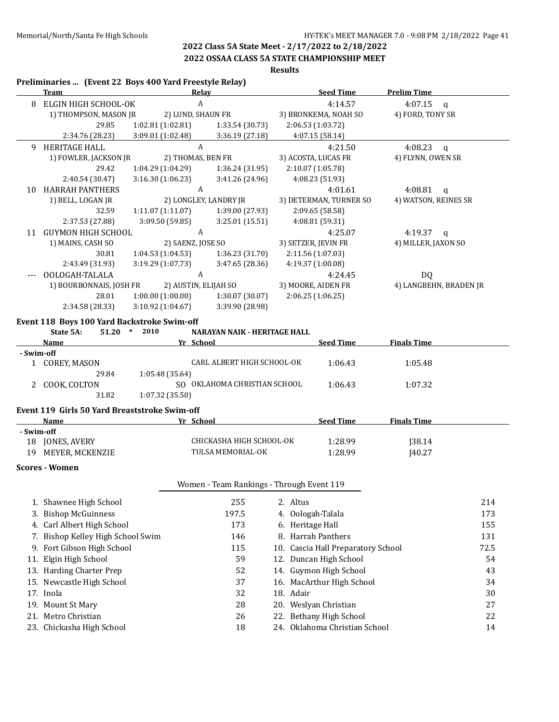#### **2022 OSSAA CLASS 5A STATE CHAMPIONSHIP MEET**

# **Results**

#### **Preliminaries ... (Event 22 Boys 400 Yard Freestyle Relay)**

|            | Team                                        |                   | <b>Relay</b>                        | <b>Seed Time</b>       | <b>Prelim Time</b>        |
|------------|---------------------------------------------|-------------------|-------------------------------------|------------------------|---------------------------|
| 8          | ELGIN HIGH SCHOOL-OK                        |                   | A                                   | 4:14.57                | 4:07.15<br>q              |
|            | 1) THOMPSON, MASON JR                       |                   | 2) LUND, SHAUN FR                   | 3) BRONKEMA, NOAH SO   | 4) FORD, TONY SR          |
|            | 29.85                                       | 1:02.81(1:02.81)  | 1:33.54(30.73)                      | 2:06.53 (1:03.72)      |                           |
|            | 2:34.76 (28.23)                             | 3:09.01 (1:02.48) | 3:36.19 (27.18)                     | 4:07.15(58.14)         |                           |
| 9          | <b>HERITAGE HALL</b>                        |                   | A                                   | 4:21.50                | 4:08.23<br>q              |
|            | 1) FOWLER, JACKSON JR                       |                   | 2) THOMAS, BEN FR                   | 3) ACOSTA, LUCAS FR    | 4) FLYNN, OWEN SR         |
|            | 29.42                                       | 1:04.29(1:04.29)  | 1:36.24(31.95)                      | 2:10.07 (1:05.78)      |                           |
|            | 2:40.54 (30.47)                             | 3:16.30(1:06.23)  | 3:41.26 (24.96)                     | 4:08.23 (51.93)        |                           |
| 10         | <b>HARRAH PANTHERS</b>                      |                   | A                                   | 4:01.61                | 4:08.81<br>$\mathsf{q}$   |
|            | 1) BELL, LOGAN JR                           |                   | 2) LONGLEY, LANDRY JR               | 3) DETERMAN, TURNER SO | 4) WATSON, REINES SR      |
|            | 32.59                                       | 1:11.07(1:11.07)  | 1:39.00 (27.93)                     | 2:09.65 (58.58)        |                           |
|            | 2:37.53 (27.88)                             | 3:09.50(59.85)    | 3:25.01(15.51)                      | 4:08.81 (59.31)        |                           |
| 11         | <b>GUYMON HIGH SCHOOL</b>                   |                   | A                                   | 4:25.07                | 4:19.37<br>$\mathfrak{a}$ |
|            | 1) MAINS, CASH SO                           | 2) SAENZ, JOSE SO |                                     | 3) SETZER, JEVIN FR    | 4) MILLER, JAXON SO       |
|            | 30.81                                       | 1:04.53(1:04.53)  | 1:36.23(31.70)                      | 2:11.56 (1:07.03)      |                           |
|            | 2:43.49 (31.93)                             | 3:19.29 (1:07.73) | 3:47.65(28.36)                      | 4:19.37 (1:00.08)      |                           |
|            | OOLOGAH-TALALA                              |                   | A                                   | 4:24.45                | <b>DQ</b>                 |
|            | 1) BOURBONNAIS, JOSH FR                     |                   | 2) AUSTIN, ELIJAH SO                | 3) MOORE, AIDEN FR     | 4) LANGBEHN, BRADEN JR    |
|            | 28.01                                       | 1:00.00(1:00.00)  | 1:30.07(30.07)                      | 2:06.25(1:06.25)       |                           |
|            | 2:34.58 (28.33)                             | 3:10.92 (1:04.67) | 3:39.90 (28.98)                     |                        |                           |
|            | Event 118 Boys 100 Yard Backstroke Swim-off |                   |                                     |                        |                           |
|            | 51.20<br>State 5A:                          | 2010<br>$\ast$    | <b>NARAYAN NAIK - HERITAGE HALL</b> |                        |                           |
|            | <b>Name</b>                                 |                   | Yr School                           | <b>Seed Time</b>       | <b>Finals Time</b>        |
| - Swim-off |                                             |                   |                                     |                        |                           |
|            | COREY, MASON                                |                   | CARL ALBERT HIGH SCHOOL-OK          | 1:06.43                | 1:05.48                   |
|            | 29.84                                       | 1:05.48 (35.64)   |                                     |                        |                           |

#### **Event 119 Girls 50 Yard Breaststroke Swim-off**

31.82 1:07.32 (35.50)

| Name                  | School<br>Vг              | <b>Seed Time</b> | <b>Finals Time</b> |  |
|-----------------------|---------------------------|------------------|--------------------|--|
| - Swim-off            |                           |                  |                    |  |
| JONES, AVERY<br>18    | CHICKASHA HIGH SCHOOL-OK- | 1:28.99          | 138.14             |  |
| 19<br>MEYER. MCKENZIE | TULSA MEMORIAL-OK         | 1:28.99          | 140.27             |  |

2 COOK, COLTON SO OKLAHOMA CHRISTIAN SCHOOL  $1:06.43$  1:07.32

#### **Scores - Women**

#### Women - Team Rankings - Through Event 119

| 1. Shawnee High School            | 255   | 2. Altus                           | 214  |
|-----------------------------------|-------|------------------------------------|------|
| 3. Bishop McGuinness              | 197.5 | 4. Oologah-Talala                  | 173  |
| 4. Carl Albert High School        | 173   | 6. Heritage Hall                   | 155  |
| 7. Bishop Kelley High School Swim | 146   | 8. Harrah Panthers                 | 131  |
| 9. Fort Gibson High School        | 115   | 10. Cascia Hall Preparatory School | 72.5 |
| 11. Elgin High School             | 59    | 12. Duncan High School             | 54   |
| 13. Harding Charter Prep          | 52    | 14. Guymon High School             | 43   |
| 15. Newcastle High School         | 37    | 16. MacArthur High School          | 34   |
| 17. Inola                         | 32    | 18. Adair                          | 30   |
| 19. Mount St Mary                 | 28    | 20. Weslyan Christian              | 27   |
| 21. Metro Christian               | 26    | 22. Bethany High School            | 22   |
| 23. Chickasha High School         | 18    | 24. Oklahoma Christian School      | 14   |